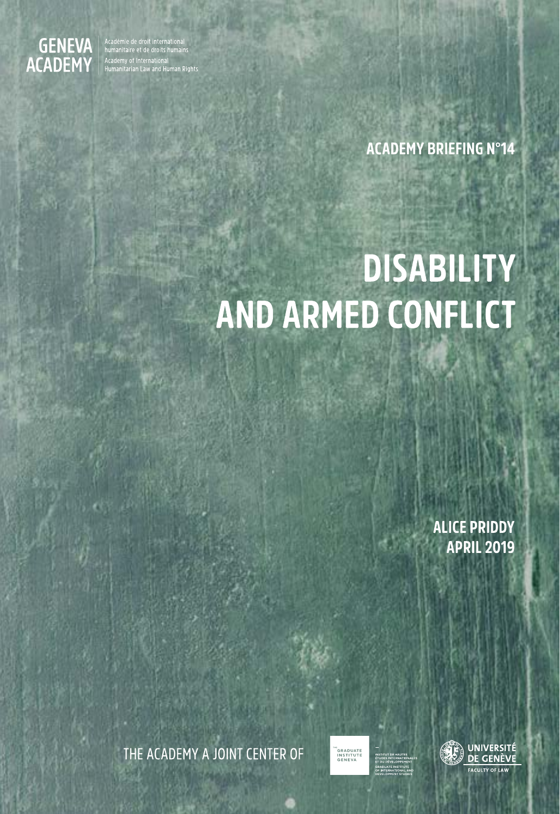

Académie de droit international<br>humanitaire et de droits humains Academy of International<br>Humanitarian Law and Human Rights

## **ACADEMY BRIEFING N°14**

# **DISABILITY AND ARMED CONFLICT**

**ALICE PRIDDY APRIL 2019** 

THE ACADEMY A JOINT CENTER OF



INSTITUT DE HA

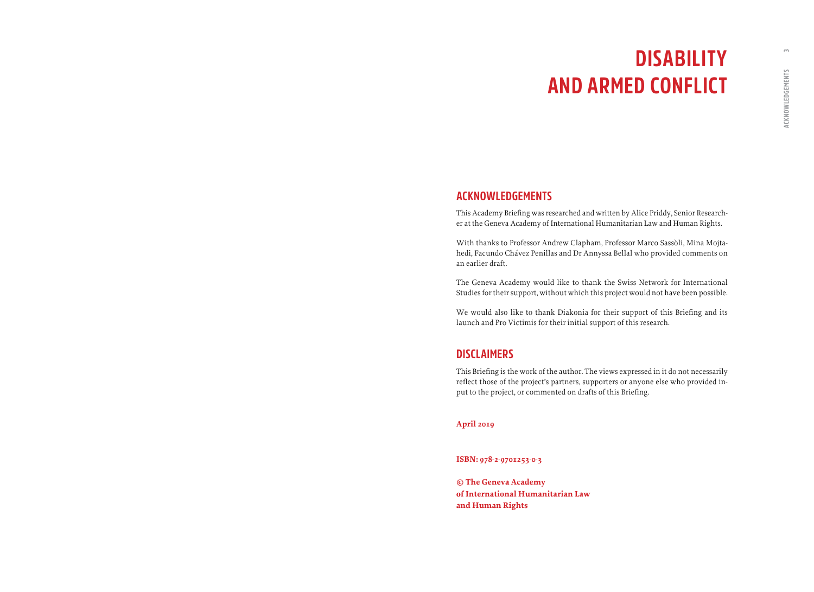## **DISABILITY AND ARMED CONFLICT**

## **ACKNOWLEDGEMENTS**

This Academy Briefing was researched and written by Alice Priddy, Senior Researcher at the Geneva Academy of International Humanitarian Law and Human Rights.

With thanks to Professor Andrew Clapham, Professor Marco Sassòli, Mina Mojtahedi, Facundo Chávez Penillas and Dr Annyssa Bellal who provided comments on an earlier draft.

The Geneva Academy would like to thank the Swiss Network for International Studies for their support, without which this project would not have been possible.

We would also like to thank Diakonia for their support of this Briefing and its launch and Pro Victimis for their initial support of this research.

## **DISCLAIMERS**

This Briefing is the work of the author. The views expressed in it do not necessarily reflect those of the project's partners, supporters or anyone else who provided input to the project, or commented on drafts of this Briefing.

#### **April 2019**

**ISBN: 978-2-9701253-0-3** 

**© The Geneva Academy of International Humanitarian Law and Human Rights**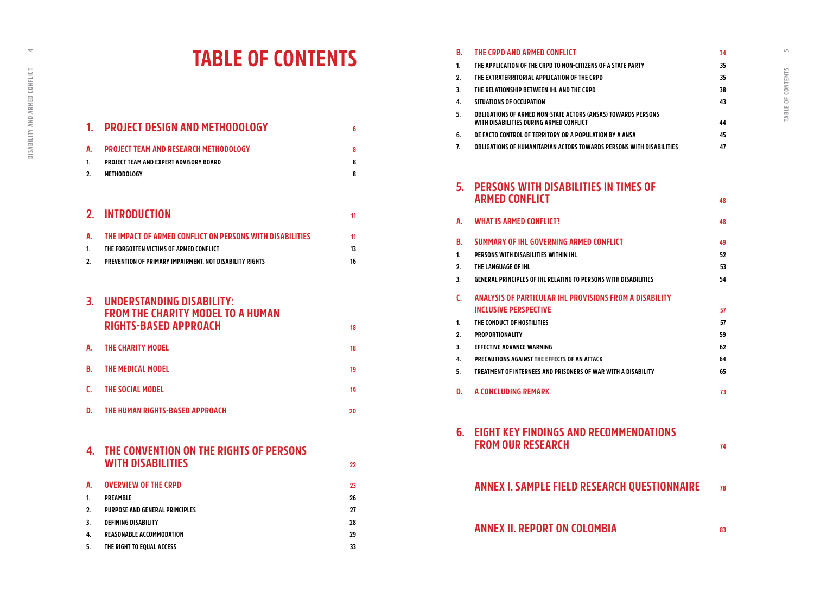$\Rightarrow$ 

## **TABLE OF CONTENTS**

|                | <b>PROJECT DESIGN AND METHODOLOGY</b>                     | 6  |
|----------------|-----------------------------------------------------------|----|
| A.             | PROJECT TEAM AND RESEARCH METHODOLOGY                     | 8  |
| 1.             | PROJECT TEAM AND EXPERT ADVISORY BOARD                    | 8  |
| $2_{-}$        | METHODOLOGY                                               | 8  |
| 2 <sub>1</sub> | <b>INTRODUCTION</b>                                       |    |
|                |                                                           | 11 |
| A.             | THE IMPACT OF ARMED CONFLICT ON PERSONS WITH DISABILITIES | 11 |
| 1.             | THE FORGOTTEN VICTIMS OF ARMED CONFLICT                   | 13 |
| 2.             | PREVENTION OF PRIMARY IMPAIRMENT. NOT DISABILITY RIGHTS   | 16 |

### **3. [UNDERSTANDING DISABILITY:](#page-9-0)  [FROM THE CHARITY MODEL TO A HUMAN](#page-9-0)  [RIGHTS-BASED APPROACH](#page-9-0) <sup>18</sup>**

|    | A. THE CHARITY MODEL        | 18 |
|----|-----------------------------|----|
|    | <b>B. THE MEDICAL MODEL</b> | 19 |
| C. | THE SOCIAL MODEL            | 19 |

**D. [THE HUMAN RIGHTS-BASED APPROACH](#page-10-0) 20**

| 4. THE CONVENTION ON THE RIGHTS OF PERSONS<br><b>WITH DISABILITIES</b> |  |
|------------------------------------------------------------------------|--|
|                                                                        |  |

| А. | <b>OVERVIEW OF THE CRPD</b>    | 23 |
|----|--------------------------------|----|
| 1. | <b>PREAMBLE</b>                | 26 |
| 2. | PURPOSE AND GENERAL PRINCIPLES | 27 |
| 3. | <b>DEFINING DISABILITY</b>     | 28 |
| 4. | REASONABLE ACCOMMODATION       | 29 |
| 5. | THE RIGHT TO EQUAL ACCESS      | 33 |

| В.       | THE CRPD AND ARMED CONFLICT                                                                              | 34       |
|----------|----------------------------------------------------------------------------------------------------------|----------|
| 1.       | THE APPLICATION OF THE CRPD TO NON-CITIZENS OF A STATE PARTY                                             | 35       |
| 2.       | THE EXTRATERRITORIAL APPLICATION OF THE CRPD                                                             | 35       |
| 3.       | THE RELATIONSHIP BETWEEN IHL AND THE CRPD                                                                | 38       |
| 4.       | SITUATIONS OF OCCUPATION                                                                                 | 43       |
| 5.       | OBLIGATIONS OF ARMED NON-STATE ACTORS (ANSAS) TOWARDS PERSONS<br>WITH DISABILITIES DURING ARMED CONFLICT | 44       |
| 6.       | DE FACTO CONTROL OF TERRITORY OR A POPULATION BY A ANSA                                                  | 45       |
| 7.       | OBLIGATIONS OF HUMANITARIAN ACTORS TOWARDS PERSONS WITH DISABILITIES                                     | 47       |
| 5.       | PERSONS WITH DISABILITIES IN TIMES OF                                                                    |          |
|          | <b>ARMED CONFLICT</b>                                                                                    | 48       |
| A.       | <b>WHAT IS ARMED CONFLICT?</b>                                                                           | 48       |
| B.       | SUMMARY OF THE GOVERNING ARMED CONFLICT                                                                  | 49       |
| 1.       | PERSONS WITH DISABILITIES WITHIN IHL                                                                     | 52       |
| 2.       | THE LANGUAGE OF IHL                                                                                      | 53       |
| 3.       | GENERAL PRINCIPLES OF IHL RELATING TO PERSONS WITH DISABILITIES                                          | 54       |
| C.       | ANALYSIS OF PARTICULAR IHL PROVISIONS FROM A DISABILITY                                                  |          |
|          | <b>INCLUSIVE PERSPECTIVE</b>                                                                             | 57       |
| 1.       | THE CONDUCT OF HOSTILITIES                                                                               | 57       |
| 2.       | <b>PROPORTIONALITY</b>                                                                                   | 59       |
| 3.<br>4. | <b>EFFECTIVE ADVANCE WARNING</b><br>PRECAUTIONS AGAINST THE EFFECTS OF AN ATTACK                         | 62<br>64 |
| 5.       | TREATMENT OF INTERNEES AND PRISONERS OF WAR WITH A DISABILITY                                            | 65       |
|          |                                                                                                          |          |
| D.       | A CONCLUDING REMARK                                                                                      | 73       |
| 6.       | <b>EIGHT KEY FINDINGS AND RECOMMENDATIONS</b>                                                            |          |
|          | <b>FROM OUR RESEARCH</b>                                                                                 | 74       |
|          | <b>ANNEX I. SAMPLE FIELD RESEARCH QUESTIONNAIRE</b>                                                      | 78       |
|          |                                                                                                          |          |

**[ANNEX II. REPORT ON COLOMBIA](#page-41-0) <sup>83</sup>**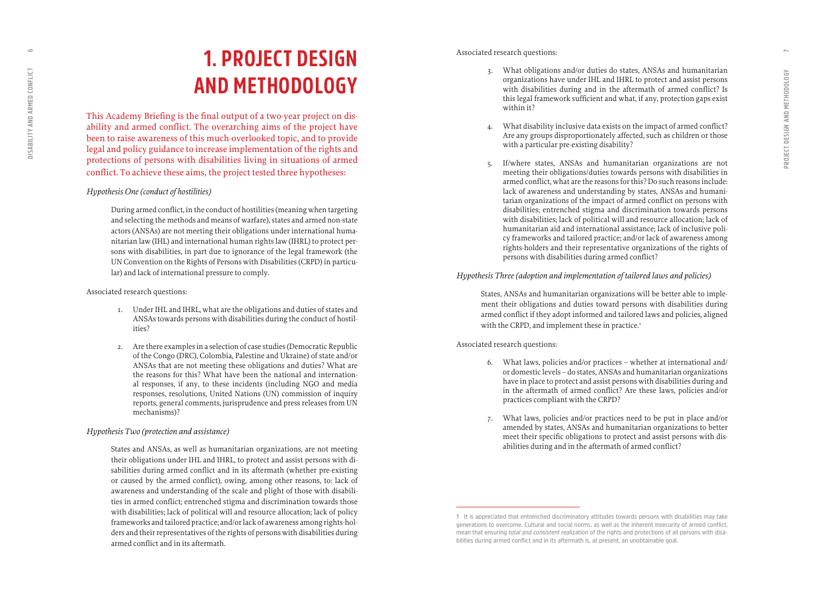## **1. PROJECT DESIGN AND METHODOLOGY**

This Academy Briefing is the final output of a two-year project on dis ability and armed conflict. The overarching aims of the project have been to raise awareness of this much-overlooked topic, and to provide legal and policy guidance to increase implementation of the rights and protections of persons with disabilities living in situations of armed conflict. To achieve these aims, the project tested three hypotheses:

#### *Hypothesis One (conduct of hostilities)*

During armed conflict, in the conduct of hostilities (meaning when targeting and selecting the methods and means of warfare), states and armed non-state actors (ANSAs) are not meeting their obligations under international huma nitarian law (IHL) and international human rights law (IHRL) to protect per sons with disabilities, in part due to ignorance of the legal framework (the UN Convention on the Rights of Persons with Disabilities (CRPD) in particu lar) and lack of international pressure to comply.

#### Associated research questions:

- 1. Under IHL and IHRL, what are the obligations and duties of states and ANSAs towards persons with disabilities during the conduct of hostil ities?
- 2. Are there examples in a selection of case studies (Democratic Republic of the Congo (DRC), Colombia, Palestine and Ukraine) of state and/or ANSAs that are not meeting these obligations and duties? What are the reasons for this? What have been the national and internation al responses, if any, to these incidents (including NGO and media responses, resolutions, United Nations (UN) commission of inquiry reports, general comments, jurisprudence and press releases from UN mechanisms)?

#### *Hypothesis Two (protection and assistance)*

States and ANSAs, as well as humanitarian organizations, are not meeting their obligations under IHL and IHRL, to protect and assist persons with di sabilities during armed conflict and in its aftermath (whether pre-existing or caused by the armed conflict), owing, among other reasons, to: lack of awareness and understanding of the scale and plight of those with disabili ties in armed conflict; entrenched stigma and discrimination towards those with disabilities; lack of political will and resource allocation; lack of policy frameworks and tailored practice; and/or lack of awareness among rights-hol ders and their representatives of the rights of persons with disabilities during armed conflict and in its aftermath.

#### Associated research questions:

- 3. What obligations and/or duties do states, ANSAs and humanitarian organizations have under IHL and IHRL to protect and assist persons with disabilities during and in the aftermath of armed conflict? Is this legal framework sufficient and what, if any, protection gaps exist within it?
- 4. What disability inclusive data exists on the impact of armed conflict? Are any groups disproportionately affected, such as children or those with a particular pre-existing disability?
- If/where states, ANSAs and humanitarian organizations are not meeting their obligations/duties towards persons with disabilities in armed conflict, what are the reasons for this? Do such reasons include: lack of awareness and understanding by states, ANSAs and humani tarian organizations of the impact of armed conflict on persons with disabilities; entrenched stigma and discrimination towards persons with disabilities; lack of political will and resource allocation; lack of humanitarian aid and international assistance; lack of inclusive poli cy frameworks and tailored practice; and/or lack of awareness among rights-holders and their representative organizations of the rights of persons with disabilities during armed conflict?

#### *Hypothesis Three (adoption and implementation of tailored laws and policies)*

States, ANSAs and humanitarian organizations will be better able to imple ment their obligations and duties toward persons with disabilities during armed conflict if they adopt informed and tailored laws and policies, aligned with the CRPD, and implement these in practice.<sup>1</sup>

#### Associated research questions:

- 6. What laws, policies and/or practices whether at international and/ or domestic levels – do states, ANSAs and humanitarian organizations have in place to protect and assist persons with disabilities during and in the aftermath of armed conflict? Are these laws, policies and/or practices compliant with the CRPD?
- 7. What laws, policies and/or practices need to be put in place and/or amended by states, ANSAs and humanitarian organizations to better meet their specific obligations to protect and assist persons with dis abilities during and in the aftermath of armed conflict?

<span id="page-3-0"></span> $\subseteq$ 

**<sup>1</sup> It is appreciated that entrenched discriminatory attitudes towards persons with disabilities may take generations to overcome. Cultural and social norms, as well as the inherent insecurity of armed conflict, mean that ensuring** *total* **and** *consistent* **realization of the rights and protections of all persons with disa bilities during armed conflict and in its aftermath is, at present, an unobtainable goal.**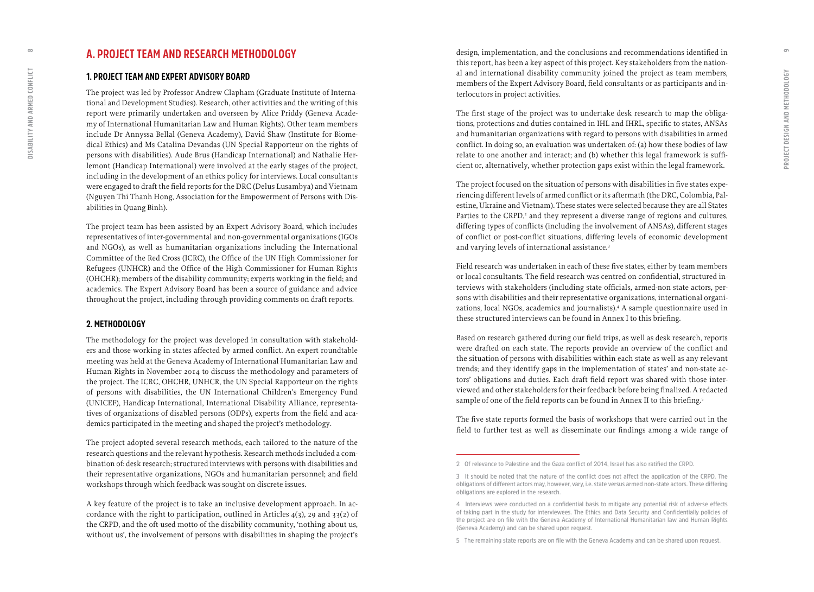## **A. PROJECT TEAM AND RESEARCH METHODOLOGY**

#### **1. PROJECT TEAM AND EXPERT ADVISORY BOARD**

The project was led by Professor Andrew Clapham (Graduate Institute of Interna tional and Development Studies). Research, other activities and the writing of this report were primarily undertaken and overseen by Alice Priddy (Geneva Acade my of International Humanitarian Law and Human Rights). Other team members include Dr Annyssa Bellal (Geneva Academy), David Shaw (Institute for Biome dical Ethics) and Ms Catalina Devandas (UN Special Rapporteur on the rights of persons with disabilities). Aude Brus (Handicap International) and Nathalie Her lemont (Handicap International) were involved at the early stages of the project, including in the development of an ethics policy for interviews. Local consultants were engaged to draft the field reports for the DRC (Delus Lusambya) and Vietnam (Nguyen Thi Thanh Hong, Association for the Empowerment of Persons with Dis abilities in Quang Binh).

The project team has been assisted by an Expert Advisory Board, which includes representatives of inter-governmental and non-governmental organizations (IGOs and NGOs), as well as humanitarian organizations including the International Committee of the Red Cross (ICRC), the Office of the UN High Commissioner for Refugees (UNHCR) and the Office of the High Commissioner for Human Rights (OHCHR); members of the disability community; experts working in the field; and academics. The Expert Advisory Board has been a source of guidance and advice throughout the project, including through providing comments on draft reports.

### **2. METHODOLOGY**

The methodology for the project was developed in consultation with stakehold ers and those working in states affected by armed conflict. An expert roundtable meeting was held at the Geneva Academy of International Humanitarian Law and Human Rights in November 2014 to discuss the methodology and parameters of the project. The ICRC, OHCHR, UNHCR, the UN Special Rapporteur on the rights of persons with disabilities, the UN International Children's Emergency Fund (UNICEF), Handicap International, International Disability Alliance, representa tives of organizations of disabled persons (ODPs), experts from the field and aca demics participated in the meeting and shaped the project's methodology.

The project adopted several research methods, each tailored to the nature of the research questions and the relevant hypothesis. Research methods included a com bination of: desk research; structured interviews with persons with disabilities and their representative organizations, NGOs and humanitarian personnel; and field workshops through which feedback was sought on discrete issues.

A key feature of the project is to take an inclusive development approach. In ac cordance with the right to participation, outlined in Articles 4(3), 29 and 33(2) of the CRPD, and the oft-used motto of the disability community, 'nothing about us, without us', the involvement of persons with disabilities in shaping the project's design, implementation, and the conclusions and recommendations identified in this report, has been a key aspect of this project. Key stakeholders from the nation al and international disability community joined the project as team members, members of the Expert Advisory Board, field consultants or as participants and in terlocutors in project activities.

The first stage of the project was to undertake desk research to map the obliga tions, protections and duties contained in IHL and IHRL, specific to states, ANSAs and humanitarian organizations with regard to persons with disabilities in armed conflict. In doing so, an evaluation was undertaken of: (a) how these bodies of law relate to one another and interact; and (b) whether this legal framework is suffi cient or, alternatively, whether protection gaps exist within the legal framework.

The project focused on the situation of persons with disabilities in five states expe riencing different levels of armed conflict or its aftermath (the DRC, Colombia, Pal estine, Ukraine and Vietnam). These states were selected because they are all States Parties to the CRPD,<sup>2</sup> and they represent a diverse range of regions and cultures, differing types of conflicts (including the involvement of ANSAs), different stages of conflict or post-conflict situations, differing levels of economic development and varying levels of international assistance. 3

Field research was undertaken in each of these five states, either by team members or local consultants. The field research was centred on confidential, structured in terviews with stakeholders (including state officials, armed-non state actors, per sons with disabilities and their representative organizations, international organi zations, local NGOs, academics and journalists).<sup>4</sup> A sample questionnaire used in these structured interviews can be found in Annex I to this briefing.

Based on research gathered during our field trips, as well as desk research, reports were drafted on each state. The reports provide an overview of the conflict and the situation of persons with disabilities within each state as well as any relevant trends; and they identify gaps in the implementation of states' and non-state ac tors' obligations and duties. Each draft field report was shared with those inter viewed and other stakeholders for their feedback before being finalized. A redacted sample of one of the field reports can be found in Annex II to this briefing. 5

The five state reports formed the basis of workshops that were carried out in the field to further test as well as disseminate our findings among a wide range of

<span id="page-4-0"></span> $\infty$ 

**<sup>2</sup> Of relevance to Palestine and the Gaza conflict of 2014, Israel has also ratified the CRPD. 3 It should be noted that the nature of the conflict does not affect the application of the CRPD. The** 

**obligations of different actors may, however, vary, i.e. state versus armed non-state actors. These differing obligations are explored in the research.**

**<sup>4</sup> Interviews were conducted on a confidential basis to mitigate any potential risk of adverse effects of taking part in the study for interviewees. The Ethics and Data Security and Confidentially policies of the project are on file with the Geneva Academy of International Humanitarian law and Human Rights (Geneva Academy) and can be shared upon request. 5 The remaining state reports are on file with the Geneva Academy and can be shared upon request.**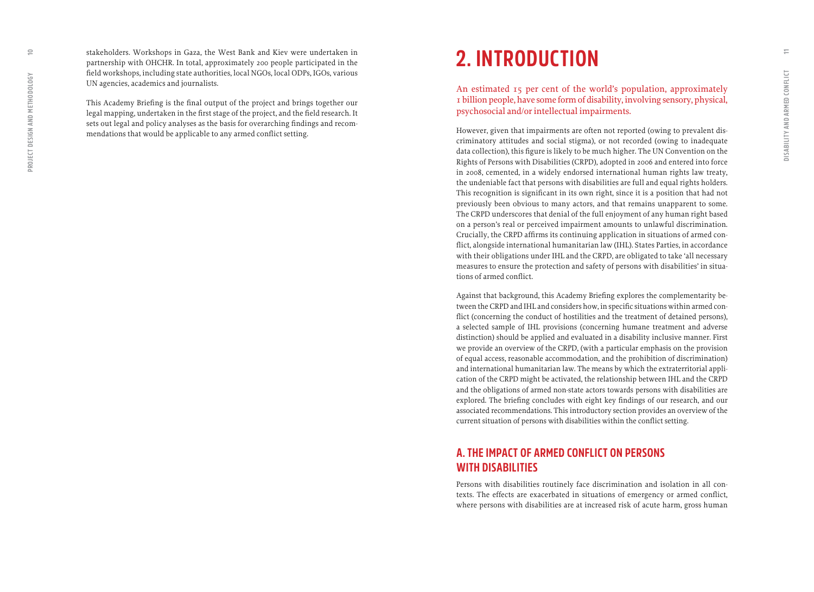stakeholders. Workshops in Gaza, the West Bank and Kiev were undertaken in partnership with OHCHR. In total, approximately 200 people participated in the field workshops, including state authorities, local NGOs, local ODPs, IGOs, various UN agencies, academics and journalists.

This Academy Briefing is the final output of the project and brings together our legal mapping, undertaken in the first stage of the project, and the field research. It sets out legal and policy analyses as the basis for overarching findings and recommendations that would be applicable to any armed conflict setting.

## **2. INTRODUCTION**

An estimated 15 per cent of the world's population, approximately 1 billion people, have some form of disability, involving sensory, physical, psychosocial and/or intellectual impairments.

However, given that impairments are often not reported (owing to prevalent discriminatory attitudes and social stigma), or not recorded (owing to inadequate data collection), this figure is likely to be much higher. The UN Convention on the Rights of Persons with Disabilities (CRPD), adopted in 2006 and entered into force in 2008, cemented, in a widely endorsed international human rights law treaty, the undeniable fact that persons with disabilities are full and equal rights holders. This recognition is significant in its own right, since it is a position that had not previously been obvious to many actors, and that remains unapparent to some. The CRPD underscores that denial of the full enjoyment of any human right based on a person's real or perceived impairment amounts to unlawful discrimination. Crucially, the CRPD affirms its continuing application in situations of armed conflict, alongside international humanitarian law (IHL). States Parties, in accordance with their obligations under IHL and the CRPD, are obligated to take 'all necessary measures to ensure the protection and safety of persons with disabilities' in situations of armed conflict.

Against that background, this Academy Briefing explores the complementarity between the CRPD and IHL and considers how, in specific situations within armed conflict (concerning the conduct of hostilities and the treatment of detained persons), a selected sample of IHL provisions (concerning humane treatment and adverse distinction) should be applied and evaluated in a disability inclusive manner. First we provide an overview of the CRPD, (with a particular emphasis on the provision of equal access, reasonable accommodation, and the prohibition of discrimination) and international humanitarian law. The means by which the extraterritorial application of the CRPD might be activated, the relationship between IHL and the CRPD and the obligations of armed non-state actors towards persons with disabilities are explored. The briefing concludes with eight key findings of our research, and our associated recommendations. This introductory section provides an overview of the current situation of persons with disabilities within the conflict setting.

## **A. THE IMPACT OF ARMED CONFLICT ON PERSONS WITH DISABILITIES**

Persons with disabilities routinely face discrimination and isolation in all contexts. The effects are exacerbated in situations of emergency or armed conflict, where persons with disabilities are at increased risk of acute harm, gross human

<span id="page-5-0"></span> $\subseteq$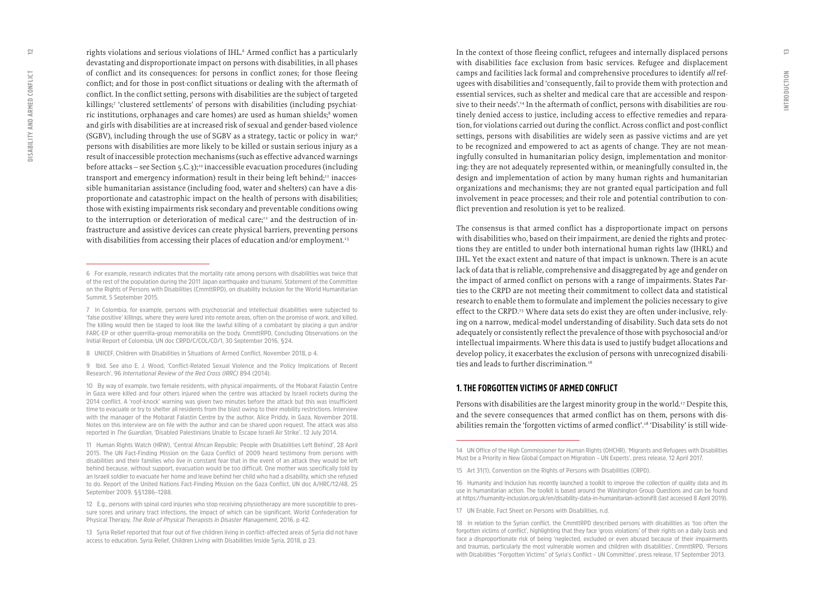rights violations and serious violations of IHL. 6 Armed conflict has a particularly devastating and disproportionate impact on persons with disabilities, in all phases of conflict and its consequences: for persons in conflict zones; for those fleeing conflict; and for those in post-conflict situations or dealing with the aftermath of conflict. In the conflict setting, persons with disabilities are the subject of targeted killings; 7 'clustered settlements' of persons with disabilities (including psychiat ric institutions, orphanages and care homes) are used as human shields; 8 women and girls with disabilities are at increased risk of sexual and gender-based violence (SGBV), including through the use of SGBV as a strategy, tactic or policy in war; 9 persons with disabilities are more likely to be killed or sustain serious injury as a result of inaccessible protection mechanisms (such as effective advanced warnings before attacks – see Section  $5.C.3$ );<sup>10</sup> inaccessible evacuation procedures (including transport and emergency information) result in their being left behind;<sup>11</sup> inaccessible humanitarian assistance (including food, water and shelters) can have a dis proportionate and catastrophic impact on the health of persons with disabilities; those with existing impairments risk secondary and preventable conditions owing to the interruption or deterioration of medical care; $12$  and the destruction of infrastructure and assistive devices can create physical barriers, preventing persons with disabilities from accessing their places of education and/or employment.<sup>13</sup>

**12 E.g., persons with spinal cord injuries who stop receiving physiotherapy are more susceptible to pres sure sores and urinary tract infections, the impact of which can be significant. World Confederation for Physical Therapy,** *The Role of Physical Therapists in Disaster Management***, 2016, p 42.**

**13 Syria Relief reported that four out of five children living in conflict-affected areas of Syria did not have access to education. Syria Relief, Children Living with Disabilities Inside Syria, 2018, p 23.**

In the context of those fleeing conflict, refugees and internally displaced persons with disabilities face exclusion from basic services. Refugee and displacement camps and facilities lack formal and comprehensive procedures to identify *all* refugees with disabilities and 'consequently, fail to provide them with protection and essential services, such as shelter and medical care that are accessible and respon sive to their needs'.14 In the aftermath of conflict, persons with disabilities are rou tinely denied access to justice, including access to effective remedies and repara tion, for violations carried out during the conflict. Across conflict and post-conflict settings, persons with disabilities are widely seen as passive victims and are yet to be recognized and empowered to act as agents of change. They are not mean ingfully consulted in humanitarian policy design, implementation and monitor ing: they are not adequately represented within, or meaningfully consulted in, the design and implementation of action by many human rights and humanitarian organizations and mechanisms; they are not granted equal participation and full involvement in peace processes; and their role and potential contribution to con flict prevention and resolution is yet to be realized.

The consensus is that armed conflict has a disproportionate impact on persons with disabilities who, based on their impairment, are denied the rights and protec tions they are entitled to under both international human rights law (IHRL) and IHL. Yet the exact extent and nature of that impact is unknown. There is an acute lack of data that is reliable, comprehensive and disaggregated by age and gender on the impact of armed conflict on persons with a range of impairments. States Par ties to the CRPD are not meeting their commitment to collect data and statistical research to enable them to formulate and implement the policies necessary to give effect to the CRPD.<sup>15</sup> Where data sets do exist they are often under-inclusive, relying on a narrow, medical-model understanding of disability. Such data sets do not adequately or consistently reflect the prevalence of those with psychosocial and/or intellectual impairments. Where this data is used to justify budget allocations and develop policy, it exacerbates the exclusion of persons with unrecognized disabili ties and leads to further discrimination.<sup>16</sup>

#### **1. THE FORGOTTEN VICTIMS OF ARMED CONFLICT**

Persons with disabilities are the largest minority group in the world.<sup>17</sup> Despite this, and the severe consequences that armed conflict has on them, persons with dis abilities remain the 'forgotten victims of armed conflict'.<sup>18</sup> 'Disability' is still wide-

<span id="page-6-0"></span> $\supseteq$ 

**<sup>6</sup> For example, research indicates that the mortality rate among persons with disabilities was twice that of the rest of the population during the 2011 Japan earthquake and tsunami. Statement of the Committee on the Rights of Persons with Disabilities (CmmttRPD), on disability inclusion for the World Humanitarian Summit, 5 September 2015.**

**<sup>7</sup> In Colombia, for example, persons with psychosocial and intellectual disabilities were subjected to 'false positive' killings, where they were lured into remote areas, often on the promise of work, and killed. The killing would then be staged to look like the lawful killing of a combatant by placing a gun and/or FARC-EP or other guerrilla-group memorabilia on the body. CmmttRPD, Concluding Observations on the Initial Report of Colombia, UN doc CRPD/C/COL/CO/1, 30 September 2016, §24.**

**<sup>8</sup> UNICEF, Children with Disabilities in Situations of Armed Conflict, November 2018, p 4.**

**<sup>9</sup> Ibid. See also E. J. Wood, 'Conflict-Related Sexual Violence and the Policy Implications of Recent Research', 96** *International Review of the Red Cross (IRRC)* **894 (2014).** 

**<sup>10</sup> By way of example, two female residents, with physical impairments, of the Mobarat Falastin Centre in Gaza were killed and four others injured when the centre was attacked by Israeli rockets during the 2014 conflict. A 'roof-knock' warning was given two minutes before the attack but this was insufficient time to evacuate or try to shelter all residents from the blast owing to their mobility restrictions. Interview with the manager of the Mobarat Falastin Centre by the author, Alice Priddy, in Gaza, November 2018. Notes on this interview are on file with the author and can be shared upon request. The attack was also reported in** *The Guardian***, 'Disabled Palestinians Unable to Escape Israeli Air Strike', 12 July 2014.**

**<sup>11</sup> Human Rights Watch (HRW), 'Central African Republic: People with Disabilities Left Behind', 28 April 2015. The UN Fact-Finding Mission on the Gaza Conflict of 2009 heard testimony from persons with disabilities and their families who live in constant fear that in the event of an attack they would be left behind because, without support, evacuation would be too difficult. One mother was specifically told by an Israeli soldier to evacuate her home and leave behind her child who had a disability, which she refused to do. Report of the United Nations Fact-Finding Mission on the Gaza Conflict, UN doc A/HRC/12/48, 25 September 2009, §§1286–1288.** 

**<sup>14</sup> UN Office of the High Commissioner for Human Rights (OHCHR), 'Migrants and Refugees with Disabilities Must be a Priority in New Global Compact on Migration – UN Experts', press release, 12 April 2017.**

**<sup>15</sup> Art 31(1), Convention on the Rights of Persons with Disabilities (CRPD).** 

**<sup>16</sup> Humanity and Inclusion has recently launched a toolkit to improve the collection of quality data and its use in humanitarian action. The toolkit is based around the Washington Group Questions and can be found at https://humanity-inclusion.org.uk/en/disability-data-in-humanitarian-action#8 (last accessed 8 April 2019).**

**<sup>17</sup> UN Enable, Fact Sheet on Persons with Disabilities, n.d.** 

**<sup>18</sup> In relation to the Syrian conflict, the CmmttRPD described persons with disabilities as 'too often the forgotten victims of conflict', highlighting that they face 'gross violations' of their rights on a daily basis and face a disproportionate risk of being 'neglected, excluded or even abused because of their impairments and traumas, particularly the most vulnerable women and children with disabilities', CmmttRPD, 'Persons with Disabilities "Forgotten Victims" of Syria's Conflict – UN Committee', press release, 17 September 2013.**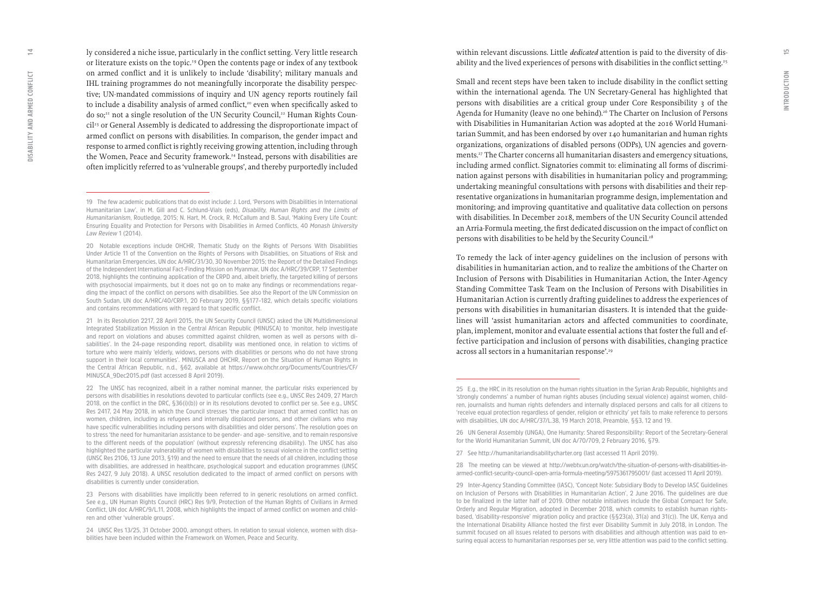ly considered a niche issue, particularly in the conflict setting. Very little research or literature exists on the topic.19 Open the contents page or index of any textbook on armed conflict and it is unlikely to include 'disability'; military manuals and IHL training programmes do not meaningfully incorporate the disability perspec tive; UN-mandated commissions of inquiry and UN agency reports routinely fail to include a disability analysis of armed conflict,<sup>20</sup> even when specifically asked to do so;<sup>21</sup> not a single resolution of the UN Security Council,<sup>22</sup> Human Rights Council23 or General Assembly is dedicated to addressing the disproportionate impact of armed conflict on persons with disabilities. In comparison, the gender impact and response to armed conflict is rightly receiving growing attention, including through the Women, Peace and Security framework.<sup>24</sup> Instead, persons with disabilities are often implicitly referred to as 'vulnerable groups', and thereby purportedly included

**20 Notable exceptions include OHCHR, Thematic Study on the Rights of Persons With Disabilities Under Article 11 of the Convention on the Rights of Persons with Disabilities, on Situations of Risk and Humanitarian Emergencies, UN doc A/HRC/31/30, 30 November 2015; the Report of the Detailed Findings of the Independent International Fact-Finding Mission on Myanmar, UN doc A/HRC/39/CRP, 17 September 2018, highlights the continuing application of the CRPD and, albeit briefly, the targeted killing of persons with psychosocial impairments, but it does not go on to make any findings or recommendations regar ding the impact of the conflict on persons with disabilities. See also the Report of the UN Commission on South Sudan, UN doc A/HRC/40/CRP.1, 20 February 2019, §§177–182, which details specific violations and contains recommendations with regard to that specific conflict.**

**21 In its Resolution 2217, 28 April 2015, the UN Security Council (UNSC) asked the UN Multidimensional Integrated Stabilization Mission in the Central African Republic (MINUSCA) to 'monitor, help investigate and report on violations and abuses committed against children, women as well as persons with di sabilities'. In the 24-page responding report, disability was mentioned once, in relation to victims of torture who were mainly 'elderly, widows, persons with disabilities or persons who do not have strong support in their local communities'. MINUSCA and OHCHR, Report on the Situation of Human Rights in the Central African Republic, n.d., §62, available at [https://www.ohchr.org/Documents/Countries/CF/](https://www.ohchr.org/Documents/Countries/CF/MINUSCA_9Dec2015.pdf) [MINUSCA\\_9Dec2015.pdf](https://www.ohchr.org/Documents/Countries/CF/MINUSCA_9Dec2015.pdf) (last accessed 8 April 2019).**

**22 The UNSC has recognized, albeit in a rather nominal manner, the particular risks experienced by persons with disabilities in resolutions devoted to particular conflicts (see e.g., UNSC Res 2409, 27 March 2018, on the conflict in the DRC, §36(i)(b)) or in its resolutions devoted to conflict per se. See e.g., UNSC Res 2417, 24 May 2018, in which the Council stresses 'the particular impact that armed conflict has on women, children, including as refugees and internally displaced persons, and other civilians who may have specific vulnerabilities including persons with disabilities and older persons'. The resolution goes on to stress 'the need for humanitarian assistance to be gender- and age- sensitive, and to remain responsive to the different needs of the population' (without expressly referencing disability). The UNSC has also highlighted the particular vulnerability of women with disabilities to sexual violence in the conflict setting (UNSC Res 2106, 13 June 2013, §19) and the need to ensure that the needs of all children, including those with disabilities, are addressed in healthcare, psychological support and education programmes (UNSC Res 2427, 9 July 2018). A UNSC resolution dedicated to the impact of armed conflict on persons with disabilities is currently under consideration.**

**23 Persons with disabilities have implicitly been referred to in generic resolutions on armed conflict. See e.g., UN Human Rights Council (HRC) Res 9/9, Protection of the Human Rights of Civilians in Armed Conflict, UN doc A/HRC/9/L.11, 2008, which highlights the impact of armed conflict on women and child ren and other 'vulnerable groups'.**

**24 UNSC Res 13/25, 31 October 2000, amongst others. In relation to sexual violence, women with disa bilities have been included within the Framework on Women, Peace and Security.** 

within relevant discussions. Little *dedicated* attention is paid to the diversity of dis ability and the lived experiences of persons with disabilities in the conflict setting.<sup>25</sup>

Small and recent steps have been taken to include disability in the conflict setting within the international agenda. The UN Secretary-General has highlighted that persons with disabilities are a critical group under Core Responsibility 3 of the Agenda for Humanity (leave no one behind).<sup>26</sup> The Charter on Inclusion of Persons with Disabilities in Humanitarian Action was adopted at the 2016 World Humani tarian Summit, and has been endorsed by over 140 humanitarian and human rights organizations, organizations of disabled persons (ODPs), UN agencies and govern ments.27 The Charter concerns all humanitarian disasters and emergency situations, including armed conflict. Signatories commit to: eliminating all forms of discrimi nation against persons with disabilities in humanitarian policy and programming; undertaking meaningful consultations with persons with disabilities and their rep resentative organizations in humanitarian programme design, implementation and monitoring; and improving quantitative and qualitative data collection on persons with disabilities. In December 2018, members of the UN Security Council attended an Arria-Formula meeting, the first dedicated discussion on the impact of conflict on persons with disabilities to be held by the Security Council.<sup>28</sup>

To remedy the lack of inter-agency guidelines on the inclusion of persons with disabilities in humanitarian action, and to realize the ambitions of the Charter on Inclusion of Persons with Disabilities in Humanitarian Action, the Inter-Agency Standing Committee Task Team on the Inclusion of Persons with Disabilities in Humanitarian Action is currently drafting guidelines to address the experiences of persons with disabilities in humanitarian disasters. It is intended that the guide lines will 'assist humanitarian actors and affected communities to coordinate, plan, implement, monitor and evaluate essential actions that foster the full and effective participation and inclusion of persons with disabilities, changing practice across all sectors in a humanitarian response'.29

 $\Xi$ 

**<sup>19</sup> The few academic publications that do exist include: J. Lord, 'Persons with Disabilities in International Humanitarian Law', in M. Gill and C. Schlund-Vials (eds),** *Disability, Human Rights and the Limits of Humanitarianism***, Routledge, 2015; N. Hart, M. Crock, R. McCallum and B. Saul, 'Making Every Life Count: Ensuring Equality and Protection for Persons with Disabilities in Armed Conflicts, 40** *Monash University Law Review* **1 (2014).**

**<sup>25</sup> E.g., the HRC in its resolution on the human rights situation in the Syrian Arab Republic, highlights and 'strongly condemns' a number of human rights abuses (including sexual violence) against women, child ren, journalists and human rights defenders and internally displaced persons and calls for all citizens to 'receive equal protection regardless of gender, religion or ethnicity' yet fails to make reference to persons with disabilities, UN doc A/HRC/37/L.38, 19 March 2018, Preamble, §§3, 12 and 19.**

**<sup>26</sup> UN General Assembly (UNGA), One Humanity: Shared Responsibility: Report of the Secretary-General for the World Humanitarian Summit, UN doc A/70/709, 2 February 2016, §79.** 

**<sup>27</sup> See http://humanitariandisabilitycharter.org (last accessed 11 April 2019).**

**<sup>28</sup> The meeting can be viewed at http://webtv.un.org/watch/the-situation-of-persons-with-disabilities-inarmed-conflict-security-council-open-arria-formula-meeting/5975361795001/ (last accessed 11 April 2019).**

**<sup>29</sup> Inter-Agency Standing Committee (IASC), 'Concept Note: Subsidiary Body to Develop IASC Guidelines on Inclusion of Persons with Disabilities in Humanitarian Action', 2 June 2016. The guidelines are due to be finalized in the latter half of 2019. Other notable initiatives include the Global Compact for Safe, Orderly and Regular Migration, adopted in December 2018, which commits to establish human rightsbased, 'disability-responsive' migration policy and practice (§§23(a), 31(a) and 31(c)). The UK, Kenya and the International Disability Alliance hosted the first ever Disability Summit in July 2018, in London. The summit focused on all issues related to persons with disabilities and although attention was paid to en suring equal access to humanitarian responses per se, very little attention was paid to the conflict setting.**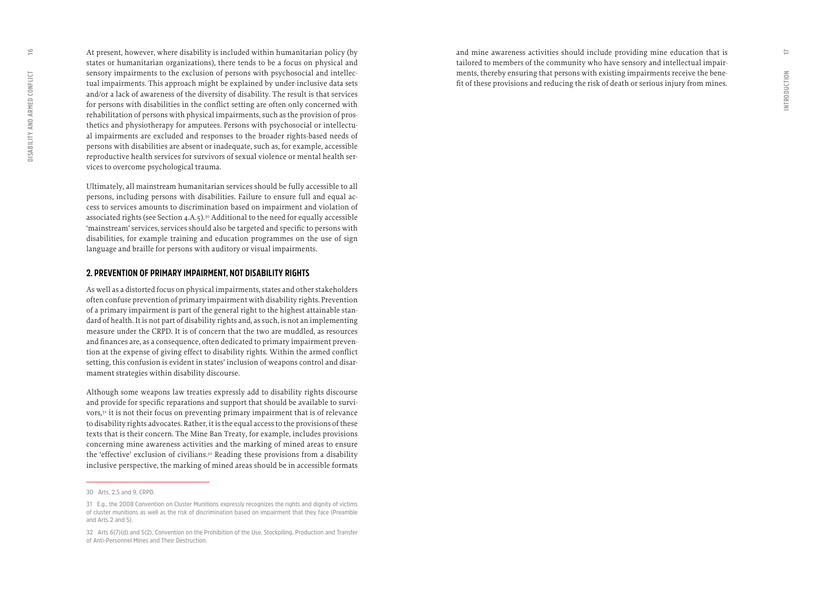<span id="page-8-0"></span>At present, however, where disability is included within humanitarian policy (by states or humanitarian organizations), there tends to be a focus on physical and sensory impairments to the exclusion of persons with psychosocial and intellectual impairments. This approach might be explained by under-inclusive data sets and/or a lack of awareness of the diversity of disability. The result is that services for persons with disabilities in the conflict setting are often only concerned with rehabilitation of persons with physical impairments, such as the provision of prosthetics and physiotherapy for amputees. Persons with psychosocial or intellectual impairments are excluded and responses to the broader rights-based needs of persons with disabilities are absent or inadequate, such as, for example, accessible reproductive health services for survivors of sexual violence or mental health services to overcome psychological trauma.

Ultimately, all mainstream humanitarian services should be fully accessible to all persons, including persons with disabilities. Failure to ensure full and equal access to services amounts to discrimination based on impairment and violation of associated rights (see Section  $4.A.5$ ).<sup>30</sup> Additional to the need for equally accessible 'mainstream' services, services should also be targeted and specific to persons with disabilities, for example training and education programmes on the use of sign language and braille for persons with auditory or visual impairments.

#### **2. PREVENTION OF PRIMARY IMPAIRMENT, NOT DISABILITY RIGHTS**

As well as a distorted focus on physical impairments, states and other stakeholders often confuse prevention of primary impairment with disability rights. Prevention of a primary impairment is part of the general right to the highest attainable standard of health. It is not part of disability rights and, as such, is not an implementing measure under the CRPD. It is of concern that the two are muddled, as resources and finances are, as a consequence, often dedicated to primary impairment prevention at the expense of giving effect to disability rights. Within the armed conflict setting, this confusion is evident in states' inclusion of weapons control and disarmament strategies within disability discourse.

Although some weapons law treaties expressly add to disability rights discourse and provide for specific reparations and support that should be available to survivors,<sup>31</sup> it is not their focus on preventing primary impairment that is of relevance to disability rights advocates. Rather, it is the equal access to the provisions of these texts that is their concern. The Mine Ban Treaty, for example, includes provisions concerning mine awareness activities and the marking of mined areas to ensure the 'effective' exclusion of civilians.32 Reading these provisions from a disability inclusive perspective, the marking of mined areas should be in accessible formats and mine awareness activities should include providing mine education that is tailored to members of the community who have sensory and intellectual impairments, thereby ensuring that persons with existing impairments receive the benefit of these provisions and reducing the risk of death or serious injury from mines.

**<sup>30</sup> Arts, 2,5 and 9, CRPD.** 

**<sup>31</sup> E.g., the 2008 Convention on Cluster Munitions expressly recognizes the rights and dignity of victims of cluster munitions as well as the risk of discrimination based on impairment that they face (Preamble and Arts 2 and 5).**

**<sup>32</sup> Arts 6(7)(d) and 5(2), Convention on the Prohibition of the Use, Stockpiling, Production and Transfer of Anti-Personnel Mines and Their Destruction.**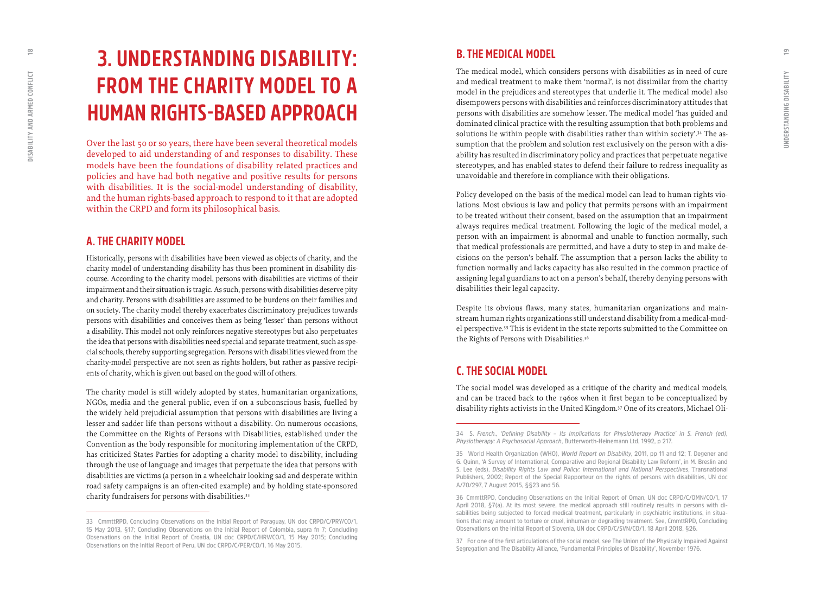<span id="page-9-0"></span> $\approx$ 

## **3. UNDERSTANDING DISABILITY: FROM THE CHARITY MODEL TO A HUMAN RIGHTS-BASED APPROACH**

Over the last 50 or so years, there have been several theoretical models developed to aid understanding of and responses to disability. These models have been the foundations of disability related practices and policies and have had both negative and positive results for persons with disabilities. It is the social-model understanding of disability, and the human rights-based approach to respond to it that are adopted within the CRPD and form its philosophical basis.

### **A. THE CHARITY MODEL**

Historically, persons with disabilities have been viewed as objects of charity, and the charity model of understanding disability has thus been prominent in disability dis course. According to the charity model, persons with disabilities are victims of their impairment and their situation is tragic. As such, persons with disabilities deserve pity and charity. Persons with disabilities are assumed to be burdens on their families and on society. The charity model thereby exacerbates discriminatory prejudices towards persons with disabilities and conceives them as being 'lesser' than persons without a disability. This model not only reinforces negative stereotypes but also perpetuates the idea that persons with disabilities need special and separate treatment, such as spe cial schools, thereby supporting segregation. Persons with disabilities viewed from the charity-model perspective are not seen as rights holders, but rather as passive recipi ents of charity, which is given out based on the good will of others.

The charity model is still widely adopted by states, humanitarian organizations, NGOs, media and the general public, even if on a subconscious basis, fuelled by the widely held prejudicial assumption that persons with disabilities are living a lesser and sadder life than persons without a disability. On numerous occasions, the Committee on the Rights of Persons with Disabilities, established under the Convention as the body responsible for monitoring implementation of the CRPD, has criticized States Parties for adopting a charity model to disability, including through the use of language and images that perpetuate the idea that persons with disabilities are victims (a person in a wheelchair looking sad and desperate within road safety campaigns is an often-cited example) and by holding state-sponsored charity fundraisers for persons with disabilities.<sup>33</sup>

## **B. THE MEDICAL MODEL**

The medical model, which considers persons with disabilities as in need of cure and medical treatment to make them 'normal', is not dissimilar from the charity model in the prejudices and stereotypes that underlie it. The medical model also disempowers persons with disabilities and reinforces discriminatory attitudes that persons with disabilities are somehow lesser. The medical model 'has guided and dominated clinical practice with the resulting assumption that both problems and solutions lie within people with disabilities rather than within society'.<sup>34</sup> The assumption that the problem and solution rest exclusively on the person with a dis ability has resulted in discriminatory policy and practices that perpetuate negative stereotypes, and has enabled states to defend their failure to redress inequality as unavoidable and therefore in compliance with their obligations.

Policy developed on the basis of the medical model can lead to human rights vio lations. Most obvious is law and policy that permits persons with an impairment to be treated without their consent, based on the assumption that an impairment always requires medical treatment. Following the logic of the medical model, a person with an impairment is abnormal and unable to function normally, such that medical professionals are permitted, and have a duty to step in and make de cisions on the person's behalf. The assumption that a person lacks the ability to function normally and lacks capacity has also resulted in the common practice of assigning legal guardians to act on a person's behalf, thereby denying persons with disabilities their legal capacity.

Despite its obvious flaws, many states, humanitarian organizations and main stream human rights organizations still understand disability from a medical-mod el perspective.35 This is evident in the state reports submitted to the Committee on the Rights of Persons with Disabilities.<sup>36</sup>

## **C. THE SOCIAL MODEL**

The social model was developed as a critique of the charity and medical models, and can be traced back to the 1960s when it first began to be conceptualized by disability rights activists in the United Kingdom.37 One of its creators, Michael Oli -

**37 For one of the first articulations of the social model, see The Union of the Physically Impaired Against Segregation and The Disability Alliance, 'Fundamental Principles of Disability', November 1976.** 

**<sup>33</sup> CmmttRPD, Concluding Observations on the Initial Report of Paraguay, UN doc CRPD/C/PRY/CO/1, 15 May 2013, §17; Concluding Observations on the Initial Report of Colombia, supra fn 7; Concluding Observations on the Initial Report of Croatia, UN doc CRPD/C/HRV/CO/1, 15 May 2015; Concluding Observations on the Initial Report of Peru, UN doc CRPD/C/PER/CO/1, 16 May 2015.**

**<sup>34</sup> S.** *French., 'Defining Disability – Its Implications for Physiotherapy Practice' in S. French (ed), Physiotherapy: A Psychosocial Approach***, Butterworth-Heinemann Ltd, 1992, p 217.**

**<sup>35</sup> World Health Organization (WHO),** *World Report on Disability***, 2011, pp 11 and 12; T. Degener and G. Quinn, 'A Survey of International, Comparative and Regional Disability Law Reform', in M. Breslin and S. Lee (eds),** *Disability Rights Law and Policy: International and National Perspectives*, T**ransnational Publishers, 2002; Report of the Special Rapporteur on the rights of persons with disabilities, UN doc A/70/297, 7 August 2015, §§23 and 56.**

**<sup>36</sup> CmmttRPD, Concluding Observations on the Initial Report of Oman, UN doc CRPD/C/OMN/CO/1, 17 April 2018, §7(a). At its most severe, the medical approach still routinely results in persons with di sabilities being subjected to forced medical treatment, particularly in psychiatric institutions, in situa tions that may amount to torture or cruel, inhuman or degrading treatment. See, CmmttRPD, Concluding Observations on the Initial Report of Slovenia, UN doc CRPD/C/SVN/CO/1, 18 April 2018, §26.**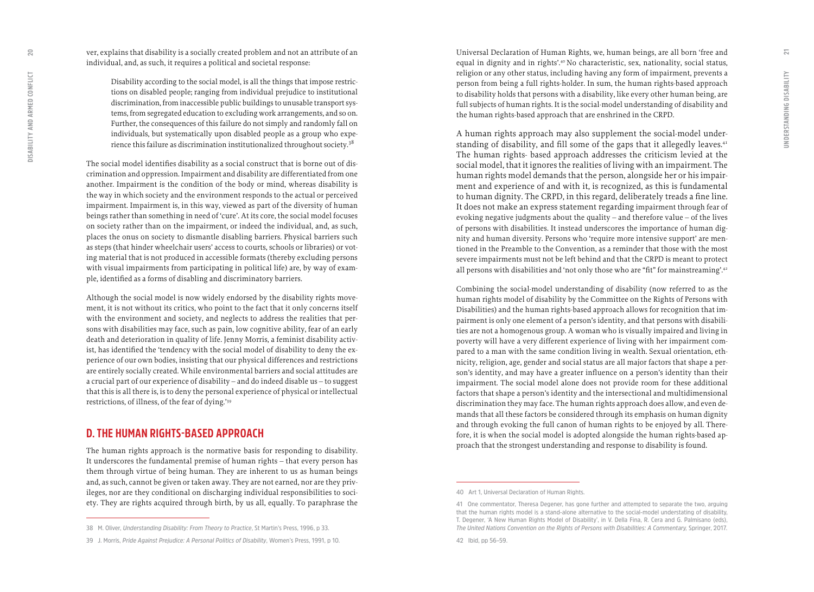ver, explains that disability is a socially created problem and not an attribute of an individual, and, as such, it requires a political and societal response:

Disability according to the social model, is all the things that impose restric tions on disabled people; ranging from individual prejudice to institutional discrimination, from inaccessible public buildings to unusable transport sys tems, from segregated education to excluding work arrangements, and so on. Further, the consequences of this failure do not simply and randomly fall on individuals, but systematically upon disabled people as a group who expe rience this failure as discrimination institutionalized throughout society.38

The social model identifies disability as a social construct that is borne out of dis crimination and oppression. Impairment and disability are differentiated from one another. Impairment is the condition of the body or mind, whereas disability is the way in which society and the environment responds to the actual or perceived impairment. Impairment is, in this way, viewed as part of the diversity of human beings rather than something in need of 'cure'. At its core, the social model focuses on society rather than on the impairment, or indeed the individual, and, as such, places the onus on society to dismantle disabling barriers. Physical barriers such as steps (that hinder wheelchair users' access to courts, schools or libraries) or vot ing material that is not produced in accessible formats (thereby excluding persons with visual impairments from participating in political life) are, by way of exam ple, identified as a forms of disabling and discriminatory barriers.

Although the social model is now widely endorsed by the disability rights move ment, it is not without its critics, who point to the fact that it only concerns itself with the environment and society, and neglects to address the realities that per sons with disabilities may face, such as pain, low cognitive ability, fear of an early death and deterioration in quality of life. Jenny Morris, a feminist disability activ ist, has identified the 'tendency with the social model of disability to deny the ex perience of our own bodies, insisting that our physical differences and restrictions are entirely socially created. While environmental barriers and social attitudes are a crucial part of our experience of disability – and do indeed disable us – to suggest that this is all there is, is to deny the personal experience of physical or intellectual restrictions, of illness, of the fear of dying.'39

## **D. THE HUMAN RIGHTS-BASED APPROACH**

The human rights approach is the normative basis for responding to disability. It underscores the fundamental premise of human rights – that every person has them through virtue of being human. They are inherent to us as human beings and, as such, cannot be given or taken away. They are not earned, nor are they priv ileges, nor are they conditional on discharging individual responsibilities to soci ety. They are rights acquired through birth, by us all, equally. To paraphrase the Universal Declaration of Human Rights, we, human beings, are all born 'free and equal in dignity and in rights'.40 No characteristic, sex, nationality, social status, religion or any other status, including having any form of impairment, prevents a person from being a full rights-holder. In sum, the human rights-based approach to disability holds that persons with a disability, like every other human being, are full subjects of human rights. It is the social-model understanding of disability and the human rights-based approach that are enshrined in the CRPD.

A human rights approach may also supplement the social-model under standing of disability, and fill some of the gaps that it allegedly leaves.<sup>41</sup> The human rights- based approach addresses the criticism levied at the social model, that it ignores the realities of living with an impairment. The human rights model demands that the person, alongside her or his impair ment and experience of and with it, is recognized, as this is fundamental to human dignity. The CRPD, in this regard, deliberately treads a fine line. It does not make an express statement regarding impairment through fear of evoking negative judgments about the quality – and therefore value – of the lives of persons with disabilities. It instead underscores the importance of human dig nity and human diversity. Persons who 'require more intensive support' are men tioned in the Preamble to the Convention, as a reminder that those with the most severe impairments must not be left behind and that the CRPD is meant to protect all persons with disabilities and 'not only those who are "fit" for mainstreaming'.<sup>42</sup>

Combining the social-model understanding of disability (now referred to as the human rights model of disability by the Committee on the Rights of Persons with Disabilities) and the human rights-based approach allows for recognition that im pairment is only one element of a person's identity, and that persons with disabili ties are not a homogenous group. A woman who is visually impaired and living in poverty will have a very different experience of living with her impairment com pared to a man with the same condition living in wealth. Sexual orientation, eth nicity, religion, age, gender and social status are all major factors that shape a per son's identity, and may have a greater influence on a person's identity than their impairment. The social model alone does not provide room for these additional factors that shape a person's identity and the intersectional and multidimensional discrimination they may face. The human rights approach does allow, and even de mands that all these factors be considered through its emphasis on human dignity and through evoking the full canon of human rights to be enjoyed by all. There fore, it is when the social model is adopted alongside the human rights-based ap proach that the strongest understanding and response to disability is found.

<span id="page-10-0"></span> $\overline{20}$ 

**<sup>38</sup> M. Oliver,** *Understanding Disability: From Theory to Practice***, St Martin's Press, 1996, p 33.**

**<sup>39</sup> J. Morris,** *Pride Against Prejudice: A Personal Politics of Disability***, Women's Press, 1991, p 10.**

**<sup>40</sup> Art 1, Universal Declaration of Human Rights.**

**<sup>41</sup> One commentator, Theresa Degener, has gone further and attempted to separate the two, arguing that the human rights model is a stand-alone alternative to the social-model understating of disability, T. Degener, 'A New Human Rights Model of Disability', in V. Della Fina, R. Cera and G. Palmisano (eds),**  *The United Nations Convention on the Rights of Persons with Disabilities: A Commentary,* **Springer, 2017.**

**<sup>42</sup> Ibid, pp 56–59.**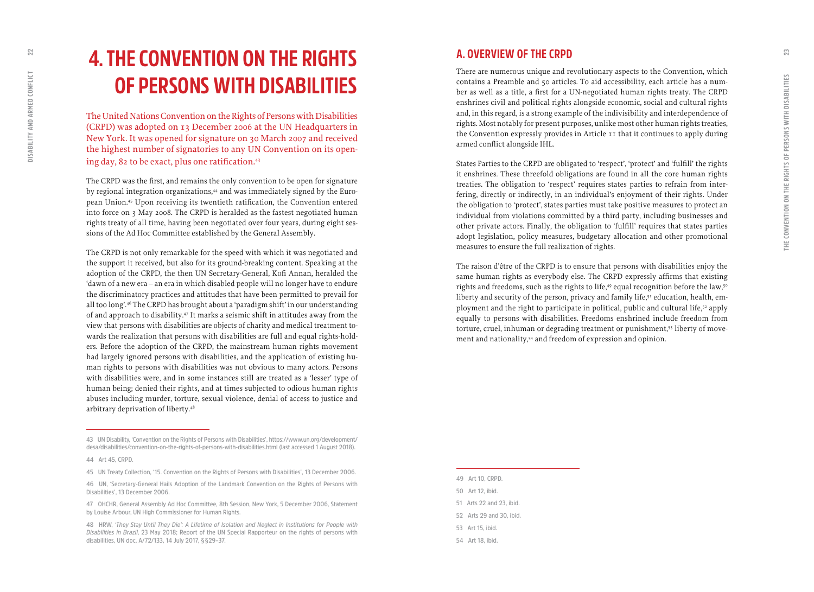## <span id="page-11-0"></span>**4. THE CONVENTION ON THE RIGHTS OF PERSONS WITH DISABILITIES**

The United Nations Convention on the Rights of Persons with Disabilities (CRPD) was adopted on 13 December 2006 at the UN Headquarters in New York. It was opened for signature on 30 March 2007 and received the highest number of signatories to any UN Convention on its open ing day, 82 to be exact, plus one ratification.<sup>43</sup>

The CRPD was the first, and remains the only convention to be open for signature by regional integration organizations,<sup>44</sup> and was immediately signed by the European Union.45 Upon receiving its twentieth ratification, the Convention entered into force on 3 May 2008. The CRPD is heralded as the fastest negotiated human rights treaty of all time, having been negotiated over four years, during eight ses sions of the Ad Hoc Committee established by the General Assembly.

The CRPD is not only remarkable for the speed with which it was negotiated and the support it received, but also for its ground-breaking content. Speaking at the adoption of the CRPD, the then UN Secretary-General, Kofi Annan, heralded the 'dawn of a new era – an era in which disabled people will no longer have to endure the discriminatory practices and attitudes that have been permitted to prevail for all too long'.46 The CRPD has brought about a 'paradigm shift' in our understanding of and approach to disability.47 It marks a seismic shift in attitudes away from the view that persons with disabilities are objects of charity and medical treatment to wards the realization that persons with disabilities are full and equal rights-hold ers. Before the adoption of the CRPD, the mainstream human rights movement had largely ignored persons with disabilities, and the application of existing hu man rights to persons with disabilities was not obvious to many actors. Persons with disabilities were, and in some instances still are treated as a 'lesser' type of human being; denied their rights, and at times subjected to odious human rights abuses including murder, torture, sexual violence, denial of access to justice and arbitrary deprivation of liberty.48

## **A. OVERVIEW OF THE CRPD**

There are numerous unique and revolutionary aspects to the Convention, which contains a Preamble and 50 articles. To aid accessibility, each article has a num ber as well as a title, a first for a UN-negotiated human rights treaty. The CRPD enshrines civil and political rights alongside economic, social and cultural rights and, in this regard, is a strong example of the indivisibility and interdependence of rights. Most notably for present purposes, unlike most other human rights treaties, the Convention expressly provides in Article 11 that it continues to apply during armed conflict alongside IHL.

States Parties to the CRPD are obligated to 'respect', 'protect' and 'fulfill' the rights it enshrines. These threefold obligations are found in all the core human rights treaties. The obligation to 'respect' requires states parties to refrain from inter fering, directly or indirectly, in an individual's enjoyment of their rights. Under the obligation to 'protect', states parties must take positive measures to protect an individual from violations committed by a third party, including businesses and other private actors. Finally, the obligation to 'fulfill' requires that states parties adopt legislation, policy measures, budgetary allocation and other promotional measures to ensure the full realization of rights.

The raison d' être of the CRPD is to ensure that persons with disabilities enjoy the same human rights as everybody else. The CRPD expressly affirms that existing rights and freedoms, such as the rights to life,<sup>49</sup> equal recognition before the law,<sup>50</sup> liberty and security of the person, privacy and family life, $51$  education, health, employment and the right to participate in political, public and cultural life,<sup>52</sup> apply equally to persons with disabilities. Freedoms enshrined include freedom from torture, cruel, inhuman or degrading treatment or punishment,<sup>53</sup> liberty of movement and nationality,<sup>54</sup> and freedom of expression and opinion.

**<sup>43</sup> UN Disability, 'Convention on the Rights of Persons with Disabilities', [https://www.un.org/development/](https://www.un.org/development/desa/disabilities/convention-on-the-rights-of-persons-with-disabilities.html) [desa/disabilities/convention-on-the-rights-of-persons-with-disabilities.html](https://www.un.org/development/desa/disabilities/convention-on-the-rights-of-persons-with-disabilities.html) (last accessed 1 August 2018).**

**<sup>44</sup> Art 45, CRPD.**

**<sup>45</sup> UN Treaty Collection, '15. Convention on the Rights of Persons with Disabilities', 13 December 2006.**

**<sup>46</sup> UN, 'Secretary-General Hails Adoption of the Landmark Convention on the Rights of Persons with Disabilities', 13 December 2006.**

**<sup>47</sup> OHCHR, General Assembly Ad Hoc Committee, 8th Session, New York, 5 December 2006, Statement by Louise Arbour, UN High Commissioner for Human Rights.**

**<sup>48</sup> HRW,** *'They Stay Until They Die': A Lifetime of Isolation and Neglect in Institutions for People with Disabilities in Brazil***, 23 May 2018; Report of the UN Special Rapporteur on the rights of persons with disabilities, UN doc, A/72/133, 14 July 2017, §§29–37.** 

**<sup>49</sup> Art 10, CRPD. 50 Art 12, ibid. 51 Arts 22 and 23, ibid. 52 Arts 29 and 30, ibid. 53 Art 15, ibid. 54 Art 18, ibid.**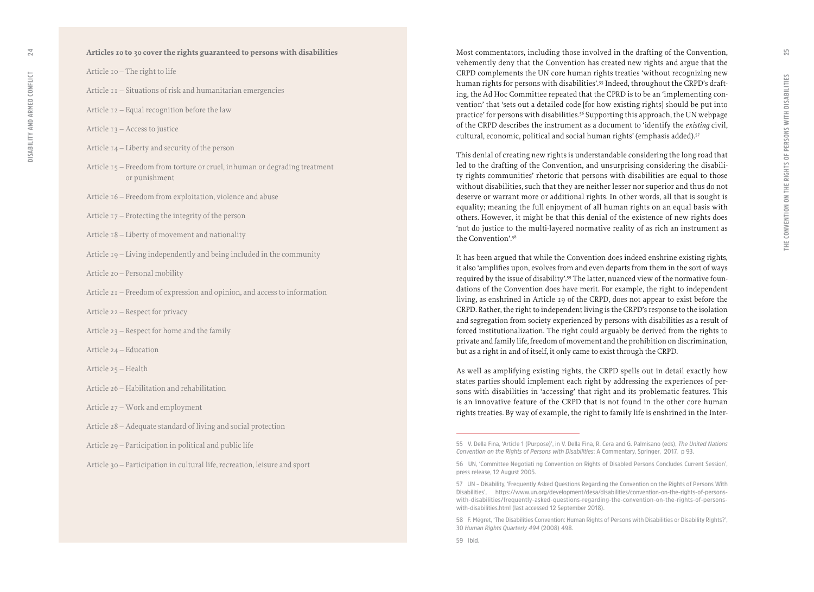#### **Articles 10 to 30 cover the rights guaranteed to persons with disabilities**

Article 10 – The right to life

- Article 11 Situations of risk and humanitarian emergencies
- Article 12 Equal recognition before the law
- Article 13 Access to justice
- Article 14 Liberty and security of the person
- Article 15 Freedom from torture or cruel, inhuman or degrading treatment or punishment
- Article 16 Freedom from exploitation, violence and abuse
- Article 17 Protecting the integrity of the person
- Article 18 Liberty of movement and nationality
- Article 19 Living independently and being included in the community
- Article 20 Personal mobility
- Article 21 Freedom of expression and opinion, and access to information
- Article 22 Respect for privacy
- Article 23 Respect for home and the family
- Article 24 Education
- Article 25 Health
- Article 26 Habilitation and rehabilitation
- Article 27 Work and employment
- Article 28 Adequate standard of living and social protection
- Article 29 Participation in political and public life
- Article 30 Participation in cultural life, recreation, leisure and sport

Most commentators, including those involved in the drafting of the Convention, vehemently deny that the Convention has created new rights and argue that the CRPD complements the UN core human rights treaties 'without recognizing new human rights for persons with disabilities'.55 Indeed, throughout the CRPD's draft ing, the Ad Hoc Committee repeated that the CPRD is to be an 'implementing con vention' that 'sets out a detailed code [for how existing rights] should be put into practice' for persons with disabilities.<sup>56</sup> Supporting this approach, the UN webpage of the CRPD describes the instrument as a document to 'identify the *existing* civil, cultural, economic, political and social human rights' (emphasis added).<sup>57</sup>

This denial of creating new rights is understandable considering the long road that led to the drafting of the Convention, and unsurprising considering the disabili ty rights communities' rhetoric that persons with disabilities are equal to those without disabilities, such that they are neither lesser nor superior and thus do not deserve or warrant more or additional rights. In other words, all that is sought is equality; meaning the full enjoyment of all human rights on an equal basis with others. However, it might be that this denial of the existence of new rights does 'not do justice to the multi-layered normative reality of as rich an instrument as the Convention'.58

It has been argued that while the Convention does indeed enshrine existing rights, it also 'amplifies upon, evolves from and even departs from them in the sort of ways required by the issue of disability'.59 The latter, nuanced view of the normative foun dations of the Convention does have merit. For example, the right to independent living, as enshrined in Article 19 of the CRPD, does not appear to exist before the CRPD. Rather, the right to independent living is the CRPD's response to the isolation and segregation from society experienced by persons with disabilities as a result of forced institutionalization. The right could arguably be derived from the rights to private and family life, freedom of movement and the prohibition on discrimination, but as a right in and of itself, it only came to exist through the CRPD.

As well as amplifying existing rights, the CRPD spells out in detail exactly how states parties should implement each right by addressing the experiences of per sons with disabilities in 'accessing' that right and its problematic features. This is an innovative feature of the CRPD that is not found in the other core human rights treaties. By way of example, the right to family life is enshrined in the Inter -

**<sup>55</sup> V. Della Fina, 'Article 1 (Purpose)', in V. Della Fina, R. Cera and G. Palmisano (eds),** *The United Nations Convention on the Rights of Persons with Disabilities***: A Commentary, Springer, 2017, p 93.** 

**<sup>56</sup> UN, 'Committee Negotiati ng Convention on Rights of Disabled Persons Concludes Current Session', press release, 12 August 2005.**

**<sup>57</sup> UN – Disability, 'Frequently Asked Questions Regarding the Convention on the Rights of Persons With Disabilities', https://www.un.org/development/desa/disabilities/convention-on-the-rights-of-personswith-disabilities/frequently-asked-questions-regarding-the-convention-on-the-rights-of-personswith-disabilities.html (last accessed 12 September 2018).** 

**<sup>58</sup> F. Mégret, 'The Disabilities Convention: Human Rights of Persons with Disabilities or Disability Rights?', 30** *Human Rights Quarterly 494* **(2008) 498.**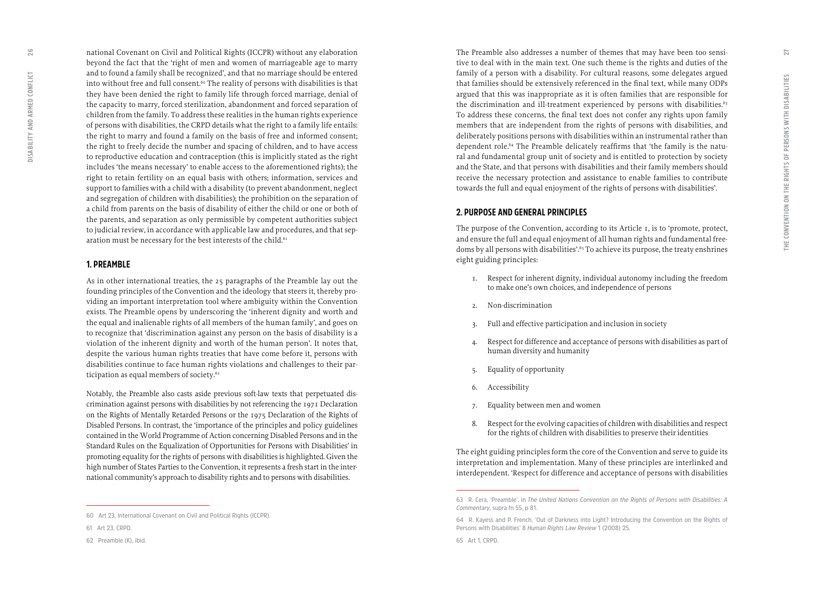national Covenant on Civil and Political Rights (ICCPR) without any elaboration beyond the fact that the 'right of men and women of marriageable age to marry and to found a family shall be recognized', and that no marriage should be entered into without free and full consent.<sup>60</sup> The reality of persons with disabilities is that they have been denied the right to family life through forced marriage, denial of the capacity to marry, forced sterilization, abandonment and forced separation of children from the family. To address these realities in the human rights experience of persons with disabilities, the CRPD details what the right to a family life entails: the right to marry and found a family on the basis of free and informed consent; the right to freely decide the number and spacing of children, and to have access to reproductive education and contraception (this is implicitly stated as the right includes 'the means necessary' to enable access to the aforementioned rights); the right to retain fertility on an equal basis with others; information, services and support to families with a child with a disability (to prevent abandonment, neglect and segregation of children with disabilities); the prohibition on the separation of a child from parents on the basis of disability of either the child or one or both of the parents, and separation as only permissible by competent authorities subject to judicial review, in accordance with applicable law and procedures, and that sep aration must be necessary for the best interests of the child.<sup>61</sup>

#### **1. PREAMBLE**

As in other international treaties, the 25 paragraphs of the Preamble lay out the founding principles of the Convention and the ideology that steers it, thereby pro viding an important interpretation tool where ambiguity within the Convention exists. The Preamble opens by underscoring the 'inherent dignity and worth and the equal and inalienable rights of all members of the human family', and goes on to recognize that 'discrimination against any person on the basis of disability is a violation of the inherent dignity and worth of the human person'. It notes that, despite the various human rights treaties that have come before it, persons with disabilities continue to face human rights violations and challenges to their par ticipation as equal members of society.<sup>62</sup>

Notably, the Preamble also casts aside previous soft-law texts that perpetuated dis crimination against persons with disabilities by not referencing the 1971 Declaration on the Rights of Mentally Retarded Persons or the 1975 Declaration of the Rights of Disabled Persons. In contrast, the 'importance of the principles and policy guidelines contained in the World Programme of Action concerning Disabled Persons and in the Standard Rules on the Equalization of Opportunities for Persons with Disabilities' in promoting equality for the rights of persons with disabilities is highlighted. Given the high number of States Parties to the Convention, it represents a fresh start in the inter national community's approach to disability rights and to persons with disabilities.

The Preamble also addresses a number of themes that may have been too sensi tive to deal with in the main text. One such theme is the rights and duties of the family of a person with a disability. For cultural reasons, some delegates argued that families should be extensively referenced in the final text, while many ODPs argued that this was inappropriate as it is often families that are responsible for the discrimination and ill-treatment experienced by persons with disabilities.<sup>63</sup> To address these concerns, the final text does not confer any rights upon family members that are independent from the rights of persons with disabilities, and deliberately positions persons with disabilities within an instrumental rather than dependent role.<sup>64</sup> The Preamble delicately reaffirms that 'the family is the natural and fundamental group unit of society and is entitled to protection by society and the State, and that persons with disabilities and their family members should receive the necessary protection and assistance to enable families to contribute towards the full and equal enjoyment of the rights of persons with disabilities'.

#### **2. PURPOSE AND GENERAL PRINCIPLES**

The purpose of the Convention, according to its Article 1, is to 'promote, protect, and ensure the full and equal enjoyment of all human rights and fundamental free doms by all persons with disabilities'.<sup>65</sup> To achieve its purpose, the treaty enshrines eight guiding principles:

- 1. Respect for inherent dignity, individual autonomy including the freedom to make one's own choices, and independence of persons
- 2. Non-discrimination
- 3. Full and effective participation and inclusion in society
- 4. Respect for difference and acceptance of persons with disabilities as part of human diversity and humanity
- 5. Equality of opportunity
- 6. Accessibility
- 7. Equality between men and women
- 8. Respect for the evolving capacities of children with disabilities and respect for the rights of children with disabilities to preserve their identities

The eight guiding principles form the core of the Convention and serve to guide its interpretation and implementation. Many of these principles are interlinked and interdependent. 'Respect for difference and acceptance of persons with disabilities

<span id="page-13-0"></span>26

**<sup>60</sup> Art 23, International Covenant on Civil and Political Rights (ICCPR).** 

**<sup>61</sup> Art 23, CRPD.**

**<sup>62</sup> Preamble (K), ibid.**

**<sup>63</sup> R. Cera, 'Preamble', in** *The United Nations Convention on the Rights of Persons with Disabilities: A Commentary***, supra fn 55, p 81.**

**<sup>64</sup> R. Kayess and P. French, 'Out of Darkness into Light? Introducing the Convention on the Rights of Persons with Disabilities' 8** *Human Rights Law Review* **1 (2008) 25.**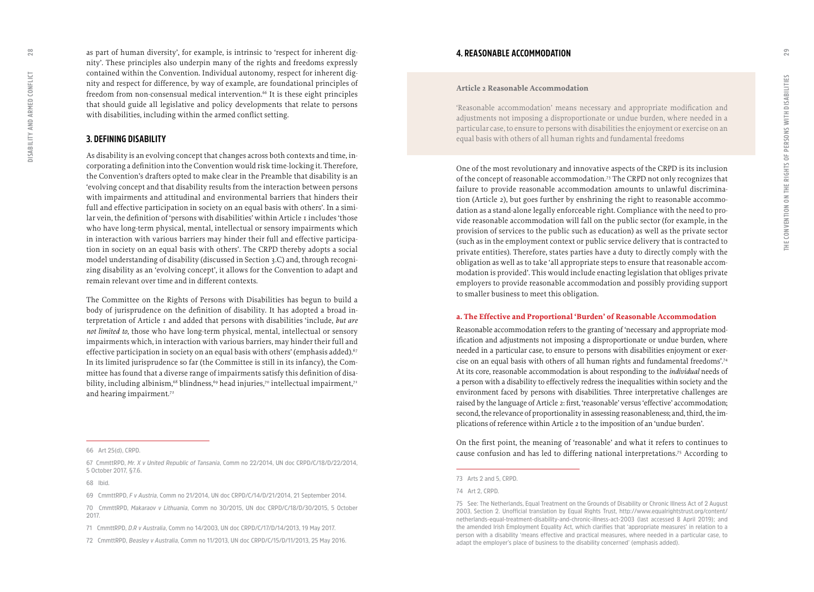<span id="page-14-0"></span>as part of human diversity', for example, is intrinsic to 'respect for inherent dig nity'. These principles also underpin many of the rights and freedoms expressly contained within the Convention. Individual autonomy, respect for inherent dig nity and respect for difference, by way of example, are foundational principles of freedom from non-consensual medical intervention.<sup>66</sup> It is these eight principles that should guide all legislative and policy developments that relate to persons with disabilities, including within the armed conflict setting.

#### **3. DEFINING DISABILITY**

As disability is an evolving concept that changes across both contexts and time, in corporating a definition into the Convention would risk time-locking it. Therefore, the Convention's drafters opted to make clear in the Preamble that disability is an 'evolving concept and that disability results from the interaction between persons with impairments and attitudinal and environmental barriers that hinders their full and effective participation in society on an equal basis with others'. In a simi lar vein, the definition of 'persons with disabilities' within Article 1 includes 'those who have long-term physical, mental, intellectual or sensory impairments which in interaction with various barriers may hinder their full and effective participa tion in society on an equal basis with others'. The CRPD thereby adopts a social model understanding of disability (discussed in Section 3.C) and, through recogni zing disability as an 'evolving concept', it allows for the Convention to adapt and remain relevant over time and in different contexts.

The Committee on the Rights of Persons with Disabilities has begun to build a body of jurisprudence on the definition of disability. It has adopted a broad in terpretation of Article 1 and added that persons with disabilities 'include, *but are not limited to*, those who have long-term physical, mental, intellectual or sensory impairments which, in interaction with various barriers, may hinder their full and effective participation in society on an equal basis with others' (emphasis added).<sup>67</sup> In its limited jurisprudence so far (the Committee is still in its infancy), the Com mittee has found that a diverse range of impairments satisfy this definition of disa bility, including albinism,<sup>68</sup> blindness,<sup>69</sup> head injuries,<sup>70</sup> intellectual impairment,<sup>71</sup> and hearing impairment.<sup>72</sup>

#### **Article 2 Reasonable Accommodation**

'Reasonable accommodation' means necessary and appropriate modification and adjustments not imposing a disproportionate or undue burden, where needed in a particular case, to ensure to persons with disabilities the enjoyment or exercise on an equal basis with others of all human rights and fundamental freedoms

One of the most revolutionary and innovative aspects of the CRPD is its inclusion of the concept of reasonable accommodation.73 The CRPD not only recognizes that failure to provide reasonable accommodation amounts to unlawful discrimina tion (Article 2), but goes further by enshrining the right to reasonable accommodation as a stand-alone legally enforceable right. Compliance with the need to pro vide reasonable accommodation will fall on the public sector (for example, in the provision of services to the public such as education) as well as the private sector (such as in the employment context or public service delivery that is contracted to private entities). Therefore, states parties have a duty to directly comply with the obligation as well as to take 'all appropriate steps to ensure that reasonable accom modation is provided'. This would include enacting legislation that obliges private employers to provide reasonable accommodation and possibly providing support to smaller business to meet this obligation.

#### **a. The Effective and Proportional 'Burden' of Reasonable Accommodation**

Reasonable accommodation refers to the granting of 'necessary and appropriate mod ification and adjustments not imposing a disproportionate or undue burden, where needed in a particular case, to ensure to persons with disabilities enjoyment or exer cise on an equal basis with others of all human rights and fundamental freedoms'.74 At its core, reasonable accommodation is about responding to the *individual* needs of a person with a disability to effectively redress the inequalities within society and the environment faced by persons with disabilities. Three interpretative challenges are raised by the language of Article 2: first, 'reasonable' versus 'effective' accommodation; second, the relevance of proportionality in assessing reasonableness; and, third, the implications of reference within Article 2 to the imposition of an 'undue burden'.

On the first point, the meaning of 'reasonable' and what it refers to continues to cause confusion and has led to differing national interpretations.75 According to

**<sup>66</sup> Art 25(d), CRPD.** 

**<sup>67</sup> CmmttRPD,** *Mr. X v United Republic of Tansania***, Comm no 22/2014, UN doc CRPD/C/18/D/22/2014, 5 October 2017, §7.6.**

**<sup>68</sup> Ibid.**

**<sup>69</sup> CmmttRPD,** *F v Austria***, Comm no 21/2014, UN doc CRPD/C/14/D/21/2014, 21 September 2014.** 

**<sup>70</sup> CmmttRPD,** *Makaraov v Lithuania***, Comm no 30/2015, UN doc CRPD/C/18/D/30/2015, 5 October 2017.**

**<sup>71</sup> CmmttRPD,** *D.R v Australia***, Comm no 14/2003, UN doc CRPD/C/17/D/14/2013, 19 May 2017.** 

**<sup>72</sup> CmmttRPD,** *Beasley v Australia***, Comm no 11/2013, UN doc CRPD/C/15/D/11/2013, 25 May 2016.** 

**<sup>73</sup> Arts 2 and 5, CRPD.** 

**<sup>74</sup> Art 2, CRPD.**

**<sup>75</sup> See: The Netherlands, Equal Treatment on the Grounds of Disability or Chronic Illness Act of 2 August 2003, Section 2. Unofficial translation by Equal Rights Trust, [http://www.equalrightstrust.org/content/](http://www.equalrightstrust.org/content/netherlands-equal-treatment-disability-and-chronic-illness-act-2003) [netherlands-equal-treatment-disability-and-chronic-illness-act-2003](http://www.equalrightstrust.org/content/netherlands-equal-treatment-disability-and-chronic-illness-act-2003) (last accessed 8 April 2019); and the amended Irish Employment Equality Act, which clarifies that 'appropriate measures' in relation to a person with a disability 'means effective and practical measures, where needed in a particular case, to adapt the employer's place of business to the disability concerned' (emphasis added).**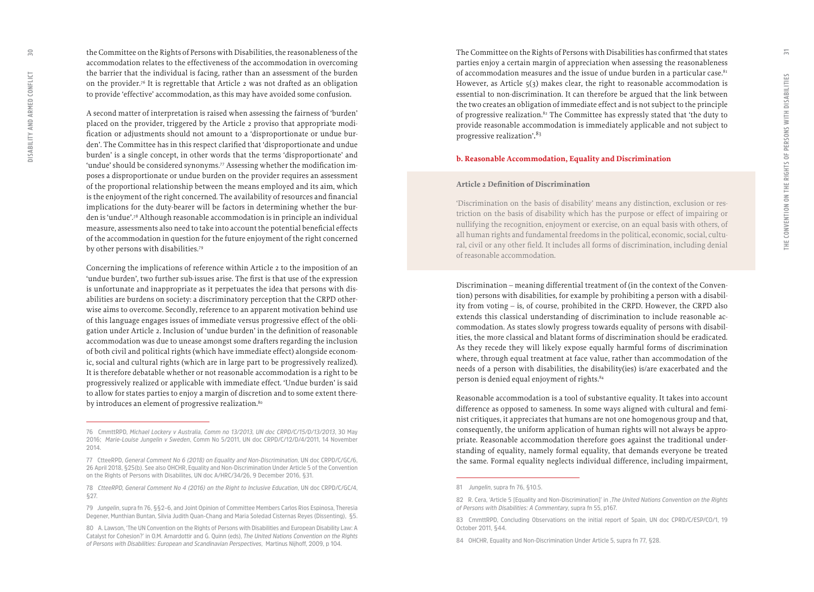the Committee on the Rights of Persons with Disabilities, the reasonableness of the accommodation relates to the effectiveness of the accommodation in overcoming the barrier that the individual is facing, rather than an assessment of the burden on the provider.76 It is regrettable that Article 2 was not drafted as an obligation to provide 'effective' accommodation, as this may have avoided some confusion.

A second matter of interpretation is raised when assessing the fairness of 'burden' placed on the provider, triggered by the Article 2 proviso that appropriate modi fication or adjustments should not amount to a 'disproportionate or undue bur den'. The Committee has in this respect clarified that 'disproportionate and undue burden' is a single concept, in other words that the terms 'disproportionate' and 'undue' should be considered synonyms.77 Assessing whether the modification im poses a disproportionate or undue burden on the provider requires an assessment of the proportional relationship between the means employed and its aim, which is the enjoyment of the right concerned. The availability of resources and financial implications for the duty-bearer will be factors in determining whether the bur den is 'undue'.78 Although reasonable accommodation is in principle an individual measure, assessments also need to take into account the potential beneficial effects of the accommodation in question for the future enjoyment of the right concerned by other persons with disabilities.79

Concerning the implications of reference within Article 2 to the imposition of an 'undue burden', two further sub-issues arise. The first is that use of the expression is unfortunate and inappropriate as it perpetuates the idea that persons with dis abilities are burdens on society: a discriminatory perception that the CRPD other wise aims to overcome. Secondly, reference to an apparent motivation behind use of this language engages issues of immediate versus progressive effect of the obli gation under Article 2. Inclusion of 'undue burden' in the definition of reasonable accommodation was due to unease amongst some drafters regarding the inclusion of both civil and political rights (which have immediate effect) alongside econom ic, social and cultural rights (which are in large part to be progressively realized). It is therefore debatable whether or not reasonable accommodation is a right to be progressively realized or applicable with immediate effect. 'Undue burden' is said to allow for states parties to enjoy a margin of discretion and to some extent there by introduces an element of progressive realization.<sup>80</sup>

The Committee on the Rights of Persons with Disabilities has confirmed that states parties enjoy a certain margin of appreciation when assessing the reasonableness of accommodation measures and the issue of undue burden in a particular case. $81$ However, as Article  $5(3)$  makes clear, the right to reasonable accommodation is essential to non-discrimination. It can therefore be argued that the link between the two creates an obligation of immediate effect and is not subject to the principle of progressive realization.82 The Committee has expressly stated that 'the duty to provide reasonable accommodation is immediately applicable and not subject to progressive realization'.<sup>83</sup>

#### **b. Reasonable Accommodation, Equality and Discrimination**

#### **Article 2 Definition of Discrimination**

'Discrimination on the basis of disability' means any distinction, exclusion or res triction on the basis of disability which has the purpose or effect of impairing or nullifying the recognition, enjoyment or exercise, on an equal basis with others, of all human rights and fundamental freedoms in the political, economic, social, cultu ral, civil or any other field. It includes all forms of discrimination, including denial of reasonable accommodation.

Discrimination – meaning differential treatment of (in the context of the Conven tion) persons with disabilities, for example by prohibiting a person with a disabil ity from voting – is, of course, prohibited in the CRPD. However, the CRPD also extends this classical understanding of discrimination to include reasonable ac commodation. As states slowly progress towards equality of persons with disabil ities, the more classical and blatant forms of discrimination should be eradicated. As they recede they will likely expose equally harmful forms of discrimination where, through equal treatment at face value, rather than accommodation of the needs of a person with disabilities, the disability(ies) is/are exacerbated and the person is denied equal enjoyment of rights.84

Reasonable accommodation is a tool of substantive equality. It takes into account difference as opposed to sameness. In some ways aligned with cultural and femi nist critiques, it appreciates that humans are not one homogenous group and that, consequently, the uniform application of human rights will not always be appro priate. Reasonable accommodation therefore goes against the traditional under standing of equality, namely formal equality, that demands everyone be treated the same. Formal equality neglects individual difference, including impairment,

**<sup>76</sup> CmmttRPD,** *Michael Lockery v Australia, Comm no 13/2013, UN doc CRPD/C/15/D/13/2013***, 30 May 2016;** *Marie-Louise Jungelin v Sweden***, Comm No 5/2011, UN doc CRPD/C/12/D/4/2011, 14 November 2014.**

**<sup>77</sup> CtteeRPD,** *General Comment No 6 (2018) on Equality and Non-Discrimination***, UN doc CRPD/C/GC/6, 26 April 2018, §25(b). See also OHCHR, Equality and Non-Discrimination Under Article 5 of the Convention on the Rights of Persons with Disabilites, UN doc A/HRC/34/26, 9 December 2016, §31.**

**<sup>78</sup>** *CtteeRPD, General Comment No 4 (2016) on the Right to Inclusive Education***, UN doc CRPD/C/GC/4, §27.**

**<sup>79</sup>** *Jungelin***, supra fn 76, §§2–6, and Joint Opinion of Committee Members Carlos Rios Espinosa, Theresia Degener, Munthian Buntan, Silvia Judith Quan-Chang and Maria Soledad Cisternas Reyes (Dissenting), §5.**

**<sup>80</sup> A. Lawson, 'The UN Convention on the Rights of Persons with Disabilities and European Disability Law: A Catalyst for Cohesion?' in O.M. Arnardottir and G. Quinn (eds),** *The United Nations Convention on the Rights of Persons with Disabilities: European and Scandinavian Perspectives***, Martinus Nijhoff, 2009, p 104.**

**<sup>81</sup>** *Jungelin***, supra fn 76, §10.5.**

**<sup>82</sup> R. Cera, 'Article 5 [Equality and Non-Discrimination]' in ,***The United Nations Convention on the Rights of Persons with Disabilities: A Commentary***, supra fn 55, p167.** 

**<sup>83</sup> CmmttRPD, Concluding Observations on the initial report of Spain, UN doc CPRD/C/ESP/CO/1, 19 October 2011, §44.**

**<sup>84</sup> OHCHR, Equality and Non-Discrimination Under Article 5, supra fn 77, §28.**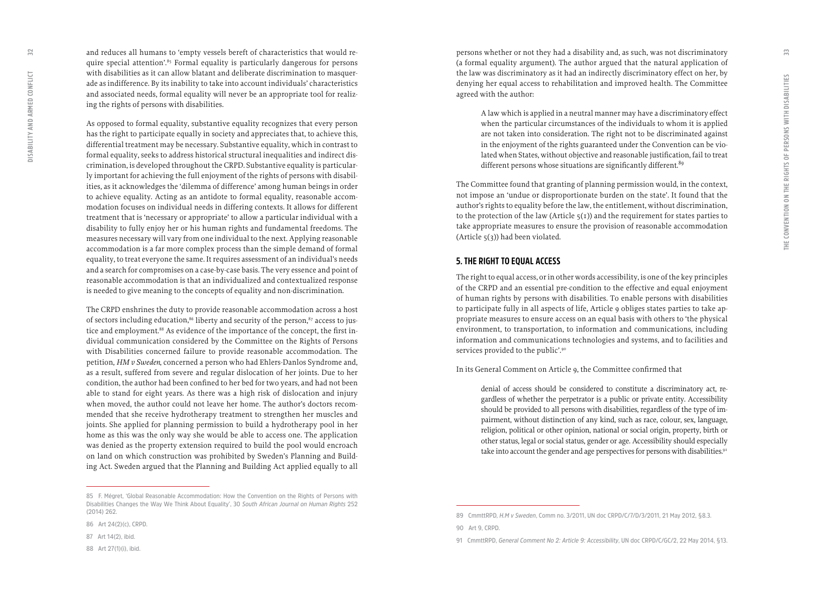<span id="page-16-0"></span>and reduces all humans to 'empty vessels bereft of characteristics that would re quire special attention'.<sup>85</sup> Formal equality is particularly dangerous for persons with disabilities as it can allow blatant and deliberate discrimination to masquer ade as indifference. By its inability to take into account individuals' characteristics and associated needs, formal equality will never be an appropriate tool for realiz ing the rights of persons with disabilities.

As opposed to formal equality, substantive equality recognizes that every person has the right to participate equally in society and appreciates that, to achieve this, differential treatment may be necessary. Substantive equality, which in contrast to formal equality, seeks to address historical structural inequalities and indirect dis crimination, is developed throughout the CRPD. Substantive equality is particular ly important for achieving the full enjoyment of the rights of persons with disabil ities, as it acknowledges the 'dilemma of difference' among human beings in order to achieve equality. Acting as an antidote to formal equality, reasonable accom modation focuses on individual needs in differing contexts. It allows for different treatment that is 'necessary or appropriate' to allow a particular individual with a disability to fully enjoy her or his human rights and fundamental freedoms. The measures necessary will vary from one individual to the next. Applying reasonable accommodation is a far more complex process than the simple demand of formal equality, to treat everyone the same. It requires assessment of an individual's needs and a search for compromises on a case-by-case basis. The very essence and point of reasonable accommodation is that an individualized and contextualized response is needed to give meaning to the concepts of equality and non-discrimination.

The CRPD enshrines the duty to provide reasonable accommodation across a host of sectors including education,<sup>86</sup> liberty and security of the person,<sup>87</sup> access to justice and employment.<sup>88</sup> As evidence of the importance of the concept, the first individual communication considered by the Committee on the Rights of Persons with Disabilities concerned failure to provide reasonable accommodation. The petition, *HM v Sweden*, concerned a person who had Ehlers-Danlos Syndrome and, as a result, suffered from severe and regular dislocation of her joints. Due to her condition, the author had been confined to her bed for two years, and had not been able to stand for eight years. As there was a high risk of dislocation and injury when moved, the author could not leave her home. The author's doctors recom mended that she receive hydrotherapy treatment to strengthen her muscles and joints. She applied for planning permission to build a hydrotherapy pool in her home as this was the only way she would be able to access one. The application was denied as the property extension required to build the pool would encroach on land on which construction was prohibited by Sweden's Planning and Build ing Act. Sweden argued that the Planning and Building Act applied equally to all persons whether or not they had a disability and, as such, was not discriminatory (a formal equality argument). The author argued that the natural application of the law was discriminatory as it had an indirectly discriminatory effect on her, by denying her equal access to rehabilitation and improved health. The Committee agreed with the author:

A law which is applied in a neutral manner may have a discriminatory effect when the particular circumstances of the individuals to whom it is applied are not taken into consideration. The right not to be discriminated against in the enjoyment of the rights guaranteed under the Convention can be vio lated when States, without objective and reasonable justification, fail to treat different persons whose situations are significantly different.<sup>89</sup>

The Committee found that granting of planning permission would, in the context, not impose an 'undue or disproportionate burden on the state'. It found that the author's rights to equality before the law, the entitlement, without discrimination, to the protection of the law (Article  $5(1)$ ) and the requirement for states parties to take appropriate measures to ensure the provision of reasonable accommodation (Article  $5(3)$ ) had been violated.

#### **5. THE RIGHT TO EQUAL ACCESS**

The right to equal access, or in other words accessibility, is one of the key principles of the CRPD and an essential pre-condition to the effective and equal enjoyment of human rights by persons with disabilities. To enable persons with disabilities to participate fully in all aspects of life, Article 9 obliges states parties to take ap propriate measures to ensure access on an equal basis with others to 'the physical environment, to transportation, to information and communications, including information and communications technologies and systems, and to facilities and services provided to the public'.<sup>90</sup>

#### In its General Comment on Article 9, the Committee confirmed that

denial of access should be considered to constitute a discriminatory act, re gardless of whether the perpetrator is a public or private entity. Accessibility should be provided to all persons with disabilities, regardless of the type of im pairment, without distinction of any kind, such as race, colour, sex, language, religion, political or other opinion, national or social origin, property, birth or other status, legal or social status, gender or age. Accessibility should especially take into account the gender and age perspectives for persons with disabilities.<sup>91</sup>

**<sup>85</sup> F. Mégret, 'Global Reasonable Accommodation: How the Convention on the Rights of Persons with Disabilities Changes the Way We Think About Equality', 30** *South African Journal on Human Rights* **252 (2014) 262.** 

**<sup>86</sup> Art 24(2)(c), CRPD.**

**<sup>87</sup> Art 14(2), ibid.**

**<sup>88</sup> Art 27(1)(i), ibid.** 

**<sup>89</sup> CmmttRPD,** *H.M v Sweden***, Comm no. 3/2011, UN doc CRPD/C/7/D/3/2011, 21 May 2012, §8.3.**

**<sup>90</sup> Art 9, CRPD.** 

**<sup>91</sup> CmmttRPD,** *General Comment No 2: Article 9: Accessibility***, UN doc CRPD/C/GC/2, 22 May 2014, §13.**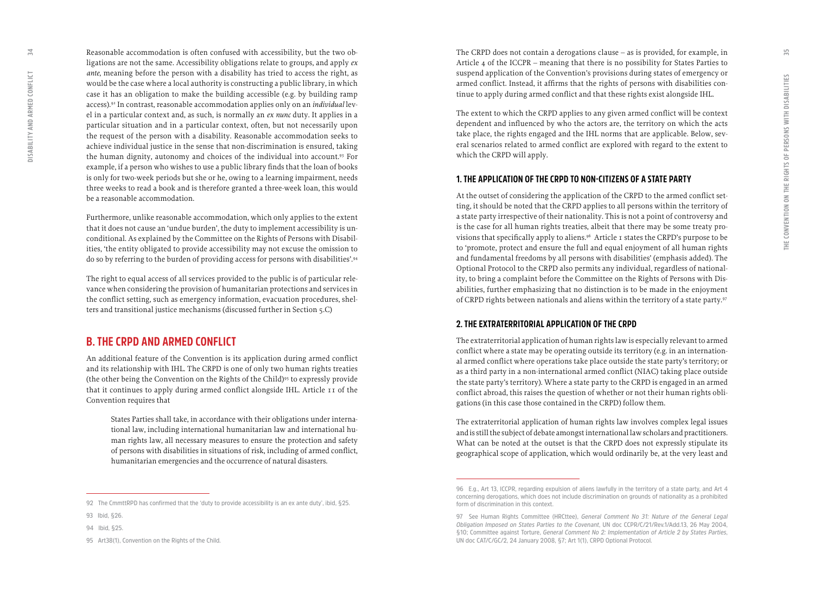Reasonable accommodation is often confused with accessibility, but the two ob ligations are not the same. Accessibility obligations relate to groups, and apply *ex ante*, meaning before the person with a disability has tried to access the right, as would be the case where a local authority is constructing a public library, in which case it has an obligation to make the building accessible (e.g. by building ramp access).92 In contrast, reasonable accommodation applies only on an *individual* lev el in a particular context and, as such, is normally an *ex nunc* duty. It applies in a particular situation and in a particular context, often, but not necessarily upon the request of the person with a disability. Reasonable accommodation seeks to achieve individual justice in the sense that non-discrimination is ensured, taking the human dignity, autonomy and choices of the individual into account.93 For example, if a person who wishes to use a public library finds that the loan of books is only for two-week periods but she or he, owing to a learning impairment, needs three weeks to read a book and is therefore granted a three-week loan, this would be a reasonable accommodation.

Furthermore, unlike reasonable accommodation, which only applies to the extent that it does not cause an 'undue burden', the duty to implement accessibility is un conditional. As explained by the Committee on the Rights of Persons with Disabil ities, 'the entity obligated to provide accessibility may not excuse the omission to do so by referring to the burden of providing access for persons with disabilities'.94

The right to equal access of all services provided to the public is of particular rele vance when considering the provision of humanitarian protections and services in the conflict setting, such as emergency information, evacuation procedures, shel ters and transitional justice mechanisms (discussed further in Section 5.C)

### **B. THE CRPD AND ARMED CONFLICT**

An additional feature of the Convention is its application during armed conflict and its relationship with IHL. The CRPD is one of only two human rights treaties (the other being the Convention on the Rights of the Child)95 to expressly provide that it continues to apply during armed conflict alongside IHL. Article 11 of the Convention requires that

States Parties shall take, in accordance with their obligations under interna tional law, including international humanitarian law and international hu man rights law, all necessary measures to ensure the protection and safety of persons with disabilities in situations of risk, including of armed conflict, humanitarian emergencies and the occurrence of natural disasters.

**92 The CmmttRPD has confirmed that the 'duty to provide accessibility is an ex ante duty', ibid, §25.**

The CRPD does not contain a derogations clause – as is provided, for example, in Article 4 of the ICCPR – meaning that there is no possibility for States Parties to suspend application of the Convention's provisions during states of emergency or armed conflict. Instead, it affirms that the rights of persons with disabilities con tinue to apply during armed conflict and that these rights exist alongside IHL.

The extent to which the CRPD applies to any given armed conflict will be context dependent and influenced by who the actors are, the territory on which the acts take place, the rights engaged and the IHL norms that are applicable. Below, sev eral scenarios related to armed conflict are explored with regard to the extent to which the CRPD will apply.

#### **1. THE APPLICATION OF THE CRPD TO NON-CITIZENS OF A STATE PARTY**

At the outset of considering the application of the CRPD to the armed conflict set ting, it should be noted that the CRPD applies to all persons within the territory of a state party irrespective of their nationality. This is not a point of controversy and is the case for all human rights treaties, albeit that there may be some treaty pro visions that specifically apply to aliens.96 Article 1 states the CRPD's purpose to be to 'promote, protect and ensure the full and equal enjoyment of all human rights and fundamental freedoms by all persons with disabilities' (emphasis added). The Optional Protocol to the CRPD also permits any individual, regardless of national ity, to bring a complaint before the Committee on the Rights of Persons with Dis abilities, further emphasizing that no distinction is to be made in the enjoyment of CRPD rights between nationals and aliens within the territory of a state party.97

#### **2. THE EXTRATERRITORIAL APPLICATION OF THE CRPD**

The extraterritorial application of human rights law is especially relevant to armed conflict where a state may be operating outside its territory (e.g. in an internation al armed conflict where operations take place outside the state party's territory; or as a third party in a non-international armed conflict (NIAC) taking place outside the state party's territory). Where a state party to the CRPD is engaged in an armed conflict abroad, this raises the question of whether or not their human rights obli gations (in this case those contained in the CRPD) follow them.

The extraterritorial application of human rights law involves complex legal issues and is still the subject of debate amongst international law scholars and practitioners. What can be noted at the outset is that the CRPD does not expressly stipulate its geographical scope of application, which would ordinarily be, at the very least and

<span id="page-17-0"></span> $\overline{34}$ 

**<sup>93</sup> Ibid, §26.**

**<sup>94</sup> Ibid, §25.**

**<sup>95</sup> Art38(1), Convention on the Rights of the Child.** 

**<sup>96</sup> E.g., Art 13, ICCPR, regarding expulsion of aliens lawfully in the territory of a state party, and Art 4 concerning derogations, which does not include discrimination on grounds of nationality as a prohibited form of discrimination in this context.** 

**<sup>97</sup> See Human Rights Committee (HRCttee),** *General Comment No 31: Nature of the General Legal Obligation Imposed on States Parties to the Covenant***, UN doc CCPR/C/21/Rev.1/Add.13, 26 May 2004, §10; Committee against Torture,** *General Comment No 2: Implementation of Article 2 by States Parties***, UN doc CAT/C/GC/2, 24 January 2008, §7; Art 1(1), CRPD Optional Protocol.**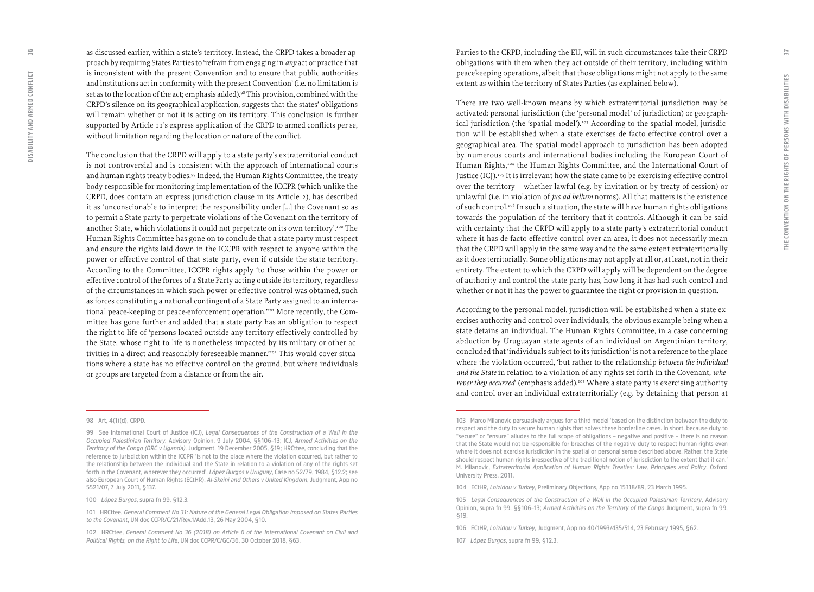as discussed earlier, within a state's territory. Instead, the CRPD takes a broader ap proach by requiring States Parties to 'refrain from engaging in *any* act or practice that is inconsistent with the present Convention and to ensure that public authorities and institutions act in conformity with the present Convention' (i.e. no limitation is set as to the location of the act; emphasis added).<sup>98</sup> This provision, combined with the CRPD's silence on its geographical application, suggests that the states' obligations will remain whether or not it is acting on its territory. This conclusion is further supported by Article 11's express application of the CRPD to armed conflicts per se, without limitation regarding the location or nature of the conflict.

The conclusion that the CRPD will apply to a state party's extraterritorial conduct is not controversial and is consistent with the approach of international courts and human rights treaty bodies.<sup>99</sup> Indeed, the Human Rights Committee, the treaty body responsible for monitoring implementation of the ICCPR (which unlike the CRPD, does contain an express jurisdiction clause in its Article 2), has described it as 'unconscionable to interpret the responsibility under […] the Covenant so as to permit a State party to perpetrate violations of the Covenant on the territory of another State, which violations it could not perpetrate on its own territory'.<sup>100</sup> The Human Rights Committee has gone on to conclude that a state party must respect and ensure the rights laid down in the ICCPR with respect to anyone within the power or effective control of that state party, even if outside the state territory. According to the Committee, ICCPR rights apply 'to those within the power or effective control of the forces of a State Party acting outside its territory, regardless of the circumstances in which such power or effective control was obtained, such as forces constituting a national contingent of a State Party assigned to an interna tional peace-keeping or peace-enforcement operation.'101 More recently, the Com mittee has gone further and added that a state party has an obligation to respect the right to life of 'persons located outside any territory effectively controlled by the State, whose right to life is nonetheless impacted by its military or other ac tivities in a direct and reasonably foreseeable manner.'102 This would cover situa tions where a state has no effective control on the ground, but where individuals or groups are targeted from a distance or from the air.

#### **98 Art, 4(1)(d), CRPD.**

Parties to the CRPD, including the EU, will in such circumstances take their CRPD obligations with them when they act outside of their territory, including within peacekeeping operations, albeit that those obligations might not apply to the same extent as within the territory of States Parties (as explained below).

There are two well-known means by which extraterritorial jurisdiction may be activated: personal jurisdiction (the 'personal model' of jurisdiction) or geograph ical jurisdiction (the 'spatial model').<sup>103</sup> According to the spatial model, jurisdiction will be established when a state exercises de facto effective control over a geographical area. The spatial model approach to jurisdiction has been adopted by numerous courts and international bodies including the European Court of Human Rights,<sup>104</sup> the Human Rights Committee, and the International Court of Justice (ICJ).<sup>105</sup> It is irrelevant how the state came to be exercising effective control over the territory – whether lawful (e.g. by invitation or by treaty of cession) or unlawful (i.e. in violation of *jus ad bellum* norms). All that matters is the existence of such control.<sup>106</sup> In such a situation, the state will have human rights obligations towards the population of the territory that it controls. Although it can be said with certainty that the CRPD will apply to a state party's extraterritorial conduct where it has de facto effective control over an area, it does not necessarily mean that the CRPD will apply in the same way and to the same extent extraterritorially as it does territorially. Some obligations may not apply at all or, at least, not in their entirety. The extent to which the CRPD will apply will be dependent on the degree of authority and control the state party has, how long it has had such control and whether or not it has the power to guarantee the right or provision in question.

According to the personal model, jurisdiction will be established when a state ex ercises authority and control over individuals, the obvious example being when a state detains an individual. The Human Rights Committee, in a case concerning abduction by Uruguayan state agents of an individual on Argentinian territory, concluded that 'individuals subject to its jurisdiction' is not a reference to the place where the violation occurred, 'but rather to the relationship *between the individual and the State* in relation to a violation of any rights set forth in the Covenant, *whe rever they occurred*' (emphasis added).<sup>107</sup> Where a state party is exercising authority and control over an individual extraterritorially (e.g. by detaining that person at

**<sup>99</sup> See International Court of Justice (ICJ),** *Legal Consequences of the Construction of a Wall in the Occupied Palestinian Territory***, Advisory Opinion, 9 July 2004, §§106–13; ICJ,** *Armed Activities on the Territory of the Congo (DRC v Uganda),* **Judgment, 19 December 2005, §19; HRCttee, concluding that the reference to jurisdiction within the ICCPR 'is not to the place where the violation occurred, but rather to the relationship between the individual and the State in relation to a violation of any of the rights set forth in the Covenant, wherever they occurred',** *López Burgos v Uruguay***, Case no 52/79, 1984, §12.2; see also European Court of Human Rights (ECtHR),** *Al-Skeini and Others v United Kingdom***, Judgment, App no 5521/07, 7 July 2011, §137.**

**<sup>100</sup>** *López Burgos***, supra fn 99, §12.3.**

**<sup>101</sup> HRCttee,** *General Comment No 31: Nature of the General Legal Obligation Imposed on States Parties to the Covenant***, UN doc CCPR/C/21/Rev.1/Add.13, 26 May 2004, §10.** 

**<sup>102</sup> HRCttee,** *General Comment No 36 (2018) on Article 6 of the International Covenant on Civil and Political Rights, on the Right to Life***, UN doc CCPR/C/GC/36, 30 October 2018, §63.**

**<sup>103</sup> Marco Milanovic persuasively argues for a third model 'based on the distinction between the duty to respect and the duty to secure human rights that solves these borderline cases. In short, because duty to "secure" or "ensure" alludes to the full scope of obligations – negative and positive – there is no reason that the State would not be responsible for breaches of the negative duty to respect human rights even where it does not exercise jurisdiction in the spatial or personal sense described above. Rather, the State should respect human rights irrespective of the traditional notion of jurisdiction to the extent that it can.' M. Milanovic,** *Extraterritorial Application of Human Rights Treaties: Law, Principles and Policy***, Oxford University Press, 2011.**

**<sup>104</sup> ECtHR,** *Loizidou v Turkey***, Preliminary Objections, App no 15318/89, 23 March 1995.** 

**<sup>105</sup>** *Legal Consequences of the Construction of a Wall in the Occupied Palestinian Territory***, Advisory Opinion, supra fn 99, §§106–13;** *Armed Activities on the Territory of the Congo* **Judgment, supra fn 99, §19.**

**<sup>106</sup> ECtHR,** *Loizidou v Turkey***, Judgment, App no 40/1993/435/514, 23 February 1995, §62.**

**<sup>107</sup>** *López Burgos***, supra fn 99, §12.3.**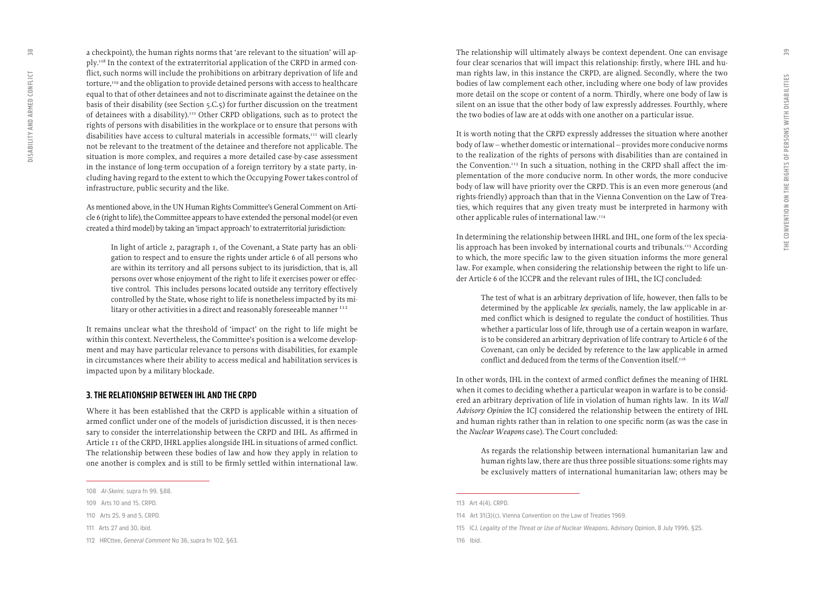a checkpoint), the human rights norms that 'are relevant to the situation' will ap ply.108 In the context of the extraterritorial application of the CRPD in armed con flict, such norms will include the prohibitions on arbitrary deprivation of life and torture,109 and the obligation to provide detained persons with access to healthcare equal to that of other detainees and not to discriminate against the detainee on the basis of their disability (see Section 5.C.5) for further discussion on the treatment of detainees with a disability).110 Other CRPD obligations, such as to protect the rights of persons with disabilities in the workplace or to ensure that persons with disabilities have access to cultural materials in accessible formats,<sup>111</sup> will clearly not be relevant to the treatment of the detainee and therefore not applicable. The situation is more complex, and requires a more detailed case-by-case assessment in the instance of long-term occupation of a foreign territory by a state party, in cluding having regard to the extent to which the Occupying Power takes control of infrastructure, public security and the like.

As mentioned above, in the UN Human Rights Committee's General Comment on Arti cle 6 (right to life), the Committee appears to have extended the personal model (or even created a third model) by taking an 'impact approach' to extraterritorial jurisdiction:

In light of article 2, paragraph 1, of the Covenant, a State party has an obli gation to respect and to ensure the rights under article 6 of all persons who are within its territory and all persons subject to its jurisdiction, that is, all persons over whose enjoyment of the right to life it exercises power or effec tive control. This includes persons located outside any territory effectively controlled by the State, whose right to life is nonetheless impacted by its mi litary or other activities in a direct and reasonably foreseeable manner  $112$ 

It remains unclear what the threshold of 'impact' on the right to life might be within this context. Nevertheless, the Committee's position is a welcome develop ment and may have particular relevance to persons with disabilities, for example in circumstances where their ability to access medical and habilitation services is impacted upon by a military blockade.

#### **3. THE RELATIONSHIP BETWEEN IHL AND THE CRPD**

Where it has been established that the CRPD is applicable within a situation of armed conflict under one of the models of jurisdiction discussed, it is then neces sary to consider the interrelationship between the CRPD and IHL. As affirmed in Article 11 of the CRPD, IHRL applies alongside IHL in situations of armed conflict. The relationship between these bodies of law and how they apply in relation to one another is complex and is still to be firmly settled within international law.

The relationship will ultimately always be context dependent. One can envisage four clear scenarios that will impact this relationship: firstly, where IHL and hu man rights law, in this instance the CRPD, are aligned. Secondly, where the two bodies of law complement each other, including where one body of law provides more detail on the scope or content of a norm. Thirdly, where one body of law is silent on an issue that the other body of law expressly addresses. Fourthly, where the two bodies of law are at odds with one another on a particular issue.

It is worth noting that the CRPD expressly addresses the situation where another body of law – whether domestic or international – provides more conducive norms to the realization of the rights of persons with disabilities than are contained in the Convention.<sup>113</sup> In such a situation, nothing in the CRPD shall affect the implementation of the more conducive norm. In other words, the more conducive body of law will have priority over the CRPD. This is an even more generous (and rights-friendly) approach than that in the Vienna Convention on the Law of Trea ties, which requires that any given treaty must be interpreted in harmony with other applicable rules of international law.114

In determining the relationship between IHRL and IHL, one form of the lex specia lis approach has been invoked by international courts and tribunals.<sup>115</sup> According to which, the more specific law to the given situation informs the more general law. For example, when considering the relationship between the right to life un der Article 6 of the ICCPR and the relevant rules of IHL, the ICJ concluded:

The test of what is an arbitrary deprivation of life, however, then falls to be determined by the applicable *lex specialis*, namely, the law applicable in ar med conflict which is designed to regulate the conduct of hostilities. Thus whether a particular loss of life, through use of a certain weapon in warfare, is to be considered an arbitrary deprivation of life contrary to Article 6 of the Covenant, can only be decided by reference to the law applicable in armed conflict and deduced from the terms of the Convention itself.<sup>116</sup>

In other words, IHL in the context of armed conflict defines the meaning of IHRL when it comes to deciding whether a particular weapon in warfare is to be consid ered an arbitrary deprivation of life in violation of human rights law. In its *Wall Advisory Opinion* the ICJ considered the relationship between the entirety of IHL and human rights rather than in relation to one specific norm (as was the case in the *Nuclear Weapons* case). The Court concluded:

As regards the relationship between international humanitarian law and human rights law, there are thus three possible situations: some rights may be exclusively matters of international humanitarian law; others may be

<span id="page-19-0"></span> $\frac{8}{3}$ 

**<sup>108</sup>** *Al-Skeini***, supra fn 99, §88.**

**<sup>109</sup> Arts 10 and 15, CRPD.** 

**<sup>110</sup> Arts 25, 9 and 5, CRPD.**

**<sup>111</sup> Arts 27 and 30, ibid.** 

**<sup>112</sup> HRCttee,** *General Comment* **No 36, supra fn 102, §63.**

**<sup>113</sup> Art 4(4), CRPD.**

**<sup>114</sup> Art 31(3)(c), Vienna Convention on the Law of Treaties 1969.** 

**<sup>115</sup> ICJ,** *Legality of the Threat or Use of Nuclear Weapons***, Advisory Opinion, 8 July 1996, §25.**

**<sup>116</sup> Ibid.**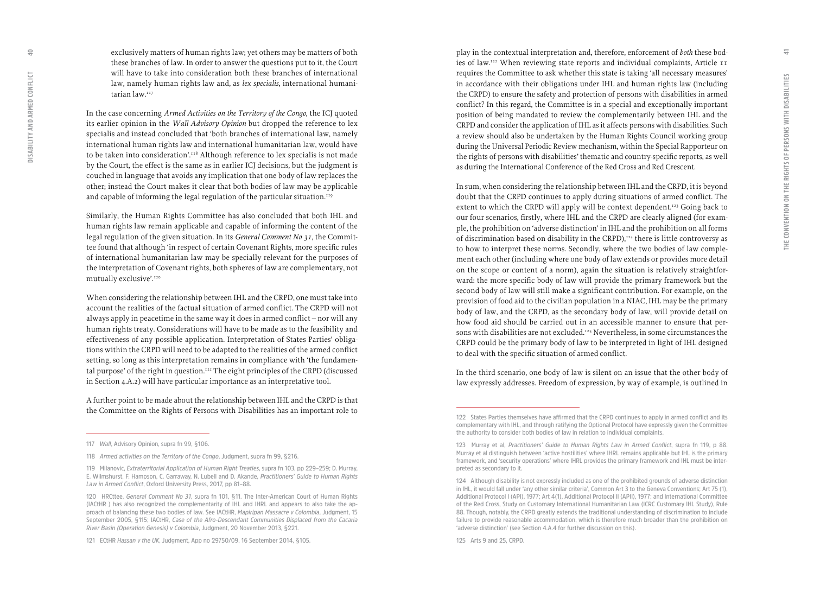exclusively matters of human rights law; yet others may be matters of both these branches of law. In order to answer the questions put to it, the Court will have to take into consideration both these branches of international law, namely human rights law and, as *lex specialis*, international humani tarian law.<sup>117</sup>

In the case concerning *Armed Activities on the Territory of the Congo*, the ICJ quoted its earlier opinion in the *Wall Advisory Opinion* but dropped the reference to lex specialis and instead concluded that 'both branches of international law, namely international human rights law and international humanitarian law, would have to be taken into consideration'.118 Although reference to lex specialis is not made by the Court, the effect is the same as in earlier ICJ decisions, but the judgment is couched in language that avoids any implication that one body of law replaces the other; instead the Court makes it clear that both bodies of law may be applicable and capable of informing the legal regulation of the particular situation.<sup>119</sup>

Similarly, the Human Rights Committee has also concluded that both IHL and human rights law remain applicable and capable of informing the content of the legal regulation of the given situation. In its *General Comment No 31*, the Commit tee found that although 'in respect of certain Covenant Rights, more specific rules of international humanitarian law may be specially relevant for the purposes of the interpretation of Covenant rights, both spheres of law are complementary, not mutually exclusive'.120

When considering the relationship between IHL and the CRPD, one must take into account the realities of the factual situation of armed conflict. The CRPD will not always apply in peacetime in the same way it does in armed conflict – nor will any human rights treaty. Considerations will have to be made as to the feasibility and effectiveness of any possible application. Interpretation of States Parties' obliga tions within the CRPD will need to be adapted to the realities of the armed conflict setting, so long as this interpretation remains in compliance with 'the fundamen tal purpose' of the right in question.<sup>121</sup> The eight principles of the CRPD (discussed in Section 4.A.2) will have particular importance as an interpretative tool.

A further point to be made about the relationship between IHL and the CRPD is that the Committee on the Rights of Persons with Disabilities has an important role to

play in the contextual interpretation and, therefore, enforcement of *both* these bod ies of law.122 When reviewing state reports and individual complaints, Article 11 requires the Committee to ask whether this state is taking 'all necessary measures' in accordance with their obligations under IHL and human rights law (including the CRPD) to ensure the safety and protection of persons with disabilities in armed conflict? In this regard, the Committee is in a special and exceptionally important position of being mandated to review the complementarily between IHL and the CRPD and consider the application of IHL as it affects persons with disabilities. Such a review should also be undertaken by the Human Rights Council working group during the Universal Periodic Review mechanism, within the Special Rapporteur on the rights of persons with disabilities' thematic and country-specific reports, as well as during the International Conference of the Red Cross and Red Crescent.

In sum, when considering the relationship between IHL and the CRPD, it is beyond doubt that the CRPD continues to apply during situations of armed conflict. The extent to which the CRPD will apply will be context dependent.<sup>123</sup> Going back to our four scenarios, firstly, where IHL and the CRPD are clearly aligned (for exam ple, the prohibition on 'adverse distinction' in IHL and the prohibition on all forms of discrimination based on disability in the CRPD), $124$  there is little controversy as to how to interpret these norms. Secondly, where the two bodies of law comple ment each other (including where one body of law extends or provides more detail on the scope or content of a norm), again the situation is relatively straightfor ward: the more specific body of law will provide the primary framework but the second body of law will still make a significant contribution. For example, on the provision of food aid to the civilian population in a NIAC, IHL may be the primary body of law, and the CRPD, as the secondary body of law, will provide detail on how food aid should be carried out in an accessible manner to ensure that per sons with disabilities are not excluded.125 Nevertheless, in some circumstances the CRPD could be the primary body of law to be interpreted in light of IHL designed to deal with the specific situation of armed conflict.

In the third scenario, one body of law is silent on an issue that the other body of law expressly addresses. Freedom of expression, by way of example, is outlined in

**<sup>117</sup>** *Wall***, Advisory Opinion, supra fn 99, §106.** 

**<sup>118</sup>** *Armed activities on the Territory of the Congo***, Judgment, supra fn 99, §216.**

**<sup>119</sup> Milanovic,** *Extraterritorial Application of Human Right Treaties***, supra fn 103, pp 229–259; D. Murray, E. Wilmshurst, F. Hampson, C. Garraway, N. Lubell and D. Akande,** *Practitioners' Guide to Human Rights Law in Armed Conflict***, Oxford University Press, 2017, pp 81–88.** 

**<sup>120</sup> HRCttee,** *General Comment No 31***, supra fn 101, §11. The Inter-American Court of Human Rights (IACtHR ) has also recognized the complementarity of IHL and IHRL and appears to also take the ap proach of balancing these two bodies of law. See IACtHR,** *Mapiripan Massacre v Colombia***, Judgment, 15 September 2005, §115; IACtHR,** *Case of the Afro-Descendant Communities Displaced from the Cacaria River Basin (Operation Genesis) v Colombia***, Judgment, 20 November 2013, §221.** 

**<sup>121</sup> ECtHR** *Hassan v the UK***, Judgment, App no 29750/09, 16 September 2014, §105.** 

**<sup>122</sup> States Parties themselves have affirmed that the CRPD continues to apply in armed conflict and its complementary with IHL, and through ratifying the Optional Protocol have expressly given the Committee the authority to consider both bodies of law in relation to individual complaints.** 

**<sup>123</sup> Murray et al***, Practitioners' Guide to Human Rights Law in Armed Conflict***, supra fn 119, p 88. Murray et al distinguish between 'active hostilities' where IHRL remains applicable but IHL is the primary framework, and 'security operations' where IHRL provides the primary framework and IHL must be inter preted as secondary to it.**

**<sup>124</sup> Although disability is not expressly included as one of the prohibited grounds of adverse distinction in IHL, it would fall under 'any other similar criteria', Common Art 3 to the Geneva Conventions; Art 75 (1), Additional Protocol I (API), 1977; Art 4(1), Additional Protocol II (APII), 1977; and International Committee of the Red Cross, Study on Customary International Humanitarian Law (ICRC Customary IHL Study), Rule 88. Though, notably, the CRPD greatly extends the traditional understanding of discrimination to include failure to provide reasonable accommodation, which is therefore much broader than the prohibition on 'adverse distinction' (see Section 4.A.4 for further discussion on this).** 

**<sup>125</sup> Arts 9 and 25, CRPD.**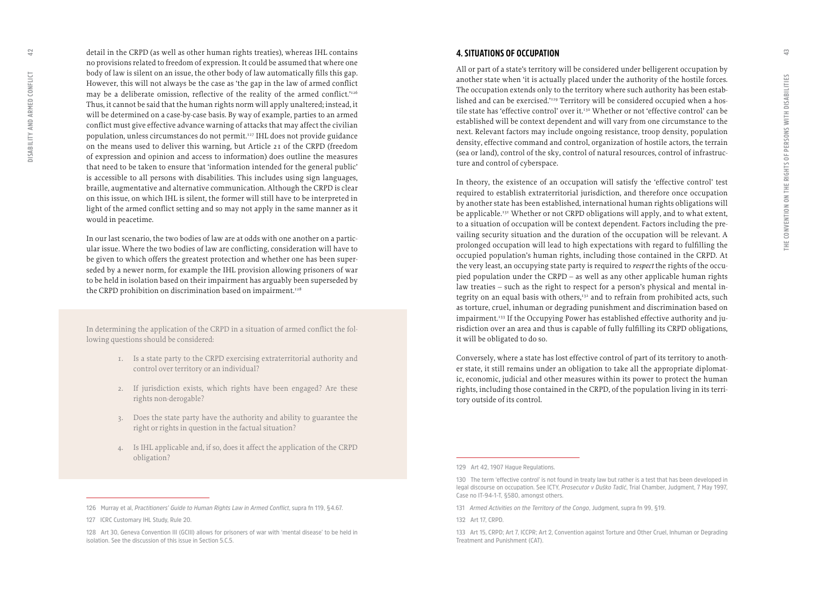<span id="page-21-0"></span>detail in the CRPD (as well as other human rights treaties), whereas IHL contains no provisions related to freedom of expression. It could be assumed that where one body of law is silent on an issue, the other body of law automatically fills this gap. However, this will not always be the case as 'the gap in the law of armed conflict may be a deliberate omission, reflective of the reality of the armed conflict.'<sup>126</sup> Thus, it cannot be said that the human rights norm will apply unaltered; instead, it will be determined on a case-by-case basis. By way of example, parties to an armed conflict must give effective advance warning of attacks that may affect the civilian population, unless circumstances do not permit.127 IHL does not provide guidance on the means used to deliver this warning, but Article 21 of the CRPD (freedom of expression and opinion and access to information) does outline the measures that need to be taken to ensure that 'information intended for the general public' is accessible to all persons with disabilities. This includes using sign languages, braille, augmentative and alternative communication. Although the CRPD is clear on this issue, on which IHL is silent, the former will still have to be interpreted in light of the armed conflict setting and so may not apply in the same manner as it would in peacetime.

In our last scenario, the two bodies of law are at odds with one another on a partic ular issue. Where the two bodies of law are conflicting, consideration will have to be given to which offers the greatest protection and whether one has been super seded by a newer norm, for example the IHL provision allowing prisoners of war to be held in isolation based on their impairment has arguably been superseded by the CRPD prohibition on discrimination based on impairment.<sup>128</sup>

In determining the application of the CRPD in a situation of armed conflict the fol lowing questions should be considered:

- 1. Is a state party to the CRPD exercising extraterritorial authority and control over territory or an individual?
- 2. If jurisdiction exists, which rights have been engaged? Are these rights non-derogable?
- 3. Does the state party have the authority and ability to guarantee the right or rights in question in the factual situation?
- 4. Is IHL applicable and, if so, does it affect the application of the CRPD obligation?

#### **4. SITUATIONS OF OCCUPATION**

All or part of a state's territory will be considered under belligerent occupation by another state when 'it is actually placed under the authority of the hostile forces. The occupation extends only to the territory where such authority has been estab lished and can be exercised.'129 Territory will be considered occupied when a hos tile state has 'effective control' over it.<sup>130</sup> Whether or not 'effective control' can be established will be context dependent and will vary from one circumstance to the next. Relevant factors may include ongoing resistance, troop density, population density, effective command and control, organization of hostile actors, the terrain (sea or land), control of the sky, control of natural resources, control of infrastruc ture and control of cyberspace.

In theory, the existence of an occupation will satisfy the 'effective control' test required to establish extraterritorial jurisdiction, and therefore once occupation by another state has been established, international human rights obligations will be applicable.<sup>131</sup> Whether or not CRPD obligations will apply, and to what extent, to a situation of occupation will be context dependent. Factors including the pre vailing security situation and the duration of the occupation will be relevant. A prolonged occupation will lead to high expectations with regard to fulfilling the occupied population's human rights, including those contained in the CRPD. At the very least, an occupying state party is required to *respect* the rights of the occu pied population under the CRPD – as well as any other applicable human rights law treaties – such as the right to respect for a person's physical and mental in tegrity on an equal basis with others,<sup>132</sup> and to refrain from prohibited acts, such as torture, cruel, inhuman or degrading punishment and discrimination based on impairment.<sup>133</sup> If the Occupying Power has established effective authority and jurisdiction over an area and thus is capable of fully fulfilling its CRPD obligations, it will be obligated to do so.

Conversely, where a state has lost effective control of part of its territory to anoth er state, it still remains under an obligation to take all the appropriate diplomat ic, economic, judicial and other measures within its power to protect the human rights, including those contained in the CRPD, of the population living in its terri tory outside of its control.

**<sup>126</sup> Murray et al,** *Practitioners' Guide to Human Rights Law in Armed Conflict***, supra fn 119, §4.67.**

**<sup>127</sup> ICRC Customary IHL Study, Rule 20.** 

**<sup>128</sup> Art 30, Geneva Convention III (GCIII) allows for prisoners of war with 'mental disease' to be held in isolation. See the discussion of this issue in Section 5.C.5.**

**<sup>129</sup> Art 42, 1907 Hague Regulations.**

**<sup>130</sup> The term 'effective control' is not found in treaty law but rather is a test that has been developed in legal discourse on occupation. See ICTY,** *Prosecutor v Duško Tadić***, Trial Chamber, Judgment, 7 May 1997, Case no IT-94-1-T, §580, amongst others.** 

**<sup>131</sup>** *Armed Activities on the Territory of the Congo***, Judgment, supra fn 99, §19.**

**<sup>132</sup> Art 17, CRPD.**

**<sup>133</sup> Art 15, CRPD; Art 7, ICCPR; Art 2, Convention against Torture and Other Cruel, Inhuman or Degrading Treatment and Punishment (CAT).**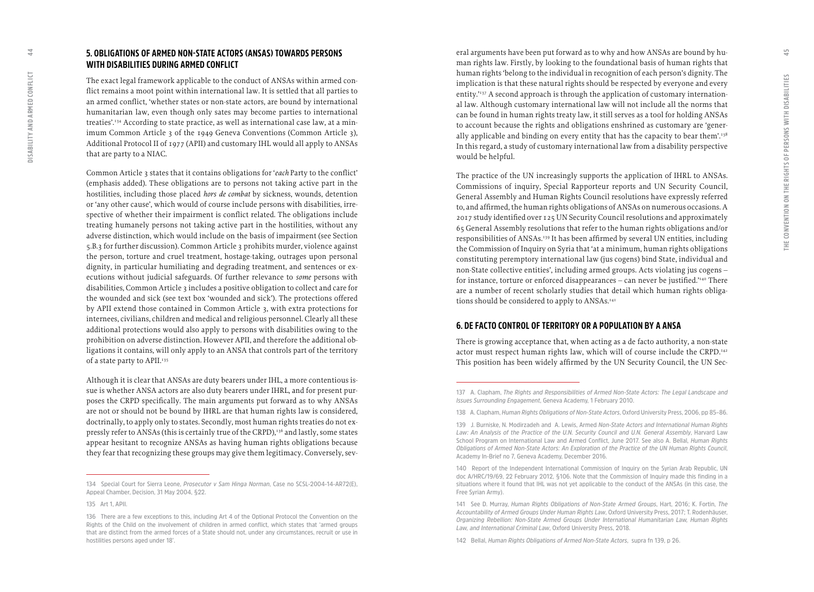The exact legal framework applicable to the conduct of ANSAs within armed con flict remains a moot point within international law. It is settled that all parties to an armed conflict, 'whether states or non-state actors, are bound by international humanitarian law, even though only sates may become parties to international treaties'.134 According to state practice, as well as international case law, at a min imum Common Article 3 of the 1949 Geneva Conventions (Common Article 3), Additional Protocol II of 1977 (APII) and customary IHL would all apply to ANSAs that are party to a NIAC.

Common Article 3 states that it contains obligations for '*each* Party to the conflict' (emphasis added). These obligations are to persons not taking active part in the hostilities, including those placed *hors de combat* by sickness, wounds, detention or 'any other cause', which would of course include persons with disabilities, irre spective of whether their impairment is conflict related. The obligations include treating humanely persons not taking active part in the hostilities, without any adverse distinction, which would include on the basis of impairment (see Section 5.B.3 for further discussion). Common Article 3 prohibits murder, violence against the person, torture and cruel treatment, hostage-taking, outrages upon personal dignity, in particular humiliating and degrading treatment, and sentences or ex ecutions without judicial safeguards. Of further relevance to *some* persons with disabilities, Common Article 3 includes a positive obligation to collect and care for the wounded and sick (see text box 'wounded and sick'). The protections offered by APII extend those contained in Common Article 3, with extra protections for internees, civilians, children and medical and religious personnel. Clearly all these additional protections would also apply to persons with disabilities owing to the prohibition on adverse distinction. However APII, and therefore the additional ob ligations it contains, will only apply to an ANSA that controls part of the territory of a state party to APII.<sup>135</sup>

Although it is clear that ANSAs are duty bearers under IHL, a more contentious is sue is whether ANSA actors are also duty bearers under IHRL, and for present pur poses the CRPD specifically. The main arguments put forward as to why ANSAs are not or should not be bound by IHRL are that human rights law is considered, doctrinally, to apply only to states. Secondly, most human rights treaties do not ex pressly refer to ANSAs (this is certainly true of the CRPD),<sup>136</sup> and lastly, some states appear hesitant to recognize ANSAs as having human rights obligations because they fear that recognizing these groups may give them legitimacy. Conversely, sev -

eral arguments have been put forward as to why and how ANSAs are bound by hu man rights law. Firstly, by looking to the foundational basis of human rights that human rights 'belong to the individual in recognition of each person's dignity. The implication is that these natural rights should be respected by everyone and every entity.'137 A second approach is through the application of customary internation al law. Although customary international law will not include all the norms that can be found in human rights treaty law, it still serves as a tool for holding ANSAs to account because the rights and obligations enshrined as customary are 'gener ally applicable and binding on every entity that has the capacity to bear them'.<sup>138</sup> In this regard, a study of customary international law from a disability perspective would be helpful.

The practice of the UN increasingly supports the application of IHRL to ANSAs. Commissions of inquiry, Special Rapporteur reports and UN Security Council, General Assembly and Human Rights Council resolutions have expressly referred to, and affirmed, the human rights obligations of ANSAs on numerous occasions. A 2017 study identified over 125 UN Security Council resolutions and approximately 65 General Assembly resolutions that refer to the human rights obligations and/or responsibilities of ANSAs.139 It has been affirmed by several UN entities, including the Commission of Inquiry on Syria that 'at a minimum, human rights obligations constituting peremptory international law (jus cogens) bind State, individual and non-State collective entities', including armed groups. Acts violating jus cogens – for instance, torture or enforced disappearances – can never be justified.'140 There are a number of recent scholarly studies that detail which human rights obliga tions should be considered to apply to ANSAs.<sup>141</sup>

### **6. DE FACTO CONTROL OF TERRITORY OR A POPULATION BY A ANSA**

There is growing acceptance that, when acting as a de facto authority, a non-state actor must respect human rights law, which will of course include the CRPD.<sup>142</sup> This position has been widely affirmed by the UN Security Council, the UN Sec -

<span id="page-22-0"></span> $\overline{4}$ 

**<sup>134</sup> Special Court for Sierra Leone,** *Prosecutor v Sam Hinga Norman***, Case no SCSL-2004-14-AR72(E), Appeal Chamber, Decision, 31 May 2004, §22.**

**<sup>135</sup> Art 1, APII.** 

**<sup>136</sup> There are a few exceptions to this, including Art 4 of the Optional Protocol the Convention on the Rights of the Child on the involvement of children in armed conflict, which states that 'armed groups that are distinct from the armed forces of a State should not, under any circumstances, recruit or use in hostilities persons aged under 18'.** 

**<sup>137</sup> A. Clapham,** *The Rights and Responsibilities of Armed Non-State Actors: The Legal Landscape and Issues Surrounding Engagement***, Geneva Academy, 1 February 2010.**

**<sup>138</sup> A. Clapham,** *Human Rights Obligations of Non-State Actors***, Oxford University Press, 2006, pp 85–86.** 

**<sup>139</sup> J. Burniske, N. Modirzadeh and A. Lewis, Armed** *Non-State Actors and International Human Rights Law: An Analysis of the Practice of the U.N. Security Council and U.N. General Assembly***, Harvard Law School Program on International Law and Armed Conflict, June 2017. See also A. Bellal,** *Human Rights Obligations of Armed Non-State Actors: An Exploration of the Practice of the UN Human Rights Council***, Academy In-Brief no 7, Geneva Academy, December 2016.**

**<sup>140</sup> Report of the Independent International Commission of Inquiry on the Syrian Arab Republic, UN doc A/HRC/19/69, 22 February 2012, §106. Note that the Commission of Inquiry made this finding in a situations where it found that IHL was not yet applicable to the conduct of the ANSAs (in this case, the Free Syrian Army).**

**<sup>141</sup> See D. Murray,** *Human Rights Obligations of Non-State Armed Groups***, Hart, 2016; K. Fortin,** *The Accountability of Armed Groups Under Human Rights Law***, Oxford University Press, 2017; T. Rodenhäuser,**  *Organizing Rebellion: Non-State Armed Groups Under International Humanitarian Law, Human Rights Law, and International Criminal Law***, Oxford University Press, 2018.** 

**<sup>142</sup> Bellal,** *Human Rights Obligations of Armed Non-State Actors***, supra fn 139, p 26.**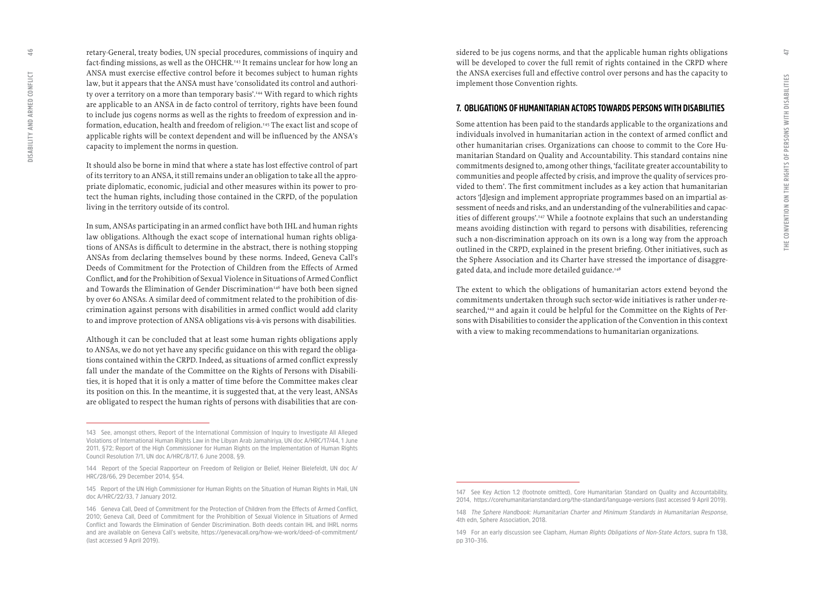<span id="page-23-0"></span>retary-General, treaty bodies, UN special procedures, commissions of inquiry and fact-finding missions, as well as the OHCHR.<sup>143</sup> It remains unclear for how long an ANSA must exercise effective control before it becomes subject to human rights law, but it appears that the ANSA must have 'consolidated its control and authori ty over a territory on a more than temporary basis'.<sup>144</sup> With regard to which rights are applicable to an ANSA in de facto control of territory, rights have been found to include jus cogens norms as well as the rights to freedom of expression and in formation, education, health and freedom of religion.145 The exact list and scope of applicable rights will be context dependent and will be influenced by the ANSA's capacity to implement the norms in question.

It should also be borne in mind that where a state has lost effective control of part of its territory to an ANSA, it still remains under an obligation to take all the appro priate diplomatic, economic, judicial and other measures within its power to pro tect the human rights, including those contained in the CRPD, of the population living in the territory outside of its control.

In sum, ANSAs participating in an armed conflict have both IHL and human rights law obligations. Although the exact scope of international human rights obliga tions of ANSAs is difficult to determine in the abstract, there is nothing stopping ANSAs from declaring themselves bound by these norms. Indeed, Geneva Call's Deeds of Commitment for the Protection of Children from the Effects of Armed Conflict, and for the Prohibition of Sexual Violence in Situations of Armed Conflict and Towards the Elimination of Gender Discrimination<sup>146</sup> have both been signed by over 60 ANSAs. A similar deed of commitment related to the prohibition of dis crimination against persons with disabilities in armed conflict would add clarity to and improve protection of ANSA obligations vis-à-vis persons with disabilities.

Although it can be concluded that at least some human rights obligations apply to ANSAs, we do not yet have any specific guidance on this with regard the obliga tions contained within the CRPD. Indeed, as situations of armed conflict expressly fall under the mandate of the Committee on the Rights of Persons with Disabili ties, it is hoped that it is only a matter of time before the Committee makes clear its position on this. In the meantime, it is suggested that, at the very least, ANSAs are obligated to respect the human rights of persons with disabilities that are con -

sidered to be jus cogens norms, and that the applicable human rights obligations will be developed to cover the full remit of rights contained in the CRPD where the ANSA exercises full and effective control over persons and has the capacity to implement those Convention rights.

#### **7. OBLIGATIONS OF HUMANITARIAN ACTORS TOWARDS PERSONS WITH DISABILITIES**

Some attention has been paid to the standards applicable to the organizations and individuals involved in humanitarian action in the context of armed conflict and other humanitarian crises. Organizations can choose to commit to the Core Hu manitarian Standard on Quality and Accountability. This standard contains nine commitments designed to, among other things, 'facilitate greater accountability to communities and people affected by crisis, and improve the quality of services pro vided to them'. The first commitment includes as a key action that humanitarian actors '[d]esign and implement appropriate programmes based on an impartial as sessment of needs and risks, and an understanding of the vulnerabilities and capac ities of different groups'.147 While a footnote explains that such an understanding means avoiding distinction with regard to persons with disabilities, referencing such a non-discrimination approach on its own is a long way from the approach outlined in the CRPD, explained in the present briefing. Other initiatives, such as the Sphere Association and its Charter have stressed the importance of disaggre gated data, and include more detailed guidance.<sup>148</sup>

The extent to which the obligations of humanitarian actors extend beyond the commitments undertaken through such sector-wide initiatives is rather under-re searched,<sup>149</sup> and again it could be helpful for the Committee on the Rights of Persons with Disabilities to consider the application of the Convention in this context with a view to making recommendations to humanitarian organizations.

**<sup>143</sup> See, amongst others, Report of the International Commission of Inquiry to Investigate All Alleged Violations of International Human Rights Law in the Libyan Arab Jamahiriya, UN doc A/HRC/17/44, 1 June 2011, §72; Report of the High Commissioner for Human Rights on the Implementation of Human Rights Council Resolution 7/1, UN doc A/HRC/8/17, 6 June 2008, §9.** 

**<sup>144</sup> Report of the Special Rapporteur on Freedom of Religion or Belief, Heiner Bielefeldt, UN doc A/ HRC/28/66, 29 December 2014, §54.** 

**<sup>145</sup> Report of the UN High Commissioner for Human Rights on the Situation of Human Rights in Mali, UN doc A/HRC/22/33, 7 January 2012.** 

**<sup>146</sup> Geneva Call, Deed of Commitment for the Protection of Children from the Effects of Armed Conflict, 2010; Geneva Call, Deed of Commitment for the Prohibition of Sexual Violence in Situations of Armed Conflict and Towards the Elimination of Gender Discrimination. Both deeds contain IHL and IHRL norms and are available on Geneva Call's website, <https://genevacall.org/how-we-work/deed-of-commitment/> (last accessed 9 April 2019).**

**<sup>147</sup> See Key Action 1.2 (footnote omitted), Core Humanitarian Standard on Quality and Accountability, 2014, <https://corehumanitarianstandard.org/the-standard/language-versions>(last accessed 9 April 2019).** 

**<sup>148</sup>** *The Sphere Handbook: Humanitarian Charter and Minimum Standards in Humanitarian Response***, 4th edn, Sphere Association, 2018.** 

**<sup>149</sup> For an early discussion see Clapham,** *Human Rights Obligations of Non-State Actors***, supra fn 138, pp 310–316.**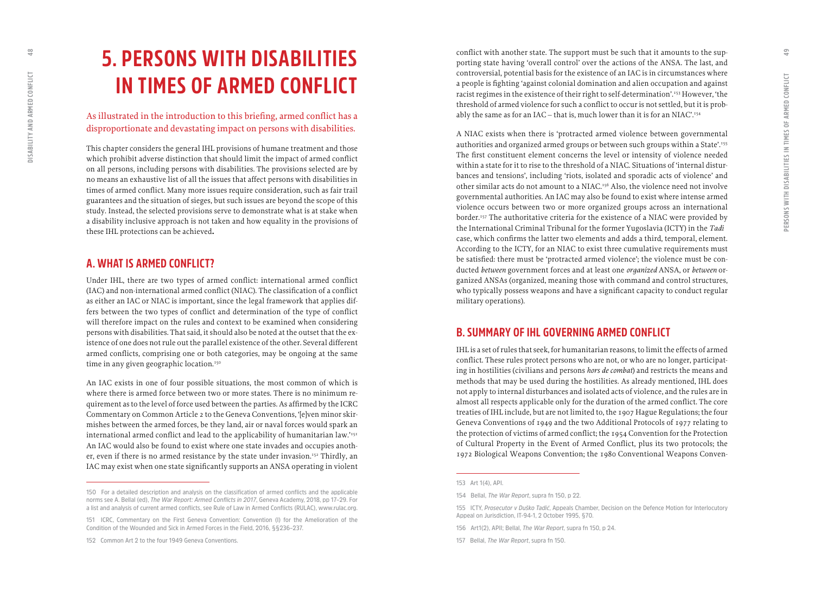## <span id="page-24-0"></span>**5. PERSONS WITH DISABILITIES IN TIMES OF ARMED CONFLICT**

### As illustrated in the introduction to this briefing, armed conflict has a disproportionate and devastating impact on persons with disabilities.

This chapter considers the general IHL provisions of humane treatment and those which prohibit adverse distinction that should limit the impact of armed conflict on all persons, including persons with disabilities. The provisions selected are by no means an exhaustive list of all the issues that affect persons with disabilities in times of armed conflict. Many more issues require consideration, such as fair trail guarantees and the situation of sieges, but such issues are beyond the scope of this study. Instead, the selected provisions serve to demonstrate what is at stake when a disability inclusive approach is not taken and how equality in the provisions of these IHL protections can be achieved **.**

### **A. WHAT IS ARMED CONFLICT?**

Under IHL, there are two types of armed conflict: international armed conflict (IAC) and non-international armed conflict (NIAC). The classification of a conflict as either an IAC or NIAC is important, since the legal framework that applies differs between the two types of conflict and determination of the type of conflict will therefore impact on the rules and context to be examined when considering persons with disabilities. That said, it should also be noted at the outset that the ex istence of one does not rule out the parallel existence of the other. Several different armed conflicts, comprising one or both categories, may be ongoing at the same time in any given geographic location.<sup>150</sup>

An IAC exists in one of four possible situations, the most common of which is where there is armed force between two or more states. There is no minimum re quirement as to the level of force used between the parties. As affirmed by the ICRC Commentary on Common Article 2 to the Geneva Conventions, '[e]ven minor skir mishes between the armed forces, be they land, air or naval forces would spark an international armed conflict and lead to the applicability of humanitarian law.'151 An IAC would also be found to exist where one state invades and occupies anoth er, even if there is no armed resistance by the state under invasion.<sup>152</sup> Thirdly, an IAC may exist when one state significantly supports an ANSA operating in violent

conflict with another state. The support must be such that it amounts to the sup porting state having 'overall control' over the actions of the ANSA. The last, and controversial, potential basis for the existence of an IAC is in circumstances where a people is fighting 'against colonial domination and alien occupation and against racist regimes in the existence of their right to self-determination'.153 However, 'the threshold of armed violence for such a conflict to occur is not settled, but it is prob ably the same as for an IAC – that is, much lower than it is for an NIAC'.<sup>154</sup>

A NIAC exists when there is 'protracted armed violence between governmental authorities and organized armed groups or between such groups within a State'.<sup>1555</sup> The first constituent element concerns the level or intensity of violence needed within a state for it to rise to the threshold of a NIAC. Situations of 'internal distur bances and tensions', including 'riots, isolated and sporadic acts of violence' and other similar acts do not amount to a NIAC.156 Also, the violence need not involve governmental authorities. An IAC may also be found to exist where intense armed violence occurs between two or more organized groups across an international border.157 The authoritative criteria for the existence of a NIAC were provided by the International Criminal Tribunal for the former Yugoslavia (ICTY) in the *Tadić*  case, which confirms the latter two elements and adds a third, temporal, element. According to the ICTY, for an NIAC to exist three cumulative requirements must be satisfied: there must be 'protracted armed violence'; the violence must be con ducted *between* government forces and at least one *organized* ANSA, or *between* or ganized ANSAs (organized, meaning those with command and control structures, who typically possess weapons and have a significant capacity to conduct regular military operations).

## **B. SUMMARY OF IHL GOVERNING ARMED CONFLICT**

IHL is a set of rules that seek, for humanitarian reasons, to limit the effects of armed conflict. These rules protect persons who are not, or who are no longer, participat ing in hostilities (civilians and persons *hors de combat*) and restricts the means and methods that may be used during the hostilities. As already mentioned, IHL does not apply to internal disturbances and isolated acts of violence, and the rules are in almost all respects applicable only for the duration of the armed conflict. The core treaties of IHL include, but are not limited to, the 1907 Hague Regulations; the four Geneva Conventions of 1949 and the two Additional Protocols of 1977 relating to the protection of victims of armed conflict; the 1954 Convention for the Protection of Cultural Property in the Event of Armed Conflict, plus its two protocols; the 1972 Biological Weapons Convention; the 1980 Conventional Weapons Conven -

**<sup>150</sup> For a detailed description and analysis on the classification of armed conflicts and the applicable norms see A. Bellal (ed),** *The War Report: Armed Conflicts in 2017***, Geneva Academy, 2018, pp 17–29. For a list and analysis of current armed conflicts, see Rule of Law in Armed Conflicts (RULAC), [www.rulac.org](http://www.rulac.org) .**

**<sup>151</sup> ICRC, Commentary on the First Geneva Convention: Convention (I) for the Amelioration of the Condition of the Wounded and Sick in Armed Forces in the Field, 2016, §§236–237.** 

**<sup>152</sup> Common Art 2 to the four 1949 Geneva Conventions.** 

**<sup>153</sup> Art 1(4), API.**

**<sup>154</sup> Bellal,** *The War Report***, supra fn 150, p 22.** 

**<sup>155</sup> ICTY,** *Prosecutor v Duško Tadić***, Appeals Chamber, Decision on the Defence Motion for Interlocutory Appeal on Jurisdiction, IT-94-1, 2 October 1995, §70.** 

**<sup>156</sup> Art1(2), APII; Bellal,** *The War Report***, supra fn 150, p 24.** 

**<sup>157</sup> Bellal,** *The War Report***, supra fn 150.**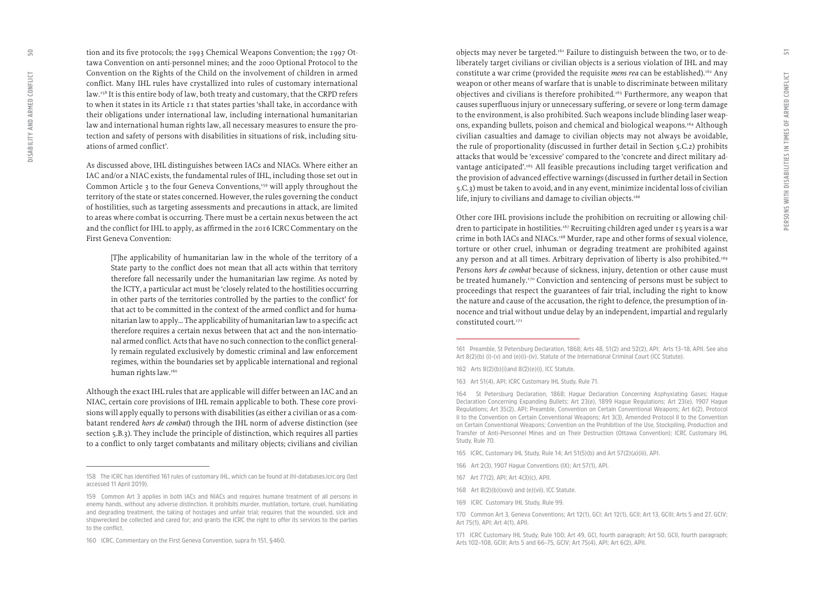tion and its five protocols; the 1993 Chemical Weapons Convention; the 1997 Ot tawa Convention on anti-personnel mines; and the 2000 Optional Protocol to the Convention on the Rights of the Child on the involvement of children in armed conflict. Many IHL rules have crystallized into rules of customary international law.<sup>158</sup> It is this entire body of law, both treaty and customary, that the CRPD refers to when it states in its Article 11 that states parties 'shall take, in accordance with their obligations under international law, including international humanitarian law and international human rights law, all necessary measures to ensure the pro tection and safety of persons with disabilities in situations of risk, including situ ations of armed conflict'.

As discussed above, IHL distinguishes between IACs and NIACs. Where either an IAC and/or a NIAC exists, the fundamental rules of IHL, including those set out in Common Article 3 to the four Geneva Conventions,<sup>159</sup> will apply throughout the territory of the state or states concerned. However, the rules governing the conduct of hostilities, such as targeting assessments and precautions in attack, are limited to areas where combat is occurring. There must be a certain nexus between the act and the conflict for IHL to apply, as affirmed in the 2016 ICRC Commentary on the First Geneva Convention:

[T]he applicability of humanitarian law in the whole of the territory of a State party to the conflict does not mean that all acts within that territory therefore fall necessarily under the humanitarian law regime. As noted by the ICTY, a particular act must be 'closely related to the hostilities occurring in other parts of the territories controlled by the parties to the conflict' for that act to be committed in the context of the armed conflict and for huma nitarian law to apply… The applicability of humanitarian law to a specific act therefore requires a certain nexus between that act and the non-internatio nal armed conflict. Acts that have no such connection to the conflict general ly remain regulated exclusively by domestic criminal and law enforcement regimes, within the boundaries set by applicable international and regional human rights law.<sup>160</sup>

Although the exact IHL rules that are applicable will differ between an IAC and an NIAC, certain core provisions of IHL remain applicable to both. These core provi sions will apply equally to persons with disabilities (as either a civilian or as a com batant rendered *hors de combat*) through the IHL norm of adverse distinction (see section 5.B.3). They include the principle of distinction, which requires all parties to a conflict to only target combatants and military objects; civilians and civilian

objects may never be targeted.<sup>161</sup> Failure to distinguish between the two, or to deliberately target civilians or civilian objects is a serious violation of IHL and may constitute a war crime (provided the requisite *mens rea* can be established).162 Any weapon or other means of warfare that is unable to discriminate between military objectives and civilians is therefore prohibited.163 Furthermore, any weapon that causes superfluous injury or unnecessary suffering, or severe or long-term damage to the environment, is also prohibited. Such weapons include blinding laser weap ons, expanding bullets, poison and chemical and biological weapons.164 Although civilian casualties and damage to civilian objects may not always be avoidable, the rule of proportionality (discussed in further detail in Section 5.C.2) prohibits attacks that would be 'excessive' compared to the 'concrete and direct military ad vantage anticipated'.165 All feasible precautions including target verification and the provision of advanced effective warnings (discussed in further detail in Section 5.C.3) must be taken to avoid, and in any event, minimize incidental loss of civilian life, injury to civilians and damage to civilian objects.<sup>166</sup>

Other core IHL provisions include the prohibition on recruiting or allowing chil dren to participate in hostilities.167 Recruiting children aged under 15 years is a war crime in both IACs and NIACs.168 Murder, rape and other forms of sexual violence, torture or other cruel, inhuman or degrading treatment are prohibited against any person and at all times. Arbitrary deprivation of liberty is also prohibited.<sup>169</sup> Persons *hors de combat* because of sickness, injury, detention or other cause must be treated humanely.<sup>170</sup> Conviction and sentencing of persons must be subject to proceedings that respect the guarantees of fair trial, including the right to know the nature and cause of the accusation, the right to defence, the presumption of in nocence and trial without undue delay by an independent, impartial and regularly constituted court.<sup>171</sup>

**168 Art 8(2)(b)(xxvi) and (e)(vii), ICC Statute.** 

**<sup>158</sup> The ICRC has identified 161 rules of customary IHL, which can be found at [ihl-databases.icrc.org](file:///Users/tony/Documents/%e2%80%a2Workroom/Geneva%20Academy/Briefing/Briefing-14/ihl-databases.icrc.org) (last accessed 11 April 2019).**

**<sup>159</sup> Common Art 3 applies in both IACs and NIACs and requires humane treatment of all persons in enemy hands, without any adverse distinction. It prohibits murder, mutilation, torture, cruel, humiliating and degrading treatment, the taking of hostages and unfair trial; requires that the wounded, sick and shipwrecked be collected and cared for; and grants the ICRC the right to offer its services to the parties to the conflict.**

**<sup>160</sup> ICRC, Commentary on the First Geneva Convention, supra fn 151, §460.** 

**<sup>161</sup> Preamble, St Petersburg Declaration, 1868; Arts 48, 51(2) and 52(2), API; Arts 13–18, APII. See also Art 8(2)(b) (i)-(v) and (e)(i)-(iv), Statute of the International Criminal Court (ICC Statute).** 

**<sup>162</sup> Arts 8(2)(b)(i) and 8(2)(e)(i), ICC Statute.**

**<sup>163</sup> Art 51(4), API; ICRC Customary IHL Study, Rule 71.**

**<sup>164</sup> St Petersburg Declaration, 1868; Hague Declaration Concerning Asphyxiating Gases; Hague Declaration Concerning Expanding Bullets; Art 23(e), 1899 Hague Regulations; Art 23(e), 1907 Hague Regulations; Art 35(2), API; Preamble, Convention on Certain Conventional Weapons; Art 6(2), Protocol II to the Convention on Certain Conventional Weapons; Art 3(3), Amended Protocol II to the Convention on Certain Conventional Weapons; Convention on the Prohibition of the Use, Stockpiling, Production and Transfer of Anti-Personnel Mines and on Their Destruction (Ottawa Convention); ICRC Customary IHL Study, Rule 70.** 

**<sup>165</sup> ICRC, Customary IHL Study, Rule 14; Art 51(5)(b) and Art 57(2)(a)(iii), API.** 

**<sup>166</sup> Art 2(3), 1907 Hague Conventions (IX); Art 57(1), API.** 

**<sup>167</sup> Art 77(2), API; Art 4(3)(c), APII.**

**<sup>169</sup> ICRC Customary IHL Study, Rule 99.** 

**<sup>170</sup> Common Art 3, Geneva Conventions; Art 12(1), GCI; Art 12(1), GCII; Art 13, GCIII; Arts 5 and 27, GCIV; Art 75(1), API; Art 4(1), APII.** 

**<sup>171</sup> ICRC Customary IHL Study, Rule 100; Art 49, GCI, fourth paragraph; Art 50, GCII, fourth paragraph; Arts 102–108, GCIII; Arts 5 and 66–75, GCIV; Art 75(4), API; Art 6(2), APII.**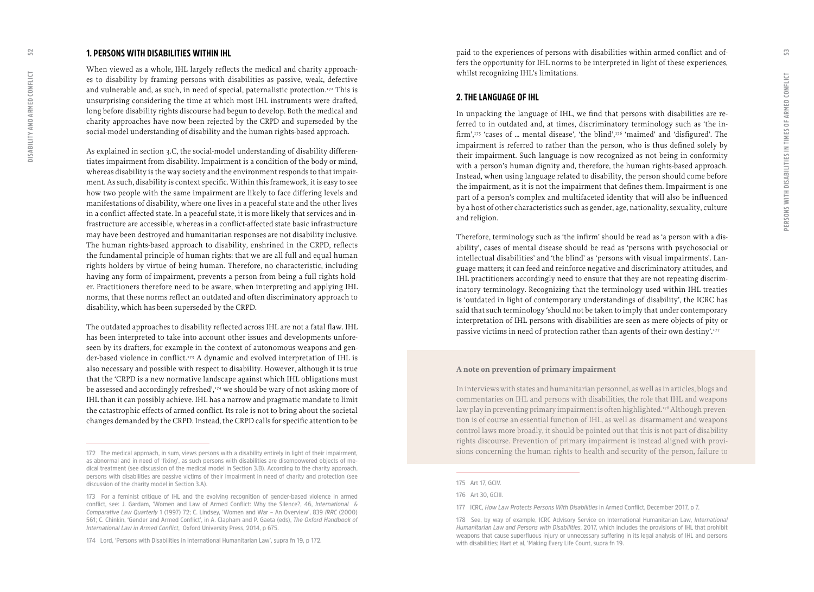### <span id="page-26-0"></span>**1. PERSONS WITH DISABILITIES WITHIN IHL**

When viewed as a whole, IHL largely reflects the medical and charity approach es to disability by framing persons with disabilities as passive, weak, defective and vulnerable and, as such, in need of special, paternalistic protection.<sup>172</sup> This is unsurprising considering the time at which most IHL instruments were drafted, long before disability rights discourse had begun to develop. Both the medical and charity approaches have now been rejected by the CRPD and superseded by the social-model understanding of disability and the human rights-based approach.

As explained in section 3.C, the social-model understanding of disability differen tiates impairment from disability. Impairment is a condition of the body or mind, whereas disability is the way society and the environment responds to that impair ment. As such, disability is context specific. Within this framework, it is easy to see how two people with the same impairment are likely to face differing levels and manifestations of disability, where one lives in a peaceful state and the other lives in a conflict-affected state. In a peaceful state, it is more likely that services and in frastructure are accessible, whereas in a conflict-affected state basic infrastructure may have been destroyed and humanitarian responses are not disability inclusive. The human rights-based approach to disability, enshrined in the CRPD, reflects the fundamental principle of human rights: that we are all full and equal human rights holders by virtue of being human. Therefore, no characteristic, including having any form of impairment, prevents a person from being a full rights-hold er. Practitioners therefore need to be aware, when interpreting and applying IHL norms, that these norms reflect an outdated and often discriminatory approach to disability, which has been superseded by the CRPD.

The outdated approaches to disability reflected across IHL are not a fatal flaw. IHL has been interpreted to take into account other issues and developments unfore seen by its drafters, for example in the context of autonomous weapons and gen der-based violence in conflict.<sup>173</sup> A dynamic and evolved interpretation of IHL is also necessary and possible with respect to disability. However, although it is true that the 'CRPD is a new normative landscape against which IHL obligations must be assessed and accordingly refreshed',<sup>174</sup> we should be wary of not asking more of IHL than it can possibly achieve. IHL has a narrow and pragmatic mandate to limit the catastrophic effects of armed conflict. Its role is not to bring about the societal changes demanded by the CRPD. Instead, the CRPD calls for specific attention to be paid to the experiences of persons with disabilities within armed conflict and offers the opportunity for IHL norms to be interpreted in light of these experiences, whilst recognizing IHL's limitations.

#### **2. THE LANGUAGE OF IHL**

In unpacking the language of IHL, we find that persons with disabilities are re ferred to in outdated and, at times, discriminatory terminology such as 'the in firm',175 'cases of … mental disease', 'the blind',176 'maimed' and 'disfigured'. The impairment is referred to rather than the person, who is thus defined solely by their impairment. Such language is now recognized as not being in conformity with a person's human dignity and, therefore, the human rights-based approach. Instead, when using language related to disability, the person should come before the impairment, as it is not the impairment that defines them. Impairment is one part of a person's complex and multifaceted identity that will also be influenced by a host of other characteristics such as gender, age, nationality, sexuality, culture and religion.

Therefore, terminology such as 'the infirm' should be read as 'a person with a dis ability', cases of mental disease should be read as 'persons with psychosocial or intellectual disabilities' and 'the blind' as 'persons with visual impairments'. Lan guage matters; it can feed and reinforce negative and discriminatory attitudes, and IHL practitioners accordingly need to ensure that they are not repeating discrim inatory terminology. Recognizing that the terminology used within IHL treaties is 'outdated in light of contemporary understandings of disability', the ICRC has said that such terminology 'should not be taken to imply that under contemporary interpretation of IHL persons with disabilities are seen as mere objects of pity or passive victims in need of protection rather than agents of their own destiny'.177

#### **A note on prevention of primary impairment**

In interviews with states and humanitarian personnel, as well as in articles, blogs and commentaries on IHL and persons with disabilities, the role that IHL and weapons law play in preventing primary impairment is often highlighted.<sup>178</sup> Although prevention is of course an essential function of IHL, as well as disarmament and weapons control laws more broadly, it should be pointed out that this is not part of disability rights discourse. Prevention of primary impairment is instead aligned with provi sions concerning the human rights to health and security of the person, failure to

**<sup>172</sup> The medical approach, in sum, views persons with a disability entirely in light of their impairment, as abnormal and in need of 'fixing', as such persons with disabilities are disempowered objects of me dical treatment (see discussion of the medical model in Section 3.B). According to the charity approach, persons with disabilities are passive victims of their impairment in need of charity and protection (see discussion of the charity model in Section 3.A).**

**<sup>173</sup> For a feminist critique of IHL and the evolving recognition of gender-based violence in armed conflict, see: J. Gardam, 'Women and Law of Armed Conflict: Why the Silence?, 46,** *International & Comparative Law Quarterly* **1 (1997) 72; C. Lindsey, 'Women and War – An Overview', 839** *IRRC* **(2000) 561; C. Chinkin, 'Gender and Armed Conflict', in A. Clapham and P. Gaeta (eds),** *The Oxford Handbook of International Law in Armed Conflict***, Oxford University Press, 2014, p 675.**

**<sup>174</sup> Lord, 'Persons with Disabilities in International Humanitarian Law', supra fn 19, p 172.** 

**<sup>175</sup> Art 17, GCIV.**

**<sup>176</sup> Art 30, GCIII.**

**<sup>177</sup> ICRC,** *How Law Protects Persons With Disabilities* **in Armed Conflict, December 2017, p 7.**

**<sup>178</sup> See, by way of example, ICRC Advisory Service on International Humanitarian Law,** *International Humanitarian Law and Persons with Disabilities***, 2017, which includes the provisions of IHL that prohibit weapons that cause superfluous injury or unnecessary suffering in its legal analysis of IHL and persons with disabilities; Hart et al, 'Making Every Life Count, supra fn 19.**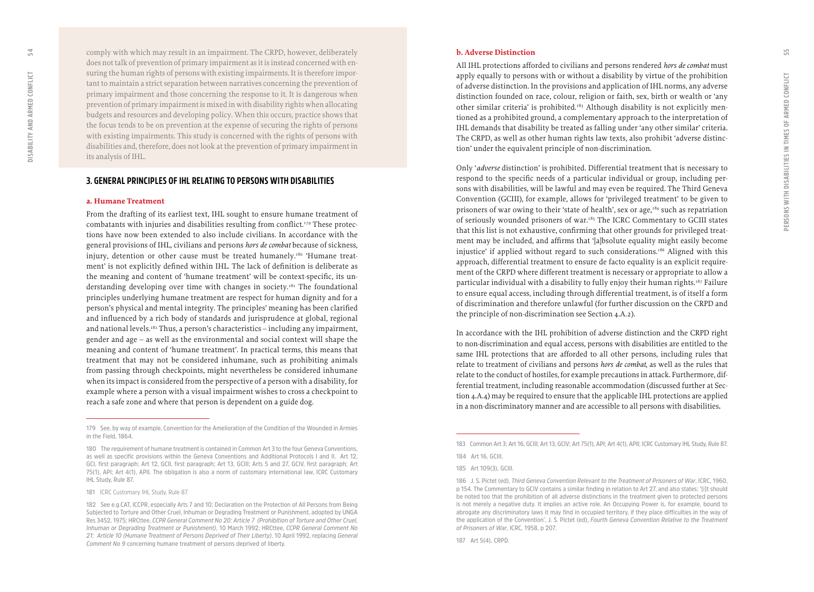<span id="page-27-0"></span>comply with which may result in an impairment. The CRPD, however, deliberately does not talk of prevention of primary impairment as it is instead concerned with en suring the human rights of persons with existing impairments. It is therefore impor tant to maintain a strict separation between narratives concerning the prevention of primary impairment and those concerning the response to it. It is dangerous when prevention of primary impairment is mixed in with disability rights when allocating budgets and resources and developing policy. When this occurs, practice shows that the focus tends to be on prevention at the expense of securing the rights of persons with existing impairments. This study is concerned with the rights of persons with disabilities and, therefore, does not look at the prevention of primary impairment in its analysis of IHL.

#### **3. GENERAL PRINCIPLES OF IHL RELATING TO PERSONS WITH DISABILITIES**

#### **a. Humane Treatment**

From the drafting of its earliest text, IHL sought to ensure humane treatment of combatants with injuries and disabilities resulting from conflict.179 These protec tions have now been extended to also include civilians. In accordance with the general provisions of IHL, civilians and persons *hors de combat* because of sickness, injury, detention or other cause must be treated humanely.180 'Humane treat ment' is not explicitly defined within IHL. The lack of definition is deliberate as the meaning and content of 'humane treatment' will be context-specific, its un derstanding developing over time with changes in society.<sup>181</sup> The foundational principles underlying humane treatment are respect for human dignity and for a person's physical and mental integrity. The principles' meaning has been clarified and influenced by a rich body of standards and jurisprudence at global, regional and national levels.<sup>182</sup> Thus, a person's characteristics – including any impairment, gender and age – as well as the environmental and social context will shape the meaning and content of 'humane treatment'. In practical terms, this means that treatment that may not be considered inhumane, such as prohibiting animals from passing through checkpoints, might nevertheless be considered inhumane when its impact is considered from the perspective of a person with a disability, for example where a person with a visual impairment wishes to cross a checkpoint to reach a safe zone and where that person is dependent on a guide dog.

#### **b. Adverse Distinction**

All IHL protections afforded to civilians and persons rendered *hors de combat* must apply equally to persons with or without a disability by virtue of the prohibition of adverse distinction. In the provisions and application of IHL norms, any adverse distinction founded on race, colour, religion or faith, sex, birth or wealth or 'any other similar criteria' is prohibited.<sup>183</sup> Although disability is not explicitly mentioned as a prohibited ground, a complementary approach to the interpretation of IHL demands that disability be treated as falling under 'any other similar' criteria. The CRPD, as well as other human rights law texts, also prohibit 'adverse distinc tion' under the equivalent principle of non-discrimination.

Only '*adverse* distinction' is prohibited. Differential treatment that is necessary to respond to the specific needs of a particular individual or group, including per sons with disabilities, will be lawful and may even be required. The Third Geneva Convention (GCIII), for example, allows for 'privileged treatment' to be given to prisoners of war owing to their 'state of health', sex or age,<sup>184</sup> such as repatriation of seriously wounded prisoners of war.185 The ICRC Commentary to GCIII states that this list is not exhaustive, confirming that other grounds for privileged treat ment may be included, and affirms that '[a]bsolute equality might easily become injustice' if applied without regard to such considerations.186 Aligned with this approach, differential treatment to ensure de facto equality is an explicit require ment of the CRPD where different treatment is necessary or appropriate to allow a particular individual with a disability to fully enjoy their human rights.187 Failure to ensure equal access, including through differential treatment, is of itself a form of discrimination and therefore unlawful (for further discussion on the CRPD and the principle of non-discrimination see Section 4.A.2).

In accordance with the IHL prohibition of adverse distinction and the CRPD right to non-discrimination and equal access, persons with disabilities are entitled to the same IHL protections that are afforded to all other persons, including rules that relate to treatment of civilians and persons *hors de combat*, as well as the rules that relate to the conduct of hostiles, for example precautions in attack. Furthermore, differential treatment, including reasonable accommodation (discussed further at Section 4.A.4) may be required to ensure that the applicable IHL protections are applied in a non-discriminatory manner and are accessible to all persons with disabilities .

**187 Art 5(4), CRPD.**

**<sup>179</sup> See, by way of example, Convention for the Amelioration of the Condition of the Wounded in Armies in the Field, 1864.** 

**<sup>180</sup> The requirement of humane treatment is contained in Common Art 3 to the four Geneva Conventions, as well as specific provisions within the Geneva Conventions and Additional Protocols I and II. Art 12, GCI, first paragraph; Art 12, GCII, first paragraph; Art 13, GCIII; Arts 5 and 27, GCIV, first paragraph; Art 75(1), API; Art 4(1), APII. The obligation is also a norm of customary international law, ICRC Customary IHL Study, Rule 87.** 

**<sup>181</sup>** ICRC Customary IHL Study, Rule 87.

**<sup>182</sup> See e.g.CAT, ICCPR, especially Arts 7 and 10; Declaration on the Protection of All Persons from Being Subjected to Torture and Other Cruel, Inhuman or Degrading Treatment or Punishment, adopted by UNGA Res 3452, 1975; HRCttee,** *CCPR General Comment No 20: Article 7 (Prohibition of Torture and Other Cruel, Inhuman or Degrading Treatment or Punishment)***, 10 March 1992; HRCttee,** *CCPR General Comment No 21: Article 10 (Humane Treatment of Persons Deprived of Their Liberty)***, 10 April 1992, replacing** *General Comment No 9* **concerning humane treatment of persons deprived of liberty.**

**<sup>183</sup> Common Art 3; Art 16, GCIII; Art 13, GCIV; Art 75(1), API; Art 4(1), APII; ICRC Customary IHL Study, Rule 87.**

**<sup>184</sup> Art 16, GCIII.**

**<sup>185</sup> Art 109(3), GCIII.**

**<sup>186</sup> J. S. Pictet (ed),** *Third Geneva Convention Relevant to the Treatment of Prisoners of War***, ICRC, 1960, p 154. The Commentary to GCIV contains a similar finding in relation to Art 27, and also states: '[i]t should be noted too that the prohibition of all adverse distinctions in the treatment given to protected persons is not merely a negative duty. It implies an active role. An Occupying Power is, for example, bound to abrogate any discriminatory laws it may find in occupied territory, if they place difficulties in the way of the application of the Convention', J. S. Pictet (ed),** *Fourth Geneva Convention Relative to the Treatment of Prisoners of War***, ICRC, 1958, p 207.**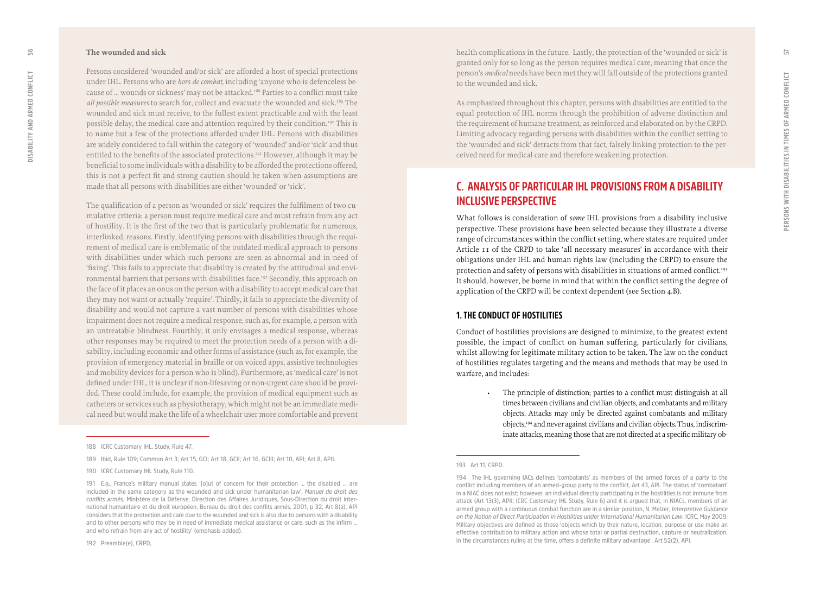#### <span id="page-28-0"></span>**The wounded and sick**

Persons considered 'wounded and/or sick' are afforded a host of special protections under IHL. Persons who are *hors de combat*, including 'anyone who is defenceless be cause of ... wounds or sickness' may not be attacked.<sup>188</sup> Parties to a conflict must take all possible measures to search for, collect and evacuate the wounded and sick.<sup>189</sup> The wounded and sick must receive, to the fullest extent practicable and with the least possible delay, the medical care and attention required by their condition.190 This is to name but a few of the protections afforded under IHL. Persons with disabilities are widely considered to fall within the category of 'wounded' and/or 'sick' and thus entitled to the benefits of the associated protections.<sup>191</sup> However, although it may be beneficial to some individuals with a disability to be afforded the protections offered, this is not a perfect fit and strong caution should be taken when assumptions are made that all persons with disabilities are either 'wounded' or 'sick'.

The qualification of a person as 'wounded or sick' requires the fulfilment of two cu mulative criteria: a person must require medical care and must refrain from any act of hostility. It is the first of the two that is particularly problematic for numerous, interlinked, reasons. Firstly, identifying persons with disabilities through the requi rement of medical care is emblematic of the outdated medical approach to persons with disabilities under which such persons are seen as abnormal and in need of 'fixing'. This fails to appreciate that disability is created by the attitudinal and envi ronmental barriers that persons with disabilities face.<sup>192</sup> Secondly, this approach on the face of it places an onus on the person with a disability to accept medical care that they may not want or actually 'require'. Thirdly, it fails to appreciate the diversity of disability and would not capture a vast number of persons with disabilities whose impairment does not require a medical response, such as, for example, a person with an untreatable blindness. Fourthly, it only envisages a medical response, whereas other responses may be required to meet the protection needs of a person with a di sability, including economic and other forms of assistance (such as, for example, the provision of emergency material in braille or on voiced apps, assistive technologies and mobility devices for a person who is blind). Furthermore, as 'medical care' is not defined under IHL, it is unclear if non-lifesaving or non-urgent care should be provi ded. These could include, for example, the provision of medical equipment such as catheters or services such as physiotherapy, which might not be an immediate medi cal need but would make the life of a wheelchair user more comfortable and prevent

**192 Preamble(e), CRPD,** 

health complications in the future. Lastly, the protection of the 'wounded or sick' is granted only for so long as the person requires medical care, meaning that once the person's *medical* needs have been met they will fall outside of the protections granted to the wounded and sick.

As emphasized throughout this chapter, persons with disabilities are entitled to the equal protection of IHL norms through the prohibition of adverse distinction and the requirement of humane treatment, as reinforced and elaborated on by the CRPD. Limiting advocacy regarding persons with disabilities within the conflict setting to the 'wounded and sick' detracts from that fact, falsely linking protection to the per ceived need for medical care and therefore weakening protection.

## **C. ANALYSIS OF PARTICULAR IHL PROVISIONS FROM A DISABILITY INCLUSIVE PERSPECTIVE**

What follows is consideration of *some* IHL provisions from a disability inclusive perspective. These provisions have been selected because they illustrate a diverse range of circumstances within the conflict setting, where states are required under Article 11 of the CRPD to take 'all necessary measures' in accordance with their obligations under IHL and human rights law (including the CRPD) to ensure the protection and safety of persons with disabilities in situations of armed conflict.<sup>193</sup> It should, however, be borne in mind that within the conflict setting the degree of application of the CRPD will be context dependent (see Section 4.B).

#### **1. THE CONDUCT OF HOSTILITIES**

Conduct of hostilities provisions are designed to minimize, to the greatest extent possible, the impact of conflict on human suffering, particularly for civilians, whilst allowing for legitimate military action to be taken. The law on the conduct of hostilities regulates targeting and the means and methods that may be used in warfare, and includes:<br>
• The principle of distinction; parties to a conflict must distinguish at all

#### **193 Art 11, CRPD.**

**<sup>188</sup> ICRC Customary IHL, Study, Rule 47.** 

**<sup>189</sup> Ibid, Rule 109; Common Art 3; Art 15, GCI; Art 18, GCII; Art 16, GCIII; Art 10, API; Art 8, APII.**

**<sup>190</sup> ICRC Customary IHL Study, Rule 110.**

**<sup>191</sup> E.g., France's military manual states '[o]ut of concern for their protection … the disabled … are included in the same category as the wounded and sick under humanitarian law',** *Manuel de droit des conflits armés***, Ministère de la Défense, Direction des Affaires Juridiques, Sous-Direction du droit inter national humanitaire et du droit européen, Bureau du droit des conflits armés, 2001, p 32; Art 8(a), API considers that the protection and care due to the wounded and sick is also due to persons with a disability and to other persons who may be in need of immediate medical assistance or care, such as the infirm … and who refrain from any act of hostility' (emphasis added).**

times between civilians and civilian objects, and combatants and military objects. Attacks may only be directed against combatants and military objects,<sup>194</sup> and never against civilians and civilian objects. Thus, indiscriminate attacks, meaning those that are not directed at a specific military ob -

**<sup>194</sup> The IHL governing IACs defines 'combatants' as members of the armed forces of a party to the conflict including members of an armed-group party to the conflict, Art 43, API. The status of 'combatant' in a NIAC does not exist; however, an individual directly participating in the hostilities is not immune from attack (Art 13(3), APII; ICRC Customary IHL Study, Rule 6) and it is argued that, in NIACs, members of an armed group with a continuous combat function are in a similar position, N. Melzer,** *Interpretive Guidance on the Notion of Direct Participation in Hostilities under International Humanitarian Law***, ICRC, May 2009. Military objectives are defined as those 'objects which by their nature, location, purpose or use make an effective contribution to military action and whose total or partial destruction, capture or neutralization, in the circumstances ruling at the time, offers a definite military advantage', Art 52(2), API.**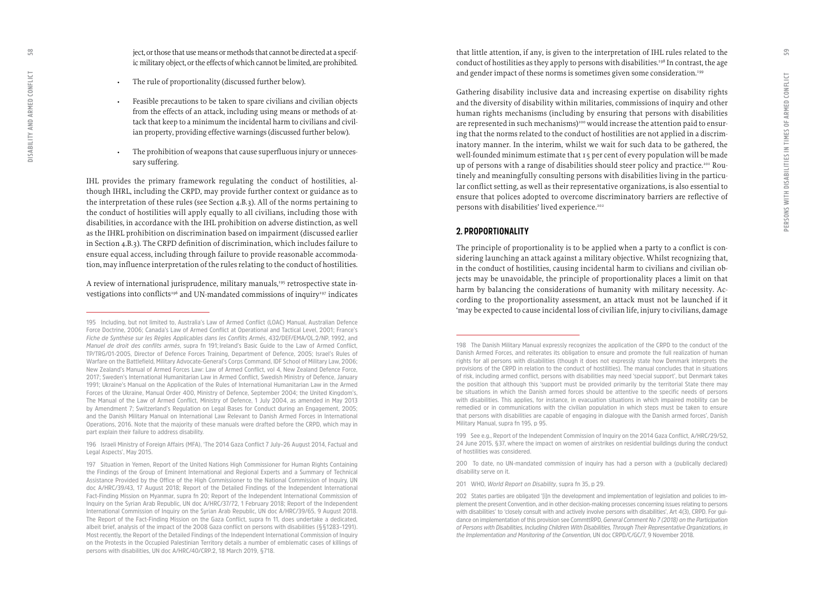ject, or those that use means or methods that cannot be directed at a specific military object, or the effects of which cannot be limited, are prohibited.

- 
- The rule of proportionality (discussed further below).<br>• Feasible precautions to be taken to spare civilians and civilian objects from the effects of an attack, including using means or methods of at tack that keep to a minimum the incidental harm to civilians and civil ian property, providing effective warnings (discussed further below).
- The prohibition of weapons that cause superfluous injury or unneces sary suffering.

IHL provides the primary framework regulating the conduct of hostilities, al though IHRL, including the CRPD, may provide further context or guidance as to the interpretation of these rules (see Section 4.B.3). All of the norms pertaining to the conduct of hostilities will apply equally to all civilians, including those with disabilities, in accordance with the IHL prohibition on adverse distinction, as well as the IHRL prohibition on discrimination based on impairment (discussed earlier in Section 4.B.3). The CRPD definition of discrimination, which includes failure to ensure equal access, including through failure to provide reasonable accommoda tion, may influence interpretation of the rules relating to the conduct of hostilities.

A review of international jurisprudence, military manuals,<del>195</del> retrospective state investigations into conflicts<sup>196</sup> and UN-mandated commissions of inquiry<sup>197</sup> indicates that little attention, if any, is given to the interpretation of IHL rules related to the conduct of hostilities as they apply to persons with disabilities.198 In contrast, the age and gender impact of these norms is sometimes given some consideration.<sup>199</sup>

Gathering disability inclusive data and increasing expertise on disability rights and the diversity of disability within militaries, commissions of inquiry and other human rights mechanisms (including by ensuring that persons with disabilities are represented in such mechanisms) $200$  would increase the attention paid to ensuring that the norms related to the conduct of hostilities are not applied in a discrim inatory manner. In the interim, whilst we wait for such data to be gathered, the well-founded minimum estimate that 15 per cent of every population will be made up of persons with a range of disabilities should steer policy and practice.<sup>201</sup> Routinely and meaningfully consulting persons with disabilities living in the particu lar conflict setting, as well as their representative organizations, is also essential to ensure that polices adopted to overcome discriminatory barriers are reflective of persons with disabilities' lived experience.<sup>202</sup>

#### **2. PROPORTIONALITY**

The principle of proportionality is to be applied when a party to a conflict is con sidering launching an attack against a military objective. Whilst recognizing that, in the conduct of hostilities, causing incidental harm to civilians and civilian ob jects may be unavoidable, the principle of proportionality places a limit on that harm by balancing the considerations of humanity with military necessity. Ac cording to the proportionality assessment, an attack must not be launched if it 'may be expected to cause incidental loss of civilian life, injury to civilians, damage

**200 To date, no UN-mandated commission of inquiry has had a person with a (publically declared) disability serve on it.** 

**201 WHO,** *World Report on Disability***, supra fn 35, p 29.**

<span id="page-29-0"></span> $58$ 

**<sup>195</sup> Including, but not limited to, Australia's Law of Armed Conflict (LOAC) Manual, Australian Defence Force Doctrine, 2006; Canada's Law of Armed Conflict at Operational and Tactical Level, 2001; France's**  *Fiche de Synthèse sur les Règles Applicables dans les Conflits Armés***, 432/DEF/EMA/OL.2/NP, 1992, and**  *Manuel de droit des conflits armés***, supra fn 191; Ireland's Basic Guide to the Law of Armed Conflict, TP/TRG/01-2005, Director of Defence Forces Training, Department of Defence, 2005; Israel's Rules of Warfare on the Battlefield, Military Advocate-General's Corps Command, IDF School of Military Law, 2006; New Zealand's Manual of Armed Forces Law: Law of Armed Conflict, vol 4, New Zealand Defence Force, 2017; Sweden's International Humanitarian Law in Armed Conflict, Swedish Ministry of Defence, January 1991; Ukraine's Manual on the Application of the Rules of International Humanitarian Law in the Armed Forces of the Ukraine, Manual Order 400, Ministry of Defence, September 2004; the United Kingdom's, The Manual of the Law of Armed Conflict, Ministry of Defence, 1 July 2004, as amended in May 2013 by Amendment 7; Switzerland's Regulation on Legal Bases for Conduct during an Engagement, 2005; and the Danish Military Manual on International Law Relevant to Danish Armed Forces in International Operations, 2016. Note that the majority of these manuals were drafted before the CRPD, which may in part explain their failure to address disability.** 

**<sup>196</sup> Israeli Ministry of Foreign Affairs (MFA), 'The 2014 Gaza Conflict 7 July–26 August 2014, Factual and Legal Aspects', May 2015.**

**<sup>197</sup> Situation in Yemen, Report of the United Nations High Commissioner for Human Rights Containing the Findings of the Group of Eminent International and Regional Experts and a Summary of Technical Assistance Provided by the Office of the High Commissioner to the National Commission of Inquiry, UN doc A/HRC/39/43, 17 August 2018; Report of the Detailed Findings of the Independent International Fact-Finding Mission on Myanmar, supra fn 20; Report of the Independent International Commission of Inquiry on the Syrian Arab Republic, UN doc A/HRC/37/72, 1 February 2018; Report of the Independent International Commission of Inquiry on the Syrian Arab Republic, UN doc A/HRC/39/65, 9 August 2018. The Report of the Fact-Finding Mission on the Gaza Conflict, supra fn 11, does undertake a dedicated, albeit brief, analysis of the impact of the 2008 Gaza conflict on persons with disabilities (§§1283–1291). Most recently, the Report of the Detailed Findings of the Independent International Commission of Inquiry on the Protests in the Occupied Palestinian Territory details a number of emblematic cases of killings of persons with disabilities, UN doc A/HRC/40/CRP.2, 18 March 2019, §718.**

**<sup>198</sup> The Danish Military Manual expressly recognizes the application of the CRPD to the conduct of the Danish Armed Forces, and reiterates its obligation to ensure and promote the full realization of human rights for all persons with disabilities (though it does not expressly state how Denmark interprets the provisions of the CRPD in relation to the conduct of hostilities). The manual concludes that in situations of risk, including armed conflict, persons with disabilities may need 'special support', but Denmark takes the position that although this 'support must be provided primarily by the territorial State there may be situations in which the Danish armed forces should be attentive to the specific needs of persons with disabilities. This applies, for instance, in evacuation situations in which impaired mobility can be remedied or in communications with the civilian population in which steps must be taken to ensure that persons with disabilities are capable of engaging in dialogue with the Danish armed forces', Danish Military Manual, supra fn 195, p 95.**

**<sup>199</sup> See e.g., Report of the Independent Commission of Inquiry on the 2014 Gaza Conflict, A/HRC/29/52, 24 June 2015, §37, where the impact on women of airstrikes on residential buildings during the conduct of hostilities was considered.**

**<sup>202</sup> States parties are obligated '[i]n the development and implementation of legislation and policies to im plement the present Convention, and in other decision-making processes concerning issues relating to persons with disabilities' to 'closely consult with and actively involve persons with disabilities', Art 4(3), CRPD. For gui dance on implementation of this provision see CommttRPD,** *General Comment No 7 (2018) on the Participation of Persons with Disabilities, Including Children With Disabilities, Through Their Representative Organizations, in the Implementation and Monitoring of the Convention***, UN doc CRPD/C/GC/7, 9 November 2018.**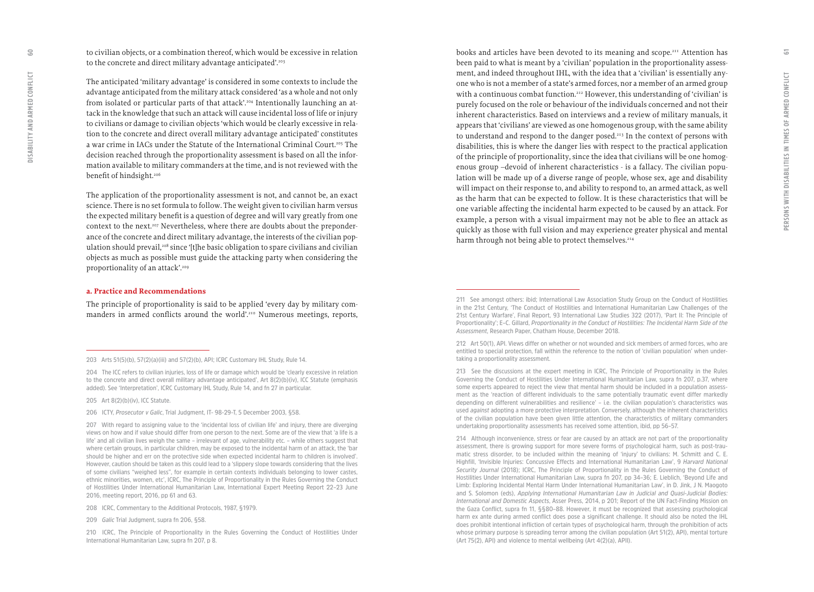to civilian objects, or a combination thereof, which would be excessive in relation to the concrete and direct military advantage anticipated'.<sup>203</sup>

The anticipated 'military advantage' is considered in some contexts to include the advantage anticipated from the military attack considered 'as a whole and not only from isolated or particular parts of that attack'.204 Intentionally launching an at tack in the knowledge that such an attack will cause incidental loss of life or injury to civilians or damage to civilian objects 'which would be clearly excessive in rela tion to the concrete and direct overall military advantage anticipated' constitutes a war crime in IACs under the Statute of the International Criminal Court.<sup>205</sup> The decision reached through the proportionality assessment is based on all the infor mation available to military commanders at the time, and is not reviewed with the benefit of hindsight.<sup>206</sup>

The application of the proportionality assessment is not, and cannot be, an exact science. There is no set formula to follow. The weight given to civilian harm versus the expected military benefit is a question of degree and will vary greatly from one context to the next.<sup>207</sup> Nevertheless, where there are doubts about the preponderance of the concrete and direct military advantage, the interests of the civilian pop ulation should prevail,<sup>208</sup> since '[t]he basic obligation to spare civilians and civilian objects as much as possible must guide the attacking party when considering the proportionality of an attack'.209

#### **a. Practice and Recommendations**

The principle of proportionality is said to be applied 'every day by military com manders in armed conflicts around the world'.210 Numerous meetings, reports, books and articles have been devoted to its meaning and scope.211 Attention has been paid to what is meant by a 'civilian' population in the proportionality assess ment, and indeed throughout IHL, with the idea that a 'civilian' is essentially any one who is not a member of a state's armed forces, nor a member of an armed group with a continuous combat function.<sup>212</sup> However, this understanding of 'civilian' is purely focused on the role or behaviour of the individuals concerned and not their inherent characteristics. Based on interviews and a review of military manuals, it appears that 'civilians' are viewed as one homogenous group, with the same ability to understand and respond to the danger posed.<sup>213</sup> In the context of persons with disabilities, this is where the danger lies with respect to the practical application of the principle of proportionality, since the idea that civilians will be one homog enous group –devoid of inherent characteristics - is a fallacy. The civilian popu lation will be made up of a diverse range of people, whose sex, age and disability will impact on their response to, and ability to respond to, an armed attack, as well as the harm that can be expected to follow. It is these characteristics that will be one variable affecting the incidental harm expected to be caused by an attack. For example, a person with a visual impairment may not be able to flee an attack as quickly as those with full vision and may experience greater physical and mental harm through not being able to protect themselves.<sup>214</sup>

**214 Although inconvenience, stress or fear are caused by an attack are not part of the proportionality assessment, there is growing support for more severe forms of psychological harm, such as post-trau matic stress disorder, to be included within the meaning of 'injury' to civilians: M. Schmitt and C. E. Highfill, 'Invisible Injuries: Concussive Effects and International Humanitarian Law', 9** *Harvard National Security Journal* **(2018); ICRC, The Principle of Proportionality in the Rules Governing the Conduct of Hostilities Under International Humanitarian Law, supra fn 207, pp 34–36; E. Lieblich, 'Beyond Life and Limb: Exploring Incidental Mental Harm Under International Humanitarian Law', in D. Jink, J N. Maogoto and S. Solomon (eds),** *Applying International Humanitarian Law in Judicial and Quasi-Judicial Bodies: International and Domestic Aspects***, Asser Press, 2014, p 201; Report of the UN Fact-Finding Mission on the Gaza Conflict, supra fn 11, §§80–88. However, it must be recognized that assessing psychological harm ex ante during armed conflict does pose a significant challenge. It should also be noted the IHL does prohibit intentional infliction of certain types of psychological harm, through the prohibition of acts whose primary purpose is spreading terror among the civilian population (Art 51(2), API), mental torture (Art 75(2), API) and violence to mental wellbeing (Art 4(2)(a), APII).** 

**<sup>203</sup> Arts 51(5)(b), 57(2)(a)(iii) and 57(2)(b), API; ICRC Customary IHL Study, Rule 14.** 

**<sup>204</sup> The ICC refers to civilian injuries, loss of life or damage which would be 'clearly excessive in relation to the concrete and direct overall military advantage anticipated', Art 8(2)(b)(iv), ICC Statute (emphasis added). See 'Interpretation', ICRC Customary IHL Study, Rule 14, and fn 27 in particular.** 

**<sup>205</sup> Art 8(2)(b)(iv), ICC Statute.**

**<sup>206</sup> ICTY,** *Prosecutor v Galic***, Trial Judgment, IT- 98-29-T, 5 December 2003, §58.**

**<sup>207</sup> With regard to assigning value to the 'incidental loss of civilian life' and injury, there are diverging views on how and if value should differ from one person to the next. Some are of the view that 'a life is a life' and all civilian lives weigh the same – irrelevant of age, vulnerability etc. – while others suggest that where certain groups, in particular children, may be exposed to the incidental harm of an attack, the 'bar should be higher and err on the protective side when expected incidental harm to children is involved'. However, caution should be taken as this could lead to a 'slippery slope towards considering that the lives of some civilians "weighed less", for example in certain contexts individuals belonging to lower castes, ethnic minorities, women, etc', ICRC, The Principle of Proportionality in the Rules Governing the Conduct of Hostilities Under International Humanitarian Law, International Expert Meeting Report 22–23 June 2016, meeting report, 2016, pp 61 and 63.**

**<sup>208</sup> ICRC, Commentary to the Additional Protocols, 1987, §1979.**

**<sup>209</sup>** *Galic* **Trial Judgment, supra fn 206, §58.**

**<sup>210</sup> ICRC, The Principle of Proportionality in the Rules Governing the Conduct of Hostilities Under International Humanitarian Law, supra fn 207, p 8.**

**<sup>211</sup> See amongst others: ibid; International Law Association Study Group on the Conduct of Hostilities in the 21st Century, 'The Conduct of Hostilities and International Humanitarian Law Challenges of the 21st Century Warfare', Final Report, 93 International Law Studies 322 (2017), 'Part II: The Principle of Proportionality'; E–C. Gillard,** *Proportionality in the Conduct of Hostilities: The Incidental Harm Side of the Assessment***, Research Paper, Chatham House, December 2018.** 

**<sup>212</sup> Art 50(1), API. Views differ on whether or not wounded and sick members of armed forces, who are entitled to special protection, fall within the reference to the notion of 'civilian population' when under taking a proportionality assessment.** 

**<sup>213</sup> See the discussions at the expert meeting in ICRC, The Principle of Proportionality in the Rules Governing the Conduct of Hostilities Under International Humanitarian Law, supra fn 207, p.37, where some experts appeared to reject the view that mental harm should be included in a population assess ment as the 'reaction of different individuals to the same potentially traumatic event differ markedly depending on different vulnerabilities and resilience' – i.e. the civilian population's characteristics was used** *against* **adopting a more protective interpretation. Conversely, although the inherent characteristics of the civilian population have been given little attention, the characteristics of military commanders undertaking proportionality assessments has received some attention, ibid, pp 56–57.**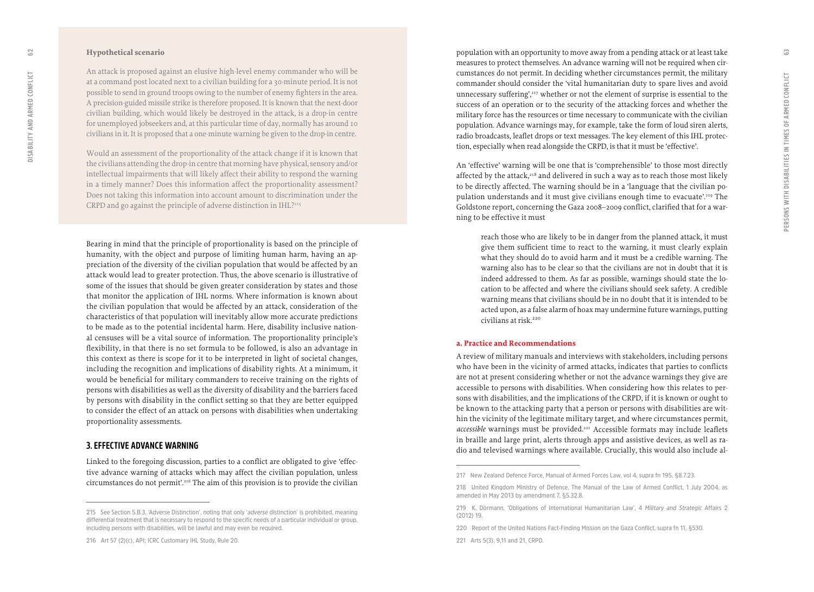#### <span id="page-31-0"></span>**Hypothetical scenario**

An attack is proposed against an elusive high-level enemy commander who will be at a command post located next to a civilian building for a 30-minute period. It is not possible to send in ground troops owing to the number of enemy fighters in the area. A precision-guided missile strike is therefore proposed. It is known that the next-door civilian building, which would likely be destroyed in the attack, is a drop-in centre for unemployed jobseekers and, at this particular time of day, normally has around 10 civilians in it. It is proposed that a one-minute warning be given to the drop-in centre.

Would an assessment of the proportionality of the attack change if it is known that the civilians attending the drop-in centre that morning have physical, sensory and/or intellectual impairments that will likely affect their ability to respond the warning in a timely manner? Does this information affect the proportionality assessment? Does not taking this information into account amount to discrimination under the CRPD and go against the principle of adverse distinction in IHL?215

Bearing in mind that the principle of proportionality is based on the principle of humanity, with the object and purpose of limiting human harm, having an ap preciation of the diversity of the civilian population that would be affected by an attack would lead to greater protection. Thus, the above scenario is illustrative of some of the issues that should be given greater consideration by states and those that monitor the application of IHL norms. Where information is known about the civilian population that would be affected by an attack, consideration of the characteristics of that population will inevitably allow more accurate predictions to be made as to the potential incidental harm. Here, disability inclusive nation al censuses will be a vital source of information. The proportionality principle's flexibility, in that there is no set formula to be followed, is also an advantage in this context as there is scope for it to be interpreted in light of societal changes, including the recognition and implications of disability rights. At a minimum, it would be beneficial for military commanders to receive training on the rights of persons with disabilities as well as the diversity of disability and the barriers faced by persons with disability in the conflict setting so that they are better equipped to consider the effect of an attack on persons with disabilities when undertaking proportionality assessments.

#### **3. EFFECTIVE ADVANCE WARNING**

Linked to the foregoing discussion, parties to a conflict are obligated to give 'effec tive advance warning of attacks which may affect the civilian population, unless circumstances do not permit'.<sup>216</sup> The aim of this provision is to provide the civilian population with an opportunity to move away from a pending attack or at least take measures to protect themselves. An advance warning will not be required when cir cumstances do not permit. In deciding whether circumstances permit, the military commander should consider the 'vital humanitarian duty to spare lives and avoid unnecessary suffering',<sup>217</sup> whether or not the element of surprise is essential to the success of an operation or to the security of the attacking forces and whether the military force has the resources or time necessary to communicate with the civilian population. Advance warnings may, for example, take the form of loud siren alerts, radio broadcasts, leaflet drops or text messages. The key element of this IHL protec tion, especially when read alongside the CRPD, is that it must be 'effective'.

An 'effective' warning will be one that is 'comprehensible' to those most directly affected by the attack, $218$  and delivered in such a way as to reach those most likely to be directly affected. The warning should be in a 'language that the civilian po pulation understands and it must give civilians enough time to evacuate'.219 The Goldstone report, concerning the Gaza 2008–2009 conflict, clarified that for a war ning to be effective it must

reach those who are likely to be in danger from the planned attack, it must give them sufficient time to react to the warning, it must clearly explain what they should do to avoid harm and it must be a credible warning. The warning also has to be clear so that the civilians are not in doubt that it is indeed addressed to them. As far as possible, warnings should state the lo cation to be affected and where the civilians should seek safety. A credible warning means that civilians should be in no doubt that it is intended to be acted upon, as a false alarm of hoax may undermine future warnings, putting civilians at risk.220

#### **a. Practice and Recommendations**

A review of military manuals and interviews with stakeholders, including persons who have been in the vicinity of armed attacks, indicates that parties to conflicts are not at present considering whether or not the advance warnings they give are accessible to persons with disabilities. When considering how this relates to per sons with disabilities, and the implications of the CRPD, if it is known or ought to be known to the attacking party that a person or persons with disabilities are wit hin the vicinity of the legitimate military target, and where circumstances permit, accessible warnings must be provided.<sup>221</sup> Accessible formats may include leaflets in braille and large print, alerts through apps and assistive devices, as well as ra dio and televised warnings where available. Crucially, this would also include al -

**<sup>215</sup> See Section 5.B.3, 'Adverse Distinction', noting that only '***adverse* **distinction' is prohibited, meaning differential treatment that is necessary to respond to the specific needs of a particular individual or group, including persons with disabilities, will be lawful and may even be required.**

**<sup>216</sup> Art 57 (2)(c), API; ICRC Customary IHL Study, Rule 20.**

**<sup>217</sup> New Zealand Defence Force, Manual of Armed Forces Law, vol 4, supra fn 195, §8.7.23.**

**<sup>218</sup> United Kingdom Ministry of Defence, The Manual of the Law of Armed Conflict, 1 July 2004, as amended in May 2013 by amendment 7, §5.32.8.** 

**<sup>219</sup> K. Dörmann, 'Obligations of International Humanitarian Law', 4** *Military and Strategic* **Affairs 2 (2012) 19.** 

**<sup>220</sup> Report of the United Nations Fact-Finding Mission on the Gaza Conflict, supra fn 11, §530.**

**<sup>221</sup> Arts 5(3), 9,11 and 21, CRPD.**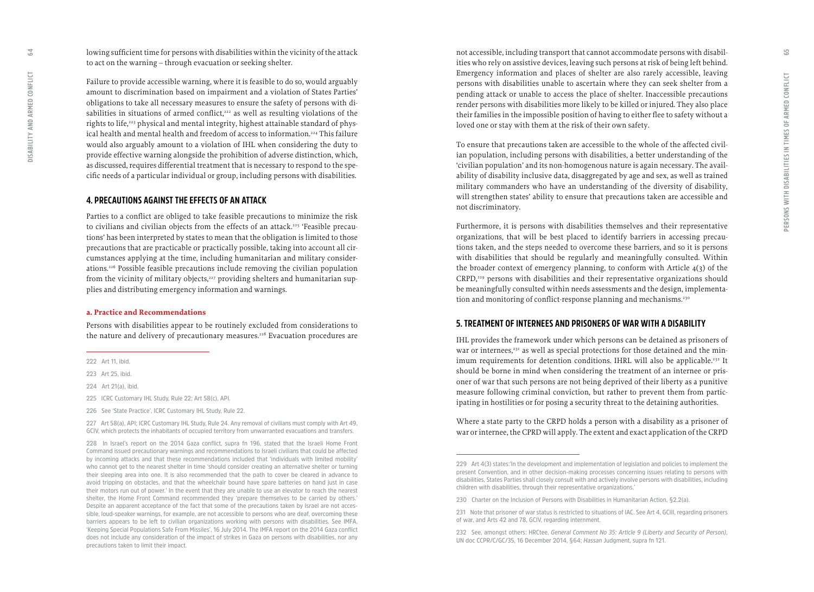lowing sufficient time for persons with disabilities within the vicinity of the attack to act on the warning – through evacuation or seeking shelter.

Failure to provide accessible warning, where it is feasible to do so, would arguably amount to discrimination based on impairment and a violation of States Parties' obligations to take all necessary measures to ensure the safety of persons with di sabilities in situations of armed conflict,<sup>222</sup> as well as resulting violations of the rights to life,<sup>223</sup> physical and mental integrity, highest attainable standard of physical health and mental health and freedom of access to information.<sup>224</sup> This failure would also arguably amount to a violation of IHL when considering the duty to provide effective warning alongside the prohibition of adverse distinction, which, as discussed, requires differential treatment that is necessary to respond to the spe cific needs of a particular individual or group, including persons with disabilities.

#### **4. PRECAUTIONS AGAINST THE EFFECTS OF AN ATTACK**

Parties to a conflict are obliged to take feasible precautions to minimize the risk to civilians and civilian objects from the effects of an attack.<sup>225</sup> 'Feasible precautions' has been interpreted by states to mean that the obligation is limited to those precautions that are practicable or practically possible, taking into account all cir cumstances applying at the time, including humanitarian and military consider ations.226 Possible feasible precautions include removing the civilian population from the vicinity of military objects,<sup>227</sup> providing shelters and humanitarian supplies and distributing emergency information and warnings.

#### **a. Practice and Recommendations**

Persons with disabilities appear to be routinely excluded from considerations to the nature and delivery of precautionary measures.<sup>228</sup> Evacuation procedures are

- **225 ICRC Customary IHL Study, Rule 22; Art 58(c), API.**
- **226 See 'State Practice', ICRC Customary IHL Study, Rule 22.**

**227 Art 58(a), API; ICRC Customary IHL Study, Rule 24. Any removal of civilians must comply with Art 49, GCIV, which protects the inhabitants of occupied territory from unwarranted evacuations and transfers.** 

**228 In Israel's report on the 2014 Gaza conflict, supra fn 196, stated that the Israeli Home Front Command issued precautionary warnings and recommendations to Israeli civilians that could be affected by incoming attacks and that these recommendations included that 'individuals with limited mobility' who cannot get to the nearest shelter in time 'should consider creating an alternative shelter or turning their sleeping area into one. It is also recommended that the path to cover be cleared in advance to avoid tripping on obstacles, and that the wheelchair bound have spare batteries on hand just in case their motors run out of power.' In the event that they are unable to use an elevator to reach the nearest shelter, the Home Front Command recommended they 'prepare themselves to be carried by others.' Despite an apparent acceptance of the fact that some of the precautions taken by Israel are not acces sible, loud-speaker warnings, for example, are not accessible to persons who are deaf, overcoming these barriers appears to be left to civilian organizations working with persons with disabilities. See IMFA, 'Keeping Special Populations Safe From Missiles', 16 July 2014. The IMFA report on the 2014 Gaza conflict does not include any consideration of the impact of strikes in Gaza on persons with disabilities, nor any precautions taken to limit their impact.**

not accessible, including transport that cannot accommodate persons with disabil ities who rely on assistive devices, leaving such persons at risk of being left behind. Emergency information and places of shelter are also rarely accessible, leaving persons with disabilities unable to ascertain where they can seek shelter from a pending attack or unable to access the place of shelter. Inaccessible precautions render persons with disabilities more likely to be killed or injured. They also place their families in the impossible position of having to either flee to safety without a loved one or stay with them at the risk of their own safety.

To ensure that precautions taken are accessible to the whole of the affected civil ian population, including persons with disabilities, a better understanding of the 'civilian population' and its non-homogenous nature is again necessary. The avail ability of disability inclusive data, disaggregated by age and sex, as well as trained military commanders who have an understanding of the diversity of disability, will strengthen states' ability to ensure that precautions taken are accessible and not discriminatory.

Furthermore, it is persons with disabilities themselves and their representative organizations, that will be best placed to identify barriers in accessing precau tions taken, and the steps needed to overcome these barriers, and so it is persons with disabilities that should be regularly and meaningfully consulted. Within the broader context of emergency planning, to conform with Article 4(3) of the CRPD,229 persons with disabilities and their representative organizations should be meaningfully consulted within needs assessments and the design, implementa tion and monitoring of conflict-response planning and mechanisms.<sup>230</sup>

#### **5. TREATMENT OF INTERNEES AND PRISONERS OF WAR WITH A DISABILITY**

IHL provides the framework under which persons can be detained as prisoners of war or internees,<sup>231</sup> as well as special protections for those detained and the minimum requirements for detention conditions. IHRL will also be applicable.<sup>232</sup> It should be borne in mind when considering the treatment of an internee or pris oner of war that such persons are not being deprived of their liberty as a punitive measure following criminal conviction, but rather to prevent them from partic ipating in hostilities or for posing a security threat to the detaining authorities.

Where a state party to the CRPD holds a person with a disability as a prisoner of war or internee, the CPRD will apply. The extent and exact application of the CRPD

<span id="page-32-0"></span> $5<sup>4</sup>$ 

**<sup>222</sup> Art 11, ibid.** 

**<sup>223</sup> Art 25, ibid.** 

**<sup>224</sup> Art 21(a), ibid.**

**<sup>229</sup> Art 4(3) states: 'In the development and implementation of legislation and policies to implement the present Convention, and in other decision-making processes concerning issues relating to persons with disabilities, States Parties shall closely consult with and actively involve persons with disabilities, including children with disabilities, through their representative organizations.'**

**<sup>230</sup> Charter on the Inclusion of Persons with Disabilities in Humanitarian Action, §2.2(a).** 

**<sup>231</sup> Note that prisoner of war status is restricted to situations of IAC. See Art 4, GCIII, regarding prisoners of war, and Arts 42 and 78, GCIV, regarding internment.** 

**<sup>232</sup> See, amongst others: HRCtee,** *General Comment No 35: Article 9 (Liberty and Security of Person)***, UN doc CCPR/C/GC/35, 16 December 2014, §64;** *Hassan* **Judgment, supra fn 121.**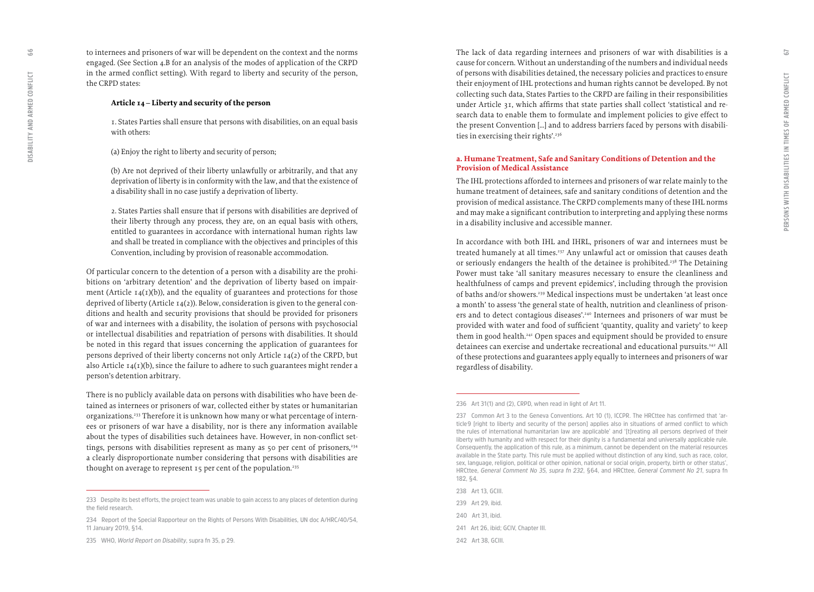to internees and prisoners of war will be dependent on the context and the norms engaged. (See Section 4.B for an analysis of the modes of application of the CRPD in the armed conflict setting). With regard to liberty and security of the person, the CRPD states:

#### **Article 14 – Liberty and security of the person**

1. States Parties shall ensure that persons with disabilities, on an equal basis with others:

(a) Enjoy the right to liberty and security of person;

(b) Are not deprived of their liberty unlawfully or arbitrarily, and that any deprivation of liberty is in conformity with the law, and that the existence of a disability shall in no case justify a deprivation of liberty.

2. States Parties shall ensure that if persons with disabilities are deprived of their liberty through any process, they are, on an equal basis with others, entitled to guarantees in accordance with international human rights law and shall be treated in compliance with the objectives and principles of this Convention, including by provision of reasonable accommodation.

Of particular concern to the detention of a person with a disability are the prohi bitions on 'arbitrary detention' and the deprivation of liberty based on impair ment (Article  $I_4(I)(b)$ ), and the equality of guarantees and protections for those deprived of liberty (Article 14(2)). Below, consideration is given to the general con ditions and health and security provisions that should be provided for prisoners of war and internees with a disability, the isolation of persons with psychosocial or intellectual disabilities and repatriation of persons with disabilities. It should be noted in this regard that issues concerning the application of guarantees for persons deprived of their liberty concerns not only Article 14(2) of the CRPD, but also Article  $14(1)(b)$ , since the failure to adhere to such guarantees might render a person's detention arbitrary.

There is no publicly available data on persons with disabilities who have been de tained as internees or prisoners of war, collected either by states or humanitarian organizations.233 Therefore it is unknown how many or what percentage of intern ees or prisoners of war have a disability, nor is there any information available about the types of disabilities such detainees have. However, in non-conflict set tings, persons with disabilities represent as many as 50 per cent of prisoners, $234$ a clearly disproportionate number considering that persons with disabilities are thought on average to represent  $15$  per cent of the population.<sup>235</sup>

The lack of data regarding internees and prisoners of war with disabilities is a cause for concern. Without an understanding of the numbers and individual needs of persons with disabilities detained, the necessary policies and practices to ensure their enjoyment of IHL protections and human rights cannot be developed. By not collecting such data, States Parties to the CRPD are failing in their responsibilities under Article 31, which affirms that state parties shall collect 'statistical and re search data to enable them to formulate and implement policies to give effect to the present Convention […] and to address barriers faced by persons with disabili ties in exercising their rights'.<sup>236</sup>

#### **a. Humane Treatment, Safe and Sanitary Conditions of Detention and the Provision of Medical Assistance**

The IHL protections afforded to internees and prisoners of war relate mainly to the humane treatment of detainees, safe and sanitary conditions of detention and the provision of medical assistance. The CRPD complements many of these IHL norms and may make a significant contribution to interpreting and applying these norms in a disability inclusive and accessible manner.

In accordance with both IHL and IHRL, prisoners of war and internees must be treated humanely at all times.<sup>237</sup> Any unlawful act or omission that causes death or seriously endangers the health of the detainee is prohibited.238 The Detaining Power must take 'all sanitary measures necessary to ensure the cleanliness and healthfulness of camps and prevent epidemics', including through the provision of baths and/or showers.239 Medical inspections must be undertaken 'at least once a month' to assess 'the general state of health, nutrition and cleanliness of prison ers and to detect contagious diseases'.240 Internees and prisoners of war must be provided with water and food of sufficient 'quantity, quality and variety' to keep them in good health.<sup>241</sup> Open spaces and equipment should be provided to ensure detainees can exercise and undertake recreational and educational pursuits.<sup>242</sup> All of these protections and guarantees apply equally to internees and prisoners of war regardless of disability.

**238 Art 13, GCIII.**

**240 Art 31, ibid.** 

99

**<sup>233</sup> Despite its best efforts, the project team was unable to gain access to any places of detention during the field research.** 

**<sup>234</sup> Report of the Special Rapporteur on the Rights of Persons With Disabilities, UN doc A/HRC/40/54, 11 January 2019, §14.**

**<sup>235</sup> WHO,** *World Report on Disability***, supra fn 35, p 29.** 

**<sup>236</sup> Art 31(1) and (2), CRPD, when read in light of Art 11.**

**<sup>237</sup> Common Art 3 to the Geneva Conventions. Art 10 (1), ICCPR. The HRCttee has confirmed that 'ar ticle 9 [right to liberty and security of the person] applies also in situations of armed conflict to which the rules of international humanitarian law are applicable' and '[t]reating all persons deprived of their liberty with humanity and with respect for their dignity is a fundamental and universally applicable rule. Consequently, the application of this rule, as a minimum, cannot be dependent on the material resources available in the State party. This rule must be applied without distinction of any kind, such as race, color, sex, language, religion, political or other opinion, national or social origin, property, birth or other status', HRCttee,** *General Comment No 35, supra fn 232***, §64, and HRCttee,** *General Comment No 21***, supra fn 182, §4.** 

**<sup>239</sup> Art 29, ibid.** 

**<sup>241</sup> Art 26, ibid; GCIV, Chapter III.**

**<sup>242</sup> Art 38, GCIII.**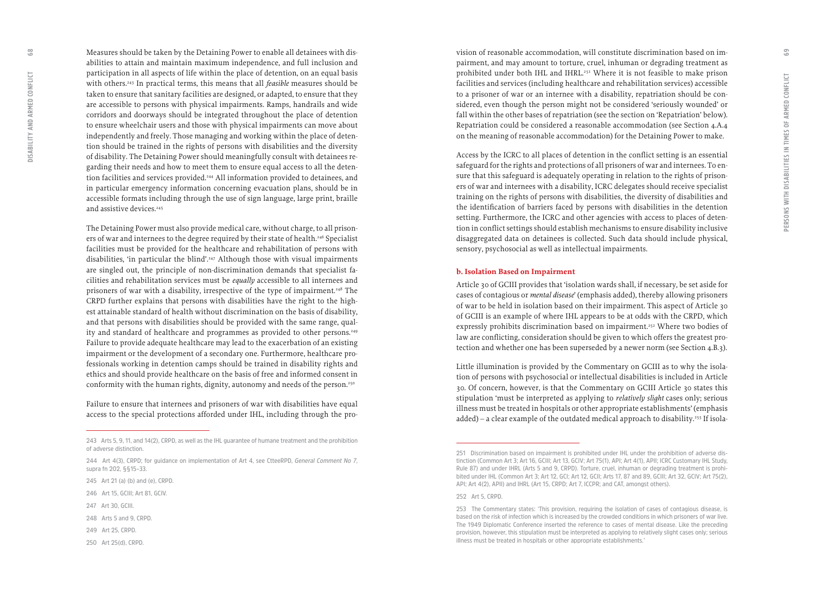Measures should be taken by the Detaining Power to enable all detainees with dis abilities to attain and maintain maximum independence, and full inclusion and participation in all aspects of life within the place of detention, on an equal basis with others.243 In practical terms, this means that all *feasible* measures should be taken to ensure that sanitary facilities are designed, or adapted, to ensure that they are accessible to persons with physical impairments. Ramps, handrails and wide corridors and doorways should be integrated throughout the place of detention to ensure wheelchair users and those with physical impairments can move about independently and freely. Those managing and working within the place of deten tion should be trained in the rights of persons with disabilities and the diversity of disability. The Detaining Power should meaningfully consult with detainees re garding their needs and how to meet them to ensure equal access to all the deten tion facilities and services provided.244 All information provided to detainees, and in particular emergency information concerning evacuation plans, should be in accessible formats including through the use of sign language, large print, braille and assistive devices.<sup>245</sup>

The Detaining Power must also provide medical care, without charge, to all prison ers of war and internees to the degree required by their state of health.<sup>246</sup> Specialist facilities must be provided for the healthcare and rehabilitation of persons with disabilities, 'in particular the blind'.<sup>247</sup> Although those with visual impairments are singled out, the principle of non-discrimination demands that specialist fa cilities and rehabilitation services must be *equally* accessible to all internees and prisoners of war with a disability, irrespective of the type of impairment.<sup>248</sup> The CRPD further explains that persons with disabilities have the right to the high est attainable standard of health without discrimination on the basis of disability, and that persons with disabilities should be provided with the same range, qual ity and standard of healthcare and programmes as provided to other persons.<sup>249</sup> Failure to provide adequate healthcare may lead to the exacerbation of an existing impairment or the development of a secondary one. Furthermore, healthcare pro fessionals working in detention camps should be trained in disability rights and ethics and should provide healthcare on the basis of free and informed consent in conformity with the human rights, dignity, autonomy and needs of the person.<sup>250</sup>

Failure to ensure that internees and prisoners of war with disabilities have equal access to the special protections afforded under IHL, including through the pro -

- **244 Art 4(3), CRPD; for guidance on implementation of Art 4, see CtteeRPD,** *General Comment No 7***, supra fn 202, §§15–33.**
- **245 Art 21 (a) (b) and (e), CRPD.**
- **246 Art 15, GCIII; Art 81, GCIV.**
- **247 Art 30, GCIII.**
- **248 Arts 5 and 9, CRPD.**
- **249 Art 25, CRPD.**
- **250 Art 25(d), CRPD.**

vision of reasonable accommodation, will constitute discrimination based on im pairment, and may amount to torture, cruel, inhuman or degrading treatment as prohibited under both IHL and IHRL.251 Where it is not feasible to make prison facilities and services (including healthcare and rehabilitation services) accessible to a prisoner of war or an internee with a disability, repatriation should be con sidered, even though the person might not be considered 'seriously wounded' or fall within the other bases of repatriation (see the section on 'Repatriation' below). Repatriation could be considered a reasonable accommodation (see Section 4.A.4 on the meaning of reasonable accommodation) for the Detaining Power to make.

Access by the ICRC to all places of detention in the conflict setting is an essential safeguard for the rights and protections of all prisoners of war and internees. To en sure that this safeguard is adequately operating in relation to the rights of prison ers of war and internees with a disability, ICRC delegates should receive specialist training on the rights of persons with disabilities, the diversity of disabilities and the identification of barriers faced by persons with disabilities in the detention setting. Furthermore, the ICRC and other agencies with access to places of deten tion in conflict settings should establish mechanisms to ensure disability inclusive disaggregated data on detainees is collected. Such data should include physical, sensory, psychosocial as well as intellectual impairments.

#### **b. Isolation Based on Impairment**

Article 30 of GCIII provides that 'isolation wards shall, if necessary, be set aside for cases of contagious or *mental disease*' (emphasis added), thereby allowing prisoners of war to be held in isolation based on their impairment. This aspect of Article 30 of GCIII is an example of where IHL appears to be at odds with the CRPD, which expressly prohibits discrimination based on impairment.252 Where two bodies of law are conflicting, consideration should be given to which offers the greatest pro tection and whether one has been superseded by a newer norm (see Section 4.B.3).

Little illumination is provided by the Commentary on GCIII as to why the isola tion of persons with psychosocial or intellectual disabilities is included in Article 30. Of concern, however, is that the Commentary on GCIII Article 30 states this stipulation 'must be interpreted as applying to *relatively slight* cases only; serious illness must be treated in hospitals or other appropriate establishments' (emphasis added) - a clear example of the outdated medical approach to disability.<sup>253</sup> If isola-

89

**<sup>243</sup> Arts 5, 9, 11, and 14(2), CRPD, as well as the IHL guarantee of humane treatment and the prohibition of adverse distinction.** 

**<sup>251</sup> Discrimination based on impairment is prohibited under IHL under the prohibition of adverse dis tinction (Common Art 3; Art 16, GCIII; Art 13, GCIV; Art 75(1), API; Art 4(1), APII; ICRC Customary IHL Study, Rule 87) and under IHRL (Arts 5 and 9, CRPD). Torture, cruel, inhuman or degrading treatment is prohi bited under IHL (Common Art 3; Art 12, GCI; Art 12, GCII; Arts 17, 87 and 89, GCIII; Art 32, GCIV; Art 75(2), API; Art 4(2), APII) and IHRL (Art 15, CRPD; Art 7, ICCPR; and CAT, amongst others).** 

**<sup>252</sup> Art 5, CRPD.** 

**<sup>253</sup> The Commentary states: 'This provision, requiring the isolation of cases of contagious disease, is based on the risk of infection which is increased by the crowded conditions in which prisoners of war live. The 1949 Diplomatic Conference inserted the reference to cases of mental disease. Like the preceding provision, however, this stipulation must be interpreted as applying to relatively slight cases only; serious illness must be treated in hospitals or other appropriate establishments.'**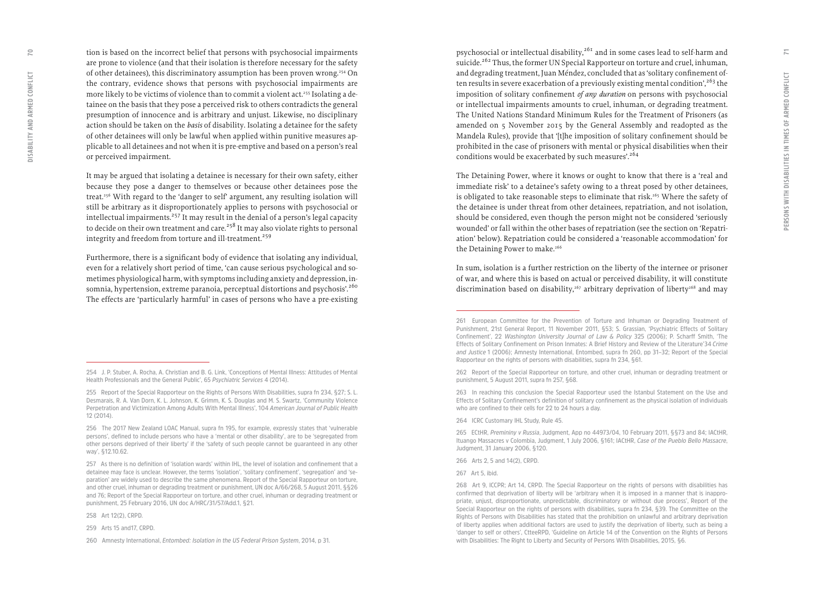tion is based on the incorrect belief that persons with psychosocial impairments are prone to violence (and that their isolation is therefore necessary for the safety of other detainees), this discriminatory assumption has been proven wrong.<sup>254</sup> On the contrary, evidence shows that persons with psychosocial impairments are more likely to be victims of violence than to commit a violent act.<sup>255</sup> Isolating a detainee on the basis that they pose a perceived risk to others contradicts the general presumption of innocence and is arbitrary and unjust. Likewise, no disciplinary action should be taken on the *basis* of disability. Isolating a detainee for the safety of other detainees will only be lawful when applied within punitive measures ap plicable to all detainees and not when it is pre-emptive and based on a person's real or perceived impairment.

It may be argued that isolating a detainee is necessary for their own safety, either because they pose a danger to themselves or because other detainees pose the treat.256 With regard to the 'danger to self' argument, any resulting isolation will still be arbitrary as it disproportionately applies to persons with psychosocial or intellectual impairments.257 It may result in the denial of a person's legal capacity to decide on their own treatment and care.<sup>258</sup> It may also violate rights to personal integrity and freedom from torture and ill-treatment.<sup>259</sup>

Furthermore, there is a significant body of evidence that isolating any individual, even for a relatively short period of time, 'can cause serious psychological and so metimes physiological harm, with symptoms including anxiety and depression, in somnia, hypertension, extreme paranoia, perceptual distortions and psychosis'.<sup>260</sup> The effects are 'particularly harmful' in cases of persons who have a pre-existing

**258 Art 12(2), CRPD.**

psychosocial or intellectual disability,<sup>261</sup> and in some cases lead to self-harm and suicide.<sup>262</sup> Thus, the former UN Special Rapporteur on torture and cruel, inhuman, and degrading treatment, Juan Méndez, concluded that as 'solitary confinement often results in severe exacerbation of a previously existing mental condition',  $2^{63}$  the imposition of solitary confinement *of any duration* on persons with psychosocial or intellectual impairments amounts to cruel, inhuman, or degrading treatment. The United Nations Standard Minimum Rules for the Treatment of Prisoners (as amended on 5 November 2015 by the General Assembly and readopted as the Mandela Rules), provide that '[t]he imposition of solitary confinement should be prohibited in the case of prisoners with mental or physical disabilities when their conditions would be exacerbated by such measures'.<sup>264</sup>

The Detaining Power, where it knows or ought to know that there is a 'real and immediate risk' to a detainee's safety owing to a threat posed by other detainees, is obligated to take reasonable steps to eliminate that risk.<sup>265</sup> Where the safety of the detainee is under threat from other detainees, repatriation, and not isolation, should be considered, even though the person might not be considered 'seriously wounded' or fall within the other bases of repatriation (see the section on 'Repatri ation' below). Repatriation could be considered a 'reasonable accommodation' for the Detaining Power to make.<sup>266</sup>

In sum, isolation is a further restriction on the liberty of the internee or prisoner of war, and where this is based on actual or perceived disability, it will constitute discrimination based on disability,<sup>267</sup> arbitrary deprivation of liberty<sup>268</sup> and may

**<sup>254</sup> J. P. Stuber, A. Rocha, A. Christian and B. G. Link, 'Conceptions of Mental Illness: Attitudes of Mental Health Professionals and the General Public', 65** *Psychiatric Services* **4 (2014).**

**<sup>255</sup> Report of the Special Rapporteur on the Rights of Persons With Disabilities, supra fn 234, §27; S. L. Desmarais, R. A. Van Dorn, K. L. Johnson, K. Grimm, K. S. Douglas and M. S. Swartz, 'Community Violence Perpetration and Victimization Among Adults With Mental Illness', 104** *American Journal of Public Health* **12 (2014).** 

**<sup>256</sup> The 2017 New Zealand LOAC Manual, supra fn 195, for example, expressly states that 'vulnerable persons', defined to include persons who have a 'mental or other disability', are to be 'segregated from other persons deprived of their liberty' if the 'safety of such people cannot be guaranteed in any other way', §12.10.62.** 

**<sup>257</sup> As there is no definition of 'isolation wards' within IHL, the level of isolation and confinement that a detainee may face is unclear. However, the terms 'isolation', 'solitary confinement', 'segregation' and 'se paration' are widely used to describe the same phenomena. Report of the Special Rapporteur on torture, and other cruel, inhuman or degrading treatment or punishment, UN doc A/66/268, 5 August 2011, §§26 and 76; Report of the Special Rapporteur on torture, and other cruel, inhuman or degrading treatment or punishment, 25 February 2016, UN doc A/HRC/31/57/Add.1, §21.**

**<sup>259</sup> Arts 15 and17, CRPD.** 

**<sup>260</sup> Amnesty International,** *Entombed: Isolation in the US Federal Prison System***, 2014, p 31.**

**<sup>261</sup> European Committee for the Prevention of Torture and Inhuman or Degrading Treatment of Punishment, 21st General Report, 11 November 2011, §53; S. Grassian, 'Psychiatric Effects of Solitary Confinement', 22** *Washington University Journal of Law & Policy* **325 (2006); P. Scharff Smith, 'The Effects of Solitary Confinement on Prison Inmates: A Brief History and Review of the Literature' 34** *Crime and Justice* **1 (2006); Amnesty International, Entombed, supra fn 260, pp 31–32; Report of the Special Rapporteur on the rights of persons with disabilities, supra fn 234, §61.**

**<sup>262</sup> Report of the Special Rapporteur on torture, and other cruel, inhuman or degrading treatment or punishment, 5 August 2011, supra fn 257, §68.**

**<sup>263</sup> In reaching this conclusion the Special Rapporteur used the Istanbul Statement on the Use and Effects of Solitary Confinement's definition of solitary confinement as the physical isolation of individuals who are confined to their cells for 22 to 24 hours a day.** 

**<sup>264</sup> ICRC Customary IHL Study, Rule 45.** 

**<sup>265</sup> ECtHR,** *Premininy v Russia***, Judgment, App no 44973/04, 10 February 2011, §§73 and 84; IACtHR, Ituango Massacres v Colombia, Judgment, 1 July 2006, §161; IACtHR,** *Case of the Pueblo Bello Massacre***, Judgment, 31 January 2006, §120.** 

**<sup>266</sup> Arts 2, 5 and 14(2), CRPD.** 

**<sup>267</sup> Art 5, ibid.**

**<sup>268</sup> Art 9, ICCPR; Art 14, CRPD. The Special Rapporteur on the rights of persons with disabilities has confirmed that deprivation of liberty will be 'arbitrary when it is imposed in a manner that is inappro priate, unjust, disproportionate, unpredictable, discriminatory or without due process', Report of the Special Rapporteur on the rights of persons with disabilities, supra fn 234, §39. The Committee on the Rights of Persons with Disabilities has stated that the prohibition on unlawful and arbitrary deprivation of liberty applies when additional factors are used to justify the deprivation of liberty, such as being a 'danger to self or others', CtteeRPD, 'Guideline on Article 14 of the Convention on the Rights of Persons with Disabilities: The Right to Liberty and Security of Persons With Disabilities, 2015, §6.**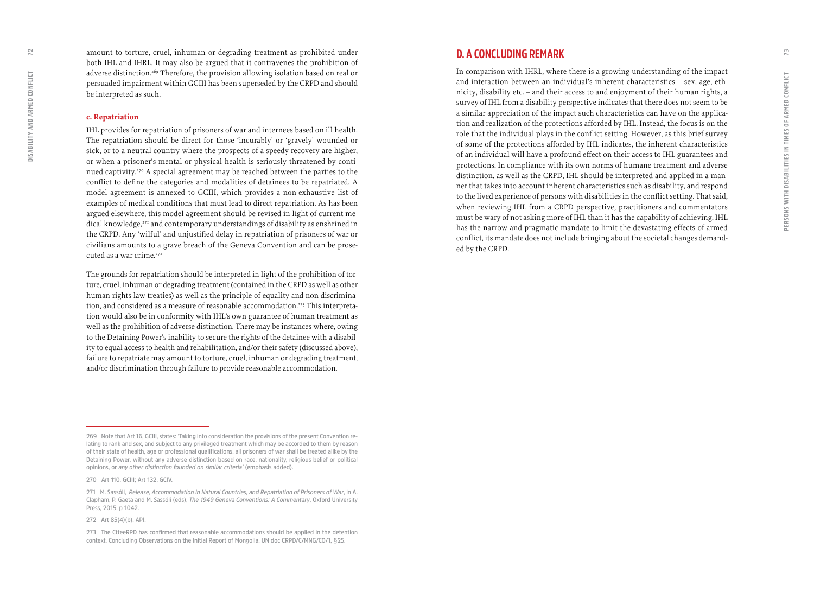<span id="page-36-0"></span>amount to torture, cruel, inhuman or degrading treatment as prohibited under both IHL and IHRL. It may also be argued that it contravenes the prohibition of adverse distinction.<sup>269</sup> Therefore, the provision allowing isolation based on real or persuaded impairment within GCIII has been superseded by the CRPD and should be interpreted as such.

#### **c. Repatriation**

IHL provides for repatriation of prisoners of war and internees based on ill health. The repatriation should be direct for those 'incurably' or 'gravely' wounded or sick, or to a neutral country where the prospects of a speedy recovery are higher, or when a prisoner's mental or physical health is seriously threatened by continued captivity.270 A special agreement may be reached between the parties to the conflict to define the categories and modalities of detainees to be repatriated. A model agreement is annexed to GCIII, which provides a non-exhaustive list of examples of medical conditions that must lead to direct repatriation. As has been argued elsewhere, this model agreement should be revised in light of current medical knowledge,<sup>271</sup> and contemporary understandings of disability as enshrined in the CRPD. Any 'wilful' and unjustified delay in repatriation of prisoners of war or civilians amounts to a grave breach of the Geneva Convention and can be prosecuted as a war crime.<sup>272</sup>

The grounds for repatriation should be interpreted in light of the prohibition of torture, cruel, inhuman or degrading treatment (contained in the CRPD as well as other human rights law treaties) as well as the principle of equality and non-discrimination, and considered as a measure of reasonable accommodation.<sup>273</sup> This interpretation would also be in conformity with IHL's own guarantee of human treatment as well as the prohibition of adverse distinction. There may be instances where, owing to the Detaining Power's inability to secure the rights of the detainee with a disability to equal access to health and rehabilitation, and/or their safety (discussed above), failure to repatriate may amount to torture, cruel, inhuman or degrading treatment, and/or discrimination through failure to provide reasonable accommodation.

**270 Art 110, GCIII; Art 132, GCIV.** 

## **D. A CONCLUDING REMARK**

In comparison with IHRL, where there is a growing understanding of the impact and interaction between an individual's inherent characteristics – sex, age, ethnicity, disability etc. – and their access to and enjoyment of their human rights, a survey of IHL from a disability perspective indicates that there does not seem to be a similar appreciation of the impact such characteristics can have on the application and realization of the protections afforded by IHL. Instead, the focus is on the role that the individual plays in the conflict setting. However, as this brief survey of some of the protections afforded by IHL indicates, the inherent characteristics of an individual will have a profound effect on their access to IHL guarantees and protections. In compliance with its own norms of humane treatment and adverse distinction, as well as the CRPD, IHL should be interpreted and applied in a manner that takes into account inherent characteristics such as disability, and respond to the lived experience of persons with disabilities in the conflict setting. That said, when reviewing IHL from a CRPD perspective, practitioners and commentators must be wary of not asking more of IHL than it has the capability of achieving. IHL has the narrow and pragmatic mandate to limit the devastating effects of armed conflict, its mandate does not include bringing about the societal changes demanded by the CRPD.

**<sup>269</sup> Note that Art 16, GCIII, states: 'Taking into consideration the provisions of the present Convention relating to rank and sex, and subject to any privileged treatment which may be accorded to them by reason of their state of health, age or professional qualifications, all prisoners of war shall be treated alike by the Detaining Power, without any adverse distinction based on race, nationality, religious belief or political opinions, or** *any other distinction founded on similar criteria'* **(emphasis added).**

**<sup>271</sup> M. Sassóli,** *Release, Accommodation in Natural Countries, and Repatriation of Prisoners of War***, in A. Clapham, P. Gaeta and M. Sassóli (eds),** *The 1949 Geneva Conventions: A Commentary***, Oxford University Press, 2015, p 1042.**

**<sup>272</sup> Art 85(4)(b), API.** 

**<sup>273</sup> The CtteeRPD has confirmed that reasonable accommodations should be applied in the detention context. Concluding Observations on the Initial Report of Mongolia, UN doc CRPD/C/MNG/CO/1, §25.**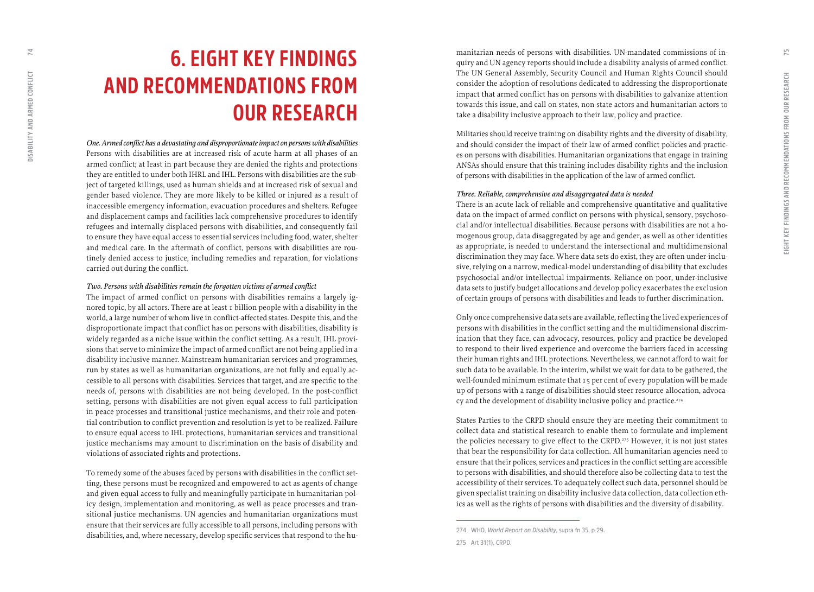## <span id="page-37-0"></span>**6. EIGHT KEY FINDINGS AND RECOMMENDATIONS FROM OUR RESEARCH**

*One. Armed conflict has a devastating and disproportionate impact on persons with disabilities*  Persons with disabilities are at increased risk of acute harm at all phases of an armed conflict; at least in part because they are denied the rights and protections they are entitled to under both IHRL and IHL. Persons with disabilities are the sub ject of targeted killings, used as human shields and at increased risk of sexual and gender based violence. They are more likely to be killed or injured as a result of inaccessible emergency information, evacuation procedures and shelters. Refugee and displacement camps and facilities lack comprehensive procedures to identify refugees and internally displaced persons with disabilities, and consequently fail to ensure they have equal access to essential services including food, water, shelter and medical care. In the aftermath of conflict, persons with disabilities are rou tinely denied access to justice, including remedies and reparation, for violations carried out during the conflict.

#### *Two. Persons with disabilities remain the forgotten victims of armed conflict*

The impact of armed conflict on persons with disabilities remains a largely ig nored topic, by all actors. There are at least 1 billion people with a disability in the world, a large number of whom live in conflict-affected states. Despite this, and the disproportionate impact that conflict has on persons with disabilities, disability is widely regarded as a niche issue within the conflict setting. As a result, IHL provi sions that serve to minimize the impact of armed conflict are not being applied in a disability inclusive manner. Mainstream humanitarian services and programmes, run by states as well as humanitarian organizations, are not fully and equally ac cessible to all persons with disabilities. Services that target, and are specific to the needs of, persons with disabilities are not being developed. In the post-conflict setting, persons with disabilities are not given equal access to full participation in peace processes and transitional justice mechanisms, and their role and poten tial contribution to conflict prevention and resolution is yet to be realized. Failure to ensure equal access to IHL protections, humanitarian services and transitional justice mechanisms may amount to discrimination on the basis of disability and violations of associated rights and protections.

To remedy some of the abuses faced by persons with disabilities in the conflict set ting, these persons must be recognized and empowered to act as agents of change and given equal access to fully and meaningfully participate in humanitarian pol icy design, implementation and monitoring, as well as peace processes and tran sitional justice mechanisms. UN agencies and humanitarian organizations must ensure that their services are fully accessible to all persons, including persons with disabilities, and, where necessary, develop specific services that respond to the hu -

manitarian needs of persons with disabilities. UN-mandated commissions of in quiry and UN agency reports should include a disability analysis of armed conflict. The UN General Assembly, Security Council and Human Rights Council should consider the adoption of resolutions dedicated to addressing the disproportionate impact that armed conflict has on persons with disabilities to galvanize attention towards this issue, and call on states, non-state actors and humanitarian actors to take a disability inclusive approach to their law, policy and practice.

Militaries should receive training on disability rights and the diversity of disability, and should consider the impact of their law of armed conflict policies and practic es on persons with disabilities. Humanitarian organizations that engage in training ANSAs should ensure that this training includes disability rights and the inclusion of persons with disabilities in the application of the law of armed conflict.

#### *Three. Reliable, comprehensive and disaggregated data is needed*

There is an acute lack of reliable and comprehensive quantitative and qualitative data on the impact of armed conflict on persons with physical, sensory, psychoso cial and/or intellectual disabilities. Because persons with disabilities are not a ho mogenous group, data disaggregated by age and gender, as well as other identities as appropriate, is needed to understand the intersectional and multidimensional discrimination they may face. Where data sets do exist, they are often under-inclu sive, relying on a narrow, medical-model understanding of disability that excludes psychosocial and/or intellectual impairments. Reliance on poor, under-inclusive data sets to justify budget allocations and develop policy exacerbates the exclusion of certain groups of persons with disabilities and leads to further discrimination.

Only once comprehensive data sets are available, reflecting the lived experiences of persons with disabilities in the conflict setting and the multidimensional discrim ination that they face, can advocacy, resources, policy and practice be developed to respond to their lived experience and overcome the barriers faced in accessing their human rights and IHL protections. Nevertheless, we cannot afford to wait for such data to be available. In the interim, whilst we wait for data to be gathered, the well-founded minimum estimate that 15 per cent of every population will be made up of persons with a range of disabilities should steer resource allocation, advoca cy and the development of disability inclusive policy and practice.<sup>274</sup>

States Parties to the CRPD should ensure they are meeting their commitment to collect data and statistical research to enable them to formulate and implement the policies necessary to give effect to the CRPD.275 However, it is not just states that bear the responsibility for data collection. All humanitarian agencies need to ensure that their polices, services and practices in the conflict setting are accessible to persons with disabilities, and should therefore also be collecting data to test the accessibility of their services. To adequately collect such data, personnel should be given specialist training on disability inclusive data collection, data collection eth ics as well as the rights of persons with disabilities and the diversity of disability.

**<sup>274</sup> WHO,** *World Report on Disability***, supra fn 35, p 29.**

**<sup>275</sup> Art 31(1), CRPD.**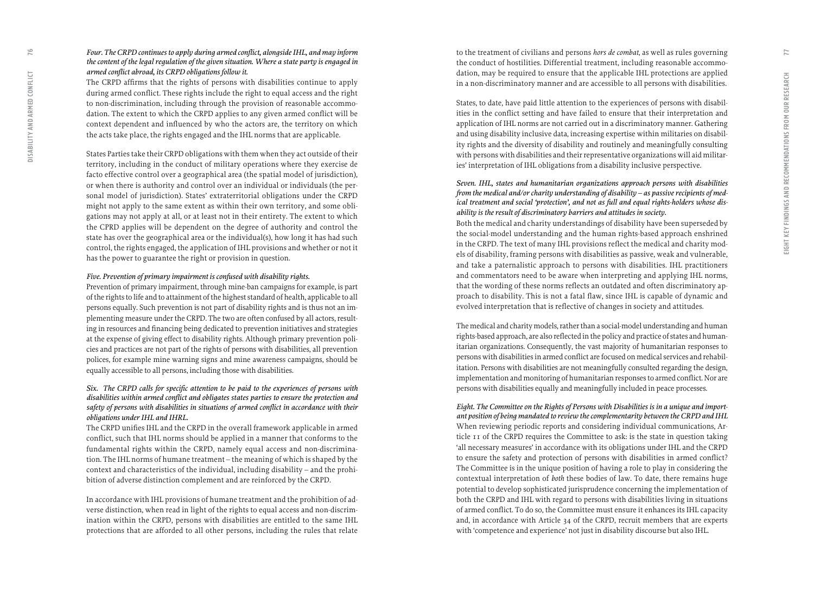#### *Four. The CRPD continues to apply during armed conflict, alongside IHL, and may inform the content of the legal regulation of the given situation. Where a state party is engaged in armed conflict abroad, its CRPD obligations follow it.*

The CRPD affirms that the rights of persons with disabilities continue to apply during armed conflict. These rights include the right to equal access and the right to non-discrimination, including through the provision of reasonable accommo dation. The extent to which the CRPD applies to any given armed conflict will be context dependent and influenced by who the actors are, the territory on which the acts take place, the rights engaged and the IHL norms that are applicable.

States Parties take their CRPD obligations with them when they act outside of their territory, including in the conduct of military operations where they exercise de facto effective control over a geographical area (the spatial model of jurisdiction), or when there is authority and control over an individual or individuals (the per sonal model of jurisdiction). States' extraterritorial obligations under the CRPD might not apply to the same extent as within their own territory, and some obli gations may not apply at all, or at least not in their entirety. The extent to which the CPRD applies will be dependent on the degree of authority and control the state has over the geographical area or the individual(s), how long it has had such control, the rights engaged, the application of IHL provisions and whether or not it has the power to guarantee the right or provision in question.

#### *Five. Prevention of primary impairment is confused with disability rights.*

Prevention of primary impairment, through mine-ban campaigns for example, is part of the rights to life and to attainment of the highest standard of health, applicable to all persons equally. Such prevention is not part of disability rights and is thus not an im plementing measure under the CRPD. The two are often confused by all actors, result ing in resources and financing being dedicated to prevention initiatives and strategies at the expense of giving effect to disability rights. Although primary prevention poli cies and practices are not part of the rights of persons with disabilities, all prevention polices, for example mine warning signs and mine awareness campaigns, should be equally accessible to all persons, including those with disabilities.

#### *Six. The CRPD calls for specific attention to be paid to the experiences of persons with disabilities within armed conflict and obligates states parties to ensure the protection and safety of persons with disabilities in situations of armed conflict in accordance with their obligations under IHL and IHRL.*

The CRPD unifies IHL and the CRPD in the overall framework applicable in armed conflict, such that IHL norms should be applied in a manner that conforms to the fundamental rights within the CRPD, namely equal access and non-discrimina tion. The IHL norms of humane treatment – the meaning of which is shaped by the context and characteristics of the individual, including disability – and the prohi bition of adverse distinction complement and are reinforced by the CRPD.

In accordance with IHL provisions of humane treatment and the prohibition of ad verse distinction, when read in light of the rights to equal access and non-discrim ination within the CRPD, persons with disabilities are entitled to the same IHL protections that are afforded to all other persons, including the rules that relate to the treatment of civilians and persons *hors de combat*, as well as rules governing the conduct of hostilities. Differential treatment, including reasonable accommo dation, may be required to ensure that the applicable IHL protections are applied in a non-discriminatory manner and are accessible to all persons with disabilities.

States, to date, have paid little attention to the experiences of persons with disabil ities in the conflict setting and have failed to ensure that their interpretation and application of IHL norms are not carried out in a discriminatory manner. Gathering and using disability inclusive data, increasing expertise within militaries on disabil ity rights and the diversity of disability and routinely and meaningfully consulting with persons with disabilities and their representative organizations will aid militar ies' interpretation of IHL obligations from a disability inclusive perspective.

#### *Seven. IHL, states and humanitarian organizations approach persons with disabilities from the medical and/or charity understanding of disability – as passive recipients of med ical treatment and social 'protection', and not as full and equal rights-holders whose dis ability is the result of discriminatory barriers and attitudes in society.*

Both the medical and charity understandings of disability have been superseded by the social-model understanding and the human rights-based approach enshrined in the CRPD. The text of many IHL provisions reflect the medical and charity mod els of disability, framing persons with disabilities as passive, weak and vulnerable, and take a paternalistic approach to persons with disabilities. IHL practitioners and commentators need to be aware when interpreting and applying IHL norms, that the wording of these norms reflects an outdated and often discriminatory ap proach to disability. This is not a fatal flaw, since IHL is capable of dynamic and evolved interpretation that is reflective of changes in society and attitudes.

The medical and charity models, rather than a social-model understanding and human rights-based approach, are also reflected in the policy and practice of states and human itarian organizations. Consequently, the vast majority of humanitarian responses to persons with disabilities in armed conflict are focused on medical services and rehabil itation. Persons with disabilities are not meaningfully consulted regarding the design, implementation and monitoring of humanitarian responses to armed conflict. Nor are persons with disabilities equally and meaningfully included in peace processes.

*Eight. The Committee on the Rights of Persons with Disabilities is in a unique and import ant position of being mandated to review the complementarity between the CRPD and IHL*  When reviewing periodic reports and considering individual communications, Ar ticle 11 of the CRPD requires the Committee to ask: is the state in question taking 'all necessary measures' in accordance with its obligations under IHL and the CRPD to ensure the safety and protection of persons with disabilities in armed conflict? The Committee is in the unique position of having a role to play in considering the contextual interpretation of *both* these bodies of law. To date, there remains huge potential to develop sophisticated jurisprudence concerning the implementation of both the CRPD and IHL with regard to persons with disabilities living in situations of armed conflict. To do so, the Committee must ensure it enhances its IHL capacity and, in accordance with Article 34 of the CRPD, recruit members that are experts with 'competence and experience' not just in disability discourse but also IHL.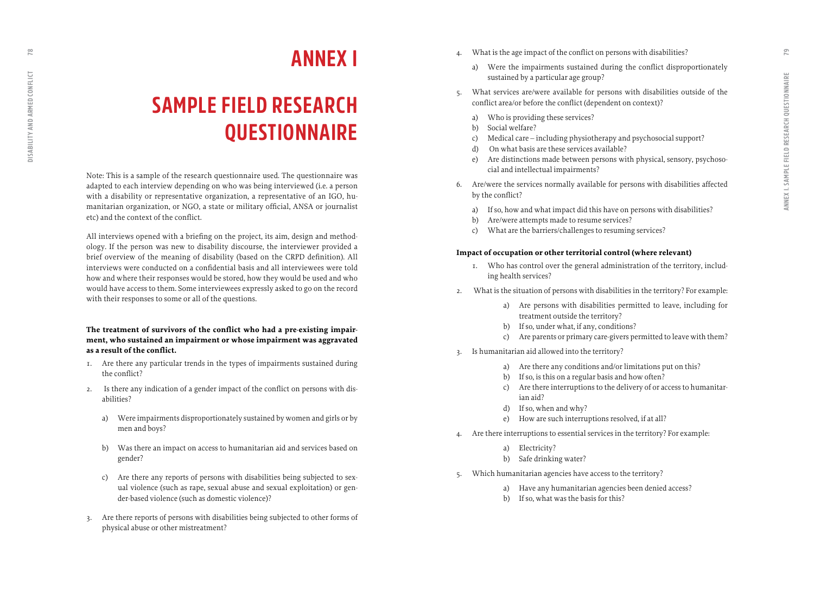**ANNEX I** 

## **SAMPLE FIELD RESEARCH QUESTIONNAIRE**

Note: This is a sample of the research questionnaire used. The questionnaire was adapted to each interview depending on who was being interviewed (i.e. a person with a disability or representative organization, a representative of an IGO, hu manitarian organization, or NGO, a state or military official, ANSA or journalist etc) and the context of the conflict.

All interviews opened with a briefing on the project, its aim, design and method ology. If the person was new to disability discourse, the interviewer provided a brief overview of the meaning of disability (based on the CRPD definition). All interviews were conducted on a confidential basis and all interviewees were told how and where their responses would be stored, how they would be used and who would have access to them. Some interviewees expressly asked to go on the record with their responses to some or all of the questions.

#### **The treatment of survivors of the conflict who had a pre-existing impair ment, who sustained an impairment or whose impairment was aggravated as a result of the conflict.**

- 1. Are there any particular trends in the types of impairments sustained during the conflict?
- 2. Is there any indication of a gender impact of the conflict on persons with dis abilities?
	- a) Were impairments disproportionately sustained by women and girls or by men and boys?
	- b) Was there an impact on access to humanitarian aid and services based on gender?
	- c) Are there any reports of persons with disabilities being subjected to sex ual violence (such as rape, sexual abuse and sexual exploitation) or gen der-based violence (such as domestic violence)?
- 3. Are there reports of persons with disabilities being subjected to other forms of physical abuse or other mistreatment?
- What is the age impact of the conflict on persons with disabilities?
	- a) Were the impairments sustained during the conflict disproportionately sustained by a particular age group?
- 5. What services are/were available for persons with disabilities outside of the conflict area/or before the conflict (dependent on context)?
	- a) Who is providing these services?
	- b) Social welfare?
	- c) Medical care including physiotherapy and psychosocial support?
	- d) On what basis are these services available?
	- e) Are distinctions made between persons with physical, sensory, psychoso cial and intellectual impairments?
- 6. Are/were the services normally available for persons with disabilities affected by the conflict?
	- a) If so, how and what impact did this have on persons with disabilities?
	- b) Are/were attempts made to resume services?
	- c) What are the barriers/challenges to resuming services?

#### **Impact of occupation or other territorial control (where relevant)**

- 1. Who has control over the general administration of the territory, includ ing health services?
- 2. What is the situation of persons with disabilities in the territory? For example:
	- a) Are persons with disabilities permitted to leave, including for treatment outside the territory?
	- b) If so, under what, if any, conditions?
	- c) Are parents or primary care-givers permitted to leave with them?
- 3. Is humanitarian aid allowed into the territory?
	- a) Are there any conditions and/or limitations put on this?
	- b) If so, is this on a regular basis and how often?
	- c) Are there interruptions to the delivery of or access to humanitar ian aid?
	- d) If so, when and why?
	- e) How are such interruptions resolved, if at all?
- 4. Are there interruptions to essential services in the territory? For example:
	- a) Electricity?
	- b) Safe drinking water?
- 5. Which humanitarian agencies have access to the territory?
	- a) Have any humanitarian agencies been denied access?
	- b) If so, what was the basis for this?

<span id="page-39-0"></span> $\overline{18}$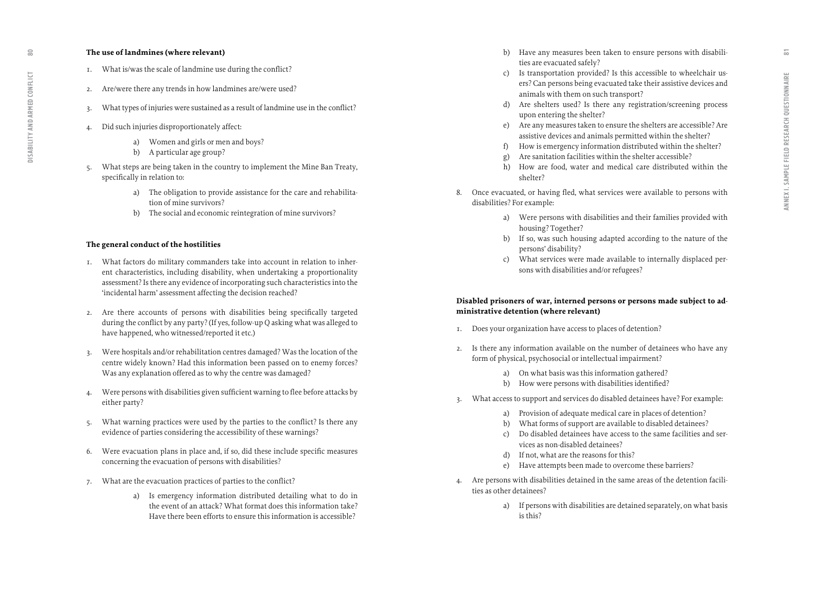#### **The use of landmines (where relevant)**

- 1. What is/was the scale of landmine use during the conflict?
- 2. Are/were there any trends in how landmines are/were used?
- 3. What types of injuries were sustained as a result of landmine use in the conflict?
- 4. Did such injuries disproportionately affect:
	- a) Women and girls or men and boys?
	- b) A particular age group?
- 5. What steps are being taken in the country to implement the Mine Ban Treaty, specifically in relation to:
	- a) The obligation to provide assistance for the care and rehabilita tion of mine survivors?
	- b) The social and economic reintegration of mine survivors?

#### **The general conduct of the hostilities**

- 1. What factors do military commanders take into account in relation to inher ent characteristics, including disability, when undertaking a proportionality assessment? Is there any evidence of incorporating such characteristics into the 'incidental harm' assessment affecting the decision reached?
- 2. Are there accounts of persons with disabilities being specifically targeted during the conflict by any party? (If yes, follow-up Q asking what was alleged to have happened, who witnessed/reported it etc.)
- 3. Were hospitals and/or rehabilitation centres damaged? Was the location of the centre widely known? Had this information been passed on to enemy forces? Was any explanation offered as to why the centre was damaged?
- 4. Were persons with disabilities given sufficient warning to flee before attacks by either party?
- 5. What warning practices were used by the parties to the conflict? Is there any evidence of parties considering the accessibility of these warnings?
- 6. Were evacuation plans in place and, if so, did these include specific measures concerning the evacuation of persons with disabilities?
- 7. What are the evacuation practices of parties to the conflict?
	- a) Is emergency information distributed detailing what to do in the event of an attack? What format does this information take? Have there been efforts to ensure this information is accessible?
- b) Have any measures been taken to ensure persons with disabili ties are evacuated safely?
- c) Is transportation provided? Is this accessible to wheelchair us ers? Can persons being evacuated take their assistive devices and animals with them on such transport?
- d) Are shelters used? Is there any registration/screening process upon entering the shelter?
- e) Are any measures taken to ensure the shelters are accessible? Are assistive devices and animals permitted within the shelter?
- f) How is emergency information distributed within the shelter?
- g) Are sanitation facilities within the shelter accessible?
- h) How are food, water and medical care distributed within the shelter?
- 8. Once evacuated, or having fled, what services were available to persons with disabilities? For example:
	- a) Were persons with disabilities and their families provided with housing? Together?
	- b) If so, was such housing adapted according to the nature of the persons' disability?
	- c) What services were made available to internally displaced per sons with disabilities and/or refugees?

#### **Disabled prisoners of war, interned persons or persons made subject to ad ministrative detention (where relevant)**

- 1. Does your organization have access to places of detention?
- 2. Is there any information available on the number of detainees who have any form of physical, psychosocial or intellectual impairment?
	- a) On what basis was this information gathered?
	- b) How were persons with disabilities identified?
- 3. What access to support and services do disabled detainees have? For example:
	- a) Provision of adequate medical care in places of detention?
	- b) What forms of support are available to disabled detainees?
	- c) Do disabled detainees have access to the same facilities and ser vices as non-disabled detainees?
	- d) If not, what are the reasons for this?
	- e) Have attempts been made to overcome these barriers?
- 4. Are persons with disabilities detained in the same areas of the detention facili ties as other detainees?
	- a) If persons with disabilities are detained separately, on what basis is this?

 $\approx$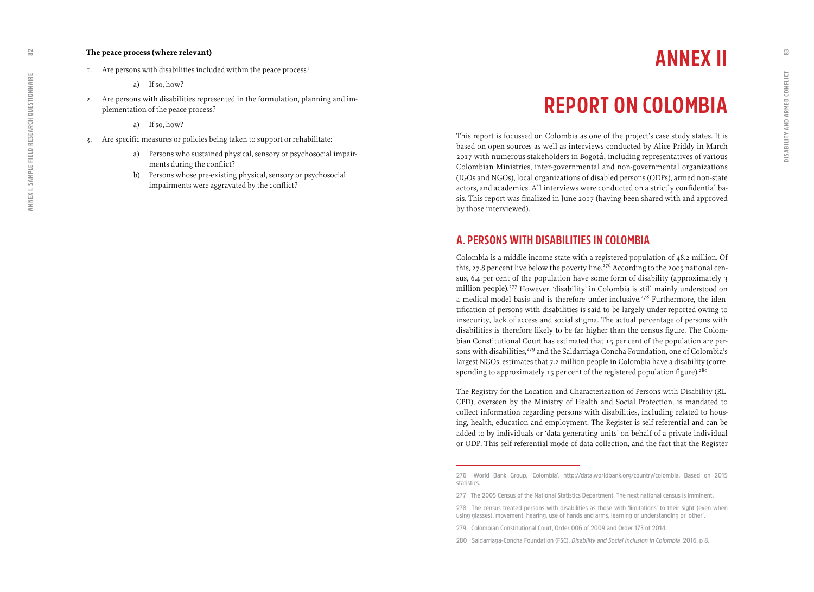#### **The peace process (where relevant)**

- 1. Are persons with disabilities included within the peace process?
	- a) If so, how?
- 2. Are persons with disabilities represented in the formulation, planning and implementation of the peace process?
	- a) If so, how?
- 3. Are specific measures or policies being taken to support or rehabilitate:
	- a) Persons who sustained physical, sensory or psychosocial impairments during the conflict?
	- b) Persons whose pre-existing physical, sensory or psychosocial impairments were aggravated by the conflict?

## **ANNEX II**

## **REPORT ON COLOMBIA**

This report is focussed on Colombia as one of the project's case study states. It is based on open sources as well as interviews conducted by Alice Priddy in March 2017 with numerous stakeholders in Bogotá, including representatives of various Colombian Ministries, inter-governmental and non-governmental organizations (IGOs and NGOs), local organizations of disabled persons (ODPs), armed non-state actors, and academics. All interviews were conducted on a strictly confidential basis. This report was finalized in June 2017 (having been shared with and approved by those interviewed).

## **A. PERSONS WITH DISABILITIES IN COLOMBIA**

Colombia is a middle-income state with a registered population of 48.2 million. Of this, 27.8 per cent live below the poverty line.<sup>276</sup> According to the 2005 national census, 6.4 per cent of the population have some form of disability (approximately 3 million people).277 However, 'disability' in Colombia is still mainly understood on a medical-model basis and is therefore under-inclusive.<sup>278</sup> Furthermore, the identification of persons with disabilities is said to be largely under-reported owing to insecurity, lack of access and social stigma. The actual percentage of persons with disabilities is therefore likely to be far higher than the census figure. The Colombian Constitutional Court has estimated that 15 per cent of the population are persons with disabilities,<sup>279</sup> and the Saldarriaga-Concha Foundation, one of Colombia's largest NGOs, estimates that 7.2 million people in Colombia have a disability (corresponding to approximately 15 per cent of the registered population figure).<sup>280</sup>

The Registry for the Location and Characterization of Persons with Disability (RL-CPD), overseen by the Ministry of Health and Social Protection, is mandated to collect information regarding persons with disabilities, including related to housing, health, education and employment. The Register is self-referential and can be added to by individuals or 'data generating units' on behalf of a private individual or ODP. This self-referential mode of data collection, and the fact that the Register

**279 Colombian Constitutional Court, Order 006 of 2009 and Order 173 of 2014.** 

**280 Saldarriaga-Concha Foundation (FSC),** *Disability and Social Inclusion in Colombia***, 2016, p 8.**

<span id="page-41-0"></span> $\tilde{\Omega}$ 

**<sup>276</sup> World Bank Group, 'Colombia', <http://data.worldbank.org/country/colombia>. Based on 2015 statistics.** 

**<sup>277</sup> The 2005 Census of the National Statistics Department. The next national census is imminent.**

**<sup>278</sup> The census treated persons with disabilities as those with 'limitations' to their sight (even when using glasses), movement, hearing, use of hands and arms, learning or understanding or 'other'.**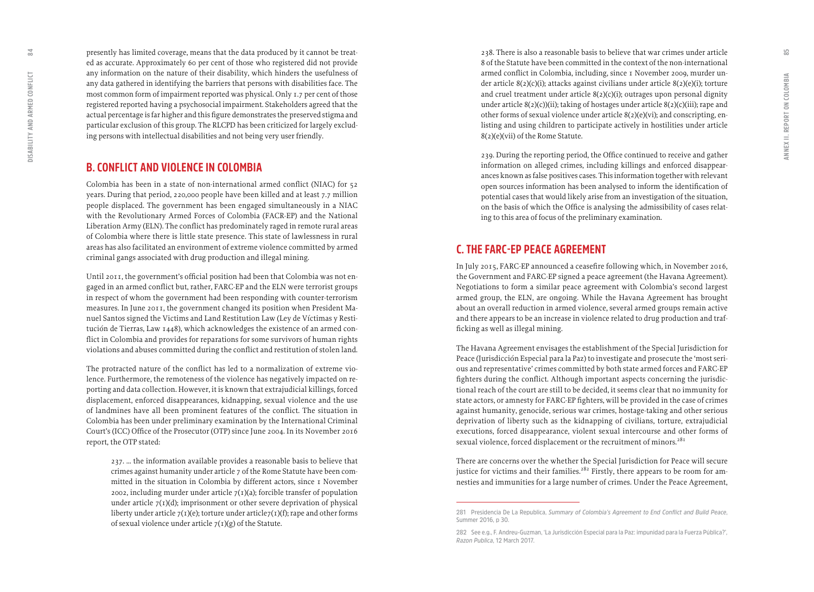presently has limited coverage, means that the data produced by it cannot be treat ed as accurate. Approximately 60 per cent of those who registered did not provide any information on the nature of their disability, which hinders the usefulness of any data gathered in identifying the barriers that persons with disabilities face. The most common form of impairment reported was physical. Only 1.7 per cent of those registered reported having a psychosocial impairment. Stakeholders agreed that the actual percentage is far higher and this figure demonstrates the preserved stigma and particular exclusion of this group. The RLCPD has been criticized for largely exclud ing persons with intellectual disabilities and not being very user friendly.

## **B. CONFLICT AND VIOLENCE IN COLOMBIA**

Colombia has been in a state of non-international armed conflict (NIAC) for 52 years. During that period, 220,000 people have been killed and at least 7.7 million people displaced. The government has been engaged simultaneously in a NIAC with the Revolutionary Armed Forces of Colombia (FACR-EP) and the National Liberation Army (ELN). The conflict has predominately raged in remote rural areas of Colombia where there is little state presence. This state of lawlessness in rural areas has also facilitated an environment of extreme violence committed by armed criminal gangs associated with drug production and illegal mining.

Until 2011, the government's official position had been that Colombia was not en gaged in an armed conflict but, rather, FARC-EP and the ELN were terrorist groups in respect of whom the government had been responding with counter-terrorism measures. In June 2011, the government changed its position when President Ma nuel Santos signed the Victims and Land Restitution Law (Ley de Víctimas y Resti tuci ón de Tierras, Law 1448), which acknowledges the existence of an armed con flict in Colombia and provides for reparations for some survivors of human rights violations and abuses committed during the conflict and restitution of stolen land.

The protracted nature of the conflict has led to a normalization of extreme vio lence. Furthermore, the remoteness of the violence has negatively impacted on re porting and data collection. However, it is known that extrajudicial killings, forced displacement, enforced disappearances, kidnapping, sexual violence and the use of landmines have all been prominent features of the conflict. The situation in Colombia has been under preliminary examination by the International Criminal Court's (ICC) Office of the Prosecutor (OTP) since June 2004. In its November 2016 report, the OTP stated:

237. ... the information available provides a reasonable basis to believe that crimes against humanity under article 7 of the Rome Statute have been com mitted in the situation in Colombia by different actors, since 1 November 2002, including murder under article  $7(1)(a)$ ; forcible transfer of population under article  $7(1)(d)$ ; imprisonment or other severe deprivation of physical liberty under article  $7(1)(e)$ ; torture under article $7(1)(f)$ ; rape and other forms of sexual violence under article  $7(1)(g)$  of the Statute.

238. There is also a reasonable basis to believe that war crimes under article 8 of the Statute have been committed in the context of the non-international armed conflict in Colombia, including, since 1 November 2009, murder un der article 8(2)(c)(i); attacks against civilians under article 8(2)(e)(i); torture and cruel treatment under article 8(2)(c)(i); outrages upon personal dignity under article  $8(2)(c)$ (ii); taking of hostages under article  $8(2)(c)$ (iii); rape and other forms of sexual violence under article 8(2)(e)(vi); and conscripting, en listing and using children to participate actively in hostilities under article 8(2)(e)(vii) of the Rome Statute.

239. During the reporting period, the Office continued to receive and gather information on alleged crimes, including killings and enforced disappear ances known as false positives cases. This information together with relevant open sources information has been analysed to inform the identification of potential cases that would likely arise from an investigation of the situation, on the basis of which the Office is analysing the admissibility of cases relat ing to this area of focus of the preliminary examination.

## **C. THE FARC-EP PEACE AGREEMENT**

In July 2015, FARC-EP announced a ceasefire following which, in November 2016, the Government and FARC-EP signed a peace agreement (the Havana Agreement). Negotiations to form a similar peace agreement with Colombia's second largest armed group, the ELN, are ongoing. While the Havana Agreement has brought about an overall reduction in armed violence, several armed groups remain active and there appears to be an increase in violence related to drug production and trafficking as well as illegal mining.

The Havana Agreement envisages the establishment of the Special Jurisdiction for Peace (Jurisdicción Especial para la Paz) to investigate and prosecute the 'most seri ous and representative' crimes committed by both state armed forces and FARC-EP fighters during the conflict. Although important aspects concerning the jurisdic tional reach of the court are still to be decided, it seems clear that no immunity for state actors, or amnesty for FARC-EP fighters, will be provided in the case of crimes against humanity, genocide, serious war crimes, hostage-taking and other serious deprivation of liberty such as the kidnapping of civilians, torture, extrajudicial executions, forced disappearance, violent sexual intercourse and other forms of sexual violence, forced displacement or the recruitment of minors.<sup>281</sup>

There are concerns over the whether the Special Jurisdiction for Peace will secure justice for victims and their families.<sup>282</sup> Firstly, there appears to be room for amnesties and immunities for a large number of crimes. Under the Peace Agreement,

 $\approx$ 

**<sup>281</sup> Presidencia De La Republica,** *Summary of Colombia's Agreement to End Conflict and Build Peace***, Summer 2016, p 30.**

**<sup>282</sup> See e.g., F. Andreu-Guzman, 'La Jurisdicción Especial para la Paz: impunidad para la Fuerza Pública?'***, Razon Publica***, 12 March 2017.**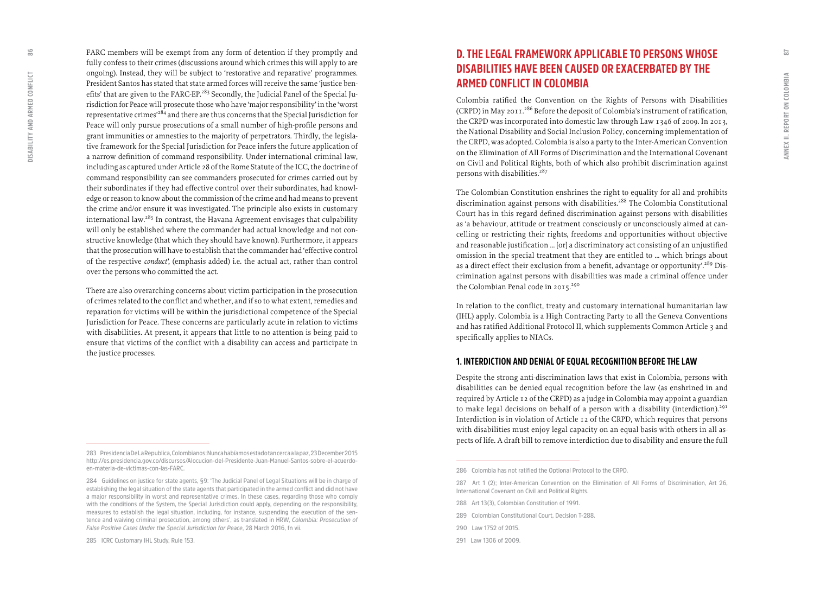FARC members will be exempt from any form of detention if they promptly and fully confess to their crimes (discussions around which crimes this will apply to are ongoing). Instead, they will be subject to 'restorative and reparative' programmes. President Santos has stated that state armed forces will receive the same 'justice ben efits' that are given to the FARC-EP.<sup>283</sup> Secondly, the Judicial Panel of the Special Jurisdiction for Peace will prosecute those who have 'major responsibility' in the 'worst representative crimes'284 and there are thus concerns that the Special Jurisdiction for Peace will only pursue prosecutions of a small number of high-profile persons and grant immunities or amnesties to the majority of perpetrators. Thirdly, the legisla tive framework for the Special Jurisdiction for Peace infers the future application of a narrow definition of command responsibility. Under international criminal law, including as captured under Article 28 of the Rome Statute of the ICC, the doctrine of command responsibility can see commanders prosecuted for crimes carried out by their subordinates if they had effective control over their subordinates, had knowl edge or reason to know about the commission of the crime and had means to prevent the crime and/or ensure it was investigated. The principle also exists in customary international law.285 In contrast, the Havana Agreement envisages that culpability will only be established where the commander had actual knowledge and not con structive knowledge (that which they should have known). Furthermore, it appears that the prosecution will have to establish that the commander had 'effective control of the respective *conduct'*, (emphasis added) i.e. the actual act, rather than control over the persons who committed the act.

There are also overarching concerns about victim participation in the prosecution of crimes related to the conflict and whether, and if so to what extent, remedies and reparation for victims will be within the jurisdictional competence of the Special Jurisdiction for Peace. These concerns are particularly acute in relation to victims with disabilities. At present, it appears that little to no attention is being paid to ensure that victims of the conflict with a disability can access and participate in the justice processes.

## **D. THE LEGAL FRAMEWORK APPLICABLE TO PERSONS WHOSE DISABILITIES HAVE BEEN CAUSED OR EXACERBATED BY THE ARMED CONFLICT IN COLOMBIA**

Colombia ratified the Convention on the Rights of Persons with Disabilities (CRPD) in May 2011.286 Before the deposit of Colombia's instrument of ratification, the CRPD was incorporated into domestic law through Law 1346 of 2009. In 2013, the National Disability and Social Inclusion Policy, concerning implementation of the CRPD, was adopted. Colombia is also a party to the Inter-American Convention on the Elimination of All Forms of Discrimination and the International Covenant on Civil and Political Rights, both of which also prohibit discrimination against persons with disabilities.<sup>287</sup>

The Colombian Constitution enshrines the right to equality for all and prohibits discrimination against persons with disabilities.<sup>288</sup> The Colombia Constitutional Court has in this regard defined discrimination against persons with disabilities as 'a behaviour, attitude or treatment consciously or unconsciously aimed at can celling or restricting their rights, freedoms and opportunities without objective and reasonable justification … [or] a discriminatory act consisting of an unjustified omission in the special treatment that they are entitled to … which brings about as a direct effect their exclusion from a benefit, advantage or opportunity'.<sup>289</sup> Discrimination against persons with disabilities was made a criminal offence under the Colombian Penal code in 2015.<sup>290</sup>

In relation to the conflict, treaty and customary international humanitarian law (IHL) apply. Colombia is a High Contracting Party to all the Geneva Conventions and has ratified Additional Protocol II, which supplements Common Article 3 and specifically applies to NIACs.

#### **1. INTERDICTION AND DENIAL OF EQUAL RECOGNITION BEFORE THE LAW**

Despite the strong anti-discrimination laws that exist in Colombia, persons with disabilities can be denied equal recognition before the law (as enshrined in and required by Article 12 of the CRPD) as a judge in Colombia may appoint a guardian to make legal decisions on behalf of a person with a disability (interdiction).<sup>291</sup> Interdiction is in violation of Article 12 of the CRPD, which requires that persons with disabilities must enjoy legal capacity on an equal basis with others in all as pects of life. A draft bill to remove interdiction due to disability and ensure the full

- **289 Colombian Constitutional Court, Decision T-288.**
- **290 Law 1752 of 2015.**
- **291 Law 1306 of 2009.**

86

**<sup>283</sup> Presidencia De La Republica, Colombianos: Nunca habíamos estado tan cerca a la paz, 23 December 2015 [http://es.presidencia.gov.co/discursos/Alocucion-del-Presidente-Juan-Manuel-Santos-sobre-el-acuerdo](http://es.presidencia.gov.co/discursos/Alocucion-del-Presidente-Juan-Manuel-Santos-sobre-el-acuerdo-en-materia-de-victimas-con-las-FARC)[en-materia-de-victimas-con-las-FARC.](http://es.presidencia.gov.co/discursos/Alocucion-del-Presidente-Juan-Manuel-Santos-sobre-el-acuerdo-en-materia-de-victimas-con-las-FARC)**

**<sup>284</sup> Guidelines on justice for state agents, §9: 'The Judicial Panel of Legal Situations will be in charge of establishing the legal situation of the state agents that participated in the armed conflict and did not have a major responsibility in worst and representative crimes. In these cases, regarding those who comply with the conditions of the System, the Special Jurisdiction could apply, depending on the responsibility, measures to establish the legal situation, including, for instance, suspending the execution of the sen tence and waiving criminal prosecution, among others', as translated in HRW,** *Colombia: Prosecution of False Positive Cases Under the Special Jurisdiction for Peace***, 28 March 2016, fn vii.** 

**<sup>286</sup> Colombia has not ratified the Optional Protocol to the CRPD.** 

**<sup>287</sup> Art 1 (2); Inter-American Convention on the Elimination of All Forms of Discrimination, Art 26, International Covenant on Civil and Political Rights.** 

**<sup>288</sup> Art 13(3), Colombian Constitution of 1991.**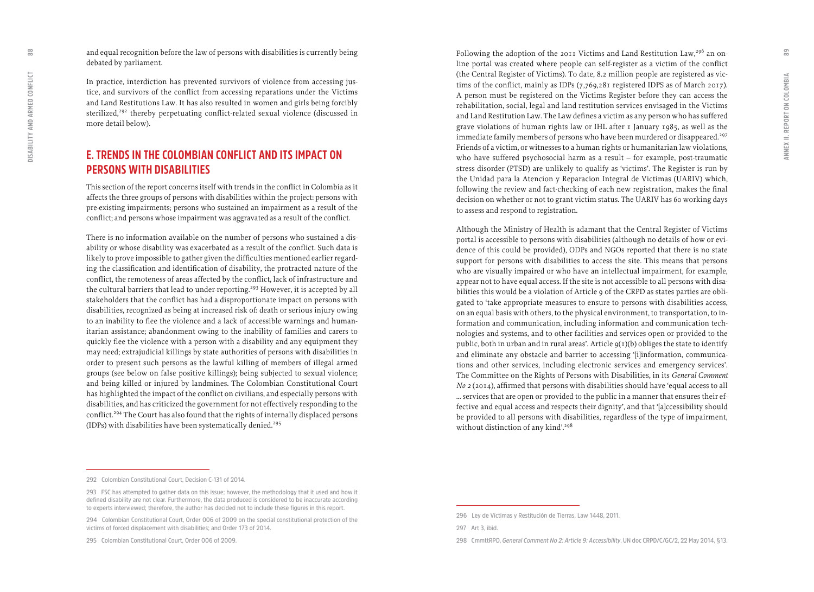and equal recognition before the law of persons with disabilities is currently being debated by parliament.

In practice, interdiction has prevented survivors of violence from accessing jus tice, and survivors of the conflict from accessing reparations under the Victims and Land Restitutions Law. It has also resulted in women and girls being forcibly sterilized,<sup>292</sup> thereby perpetuating conflict-related sexual violence (discussed in more detail below).

## **E. TRENDS IN THE COLOMBIAN CONFLICT AND ITS IMPACT ON PERSONS WITH DISABILITIES**

This section of the report concerns itself with trends in the conflict in Colombia as it affects the three groups of persons with disabilities within the project: persons with pre-existing impairments; persons who sustained an impairment as a result of the conflict; and persons whose impairment was aggravated as a result of the conflict.

There is no information available on the number of persons who sustained a dis ability or whose disability was exacerbated as a result of the conflict. Such data is likely to prove impossible to gather given the difficulties mentioned earlier regard ing the classification and identification of disability, the protracted nature of the conflict, the remoteness of areas affected by the conflict, lack of infrastructure and the cultural barriers that lead to under-reporting.<sup>293</sup> However, it is accepted by all stakeholders that the conflict has had a disproportionate impact on persons with disabilities, recognized as being at increased risk of: death or serious injury owing to an inability to flee the violence and a lack of accessible warnings and human itarian assistance; abandonment owing to the inability of families and carers to quickly flee the violence with a person with a disability and any equipment they may need; extrajudicial killings by state authorities of persons with disabilities in order to present such persons as the lawful killing of members of illegal armed groups (see below on false positive killings); being subjected to sexual violence; and being killed or injured by landmines. The Colombian Constitutional Court has highlighted the impact of the conflict on civilians, and especially persons with disabilities, and has criticized the government for not effectively responding to the conflict.<sup>294</sup> The Court has also found that the rights of internally displaced persons (IDPs) with disabilities have been systematically denied.<sup>295</sup>

Following the adoption of the 2011 Victims and Land Restitution Law,<sup>296</sup> an online portal was created where people can self-register as a victim of the conflict (the Central Register of Victims). To date, 8.2 million people are registered as vic tims of the conflict, mainly as IDPs (7,769,281 registered IDPS as of March 2017). A person must be registered on the Victims Register before they can access the rehabilitation, social, legal and land restitution services envisaged in the Victims and Land Restitution Law. The Law defines a victim as any person who has suffered grave violations of human rights law or IHL after 1 January 1985, as well as the immediate family members of persons who have been murdered or disappeared.<sup>297</sup> Friends of a victim, or witnesses to a human rights or humanitarian law violations, who have suffered psychosocial harm as a result – for example, post-traumatic stress disorder (PTSD) are unlikely to qualify as 'victims'. The Register is run by the Unidad para la Atencion y Reparacion Integral de Victimas (UARIV) which, following the review and fact-checking of each new registration, makes the final decision on whether or not to grant victim status. The UARIV has 60 working days to assess and respond to registration.

Although the Ministry of Health is adamant that the Central Register of Victims portal is accessible to persons with disabilities (although no details of how or evi dence of this could be provided), ODPs and NGOs reported that there is no state support for persons with disabilities to access the site. This means that persons who are visually impaired or who have an intellectual impairment, for example, appear not to have equal access. If the site is not accessible to all persons with disa bilities this would be a violation of Article 9 of the CRPD as states parties are obli gated to 'take appropriate measures to ensure to persons with disabilities access, on an equal basis with others, to the physical environment, to transportation, to in formation and communication, including information and communication tech nologies and systems, and to other facilities and services open or provided to the public, both in urban and in rural areas'. Article  $g(t)(b)$  obliges the state to identify and eliminate any obstacle and barrier to accessing '[i]information, communica tions and other services, including electronic services and emergency services'. The Committee on the Rights of Persons with Disabilities, in its *General Comment No* 2 (2014), affirmed that persons with disabilities should have 'equal access to all … services that are open or provided to the public in a manner that ensures their effective and equal access and respects their dignity', and that '[a]ccessibility should be provided to all persons with disabilities, regardless of the type of impairment, without distinction of any kind'.<sup>298</sup>

**295 Colombian Constitutional Court, Order 006 of 2009.** 

 ${}^{80}_{80}$ 

**<sup>292</sup> Colombian Constitutional Court, Decision C-131 of 2014.** 

**<sup>293</sup> FSC has attempted to gather data on this issue; however, the methodology that it used and how it defined disability are not clear. Furthermore, the data produced is considered to be inaccurate according to experts interviewed; therefore, the author has decided not to include these figures in this report.** 

**<sup>294</sup> Colombian Constitutional Court, Order 006 of 2009 on the special constitutional protection of the victims of forced displacement with disabilities; and Order 173 of 2014.**

**<sup>296</sup> Ley de Víctimas y Restitución de Tierras, Law 1448, 2011.**

**<sup>297</sup> Art 3, ibid.**

**<sup>298</sup> CmmttRPD,** *General Comment No 2: Article 9: Accessibility***, UN doc CRPD/C/GC/2, 22 May 2014, §13.**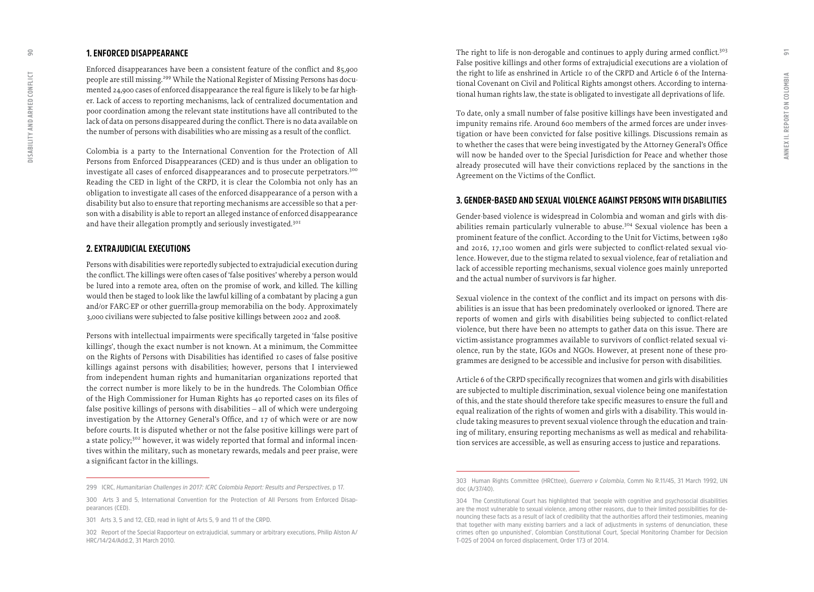#### **1. ENFORCED DISAPPEARANCE**

Enforced disappearances have been a consistent feature of the conflict and 85,900 people are still missing.<sup>299</sup> While the National Register of Missing Persons has documented 24,900 cases of enforced disappearance the real figure is likely to be far high er. Lack of access to reporting mechanisms, lack of centralized documentation and poor coordination among the relevant state institutions have all contributed to the lack of data on persons disappeared during the conflict. There is no data available on the number of persons with disabilities who are missing as a result of the conflict.

Colombia is a party to the International Convention for the Protection of All Persons from Enforced Disappearances (CED) and is thus under an obligation to investigate all cases of enforced disappearances and to prosecute perpetrators.<sup>300</sup> Reading the CED in light of the CRPD, it is clear the Colombia not only has an obligation to investigate all cases of the enforced disappearance of a person with a disability but also to ensure that reporting mechanisms are accessible so that a per son with a disability is able to report an alleged instance of enforced disappearance and have their allegation promptly and seriously investigated.<sup>301</sup>

#### **2. EXTRAJUDICIAL EXECUTIONS**

Persons with disabilities were reportedly subjected to extrajudicial execution during the conflict. The killings were often cases of 'false positives' whereby a person would be lured into a remote area, often on the promise of work, and killed. The killing would then be staged to look like the lawful killing of a combatant by placing a gun and/or FARC-EP or other guerrilla-group memorabilia on the body. Approximately 3,000 civilians were subjected to false positive killings between 2002 and 2008.

Persons with intellectual impairments were specifically targeted in 'false positive killings', though the exact number is not known. At a minimum, the Committee on the Rights of Persons with Disabilities has identified 10 cases of false positive killings against persons with disabilities; however, persons that I interviewed from independent human rights and humanitarian organizations reported that the correct number is more likely to be in the hundreds. The Colombian Office of the High Commissioner for Human Rights has 40 reported cases on its files of false positive killings of persons with disabilities – all of which were undergoing investigation by the Attorney General's Office, and 17 of which were or are now before courts. It is disputed whether or not the false positive killings were part of a state policy;<sup>302</sup> however, it was widely reported that formal and informal incentives within the military, such as monetary rewards, medals and peer praise, were a significant factor in the killings.

The right to life is non-derogable and continues to apply during armed conflict.<sup>303</sup> False positive killings and other forms of extrajudicial executions are a violation of the right to life as enshrined in Article 10 of the CRPD and Article 6 of the Interna tional Covenant on Civil and Political Rights amongst others. According to interna tional human rights law, the state is obligated to investigate all deprivations of life.

To date, only a small number of false positive killings have been investigated and impunity remains rife. Around 600 members of the armed forces are under inves tigation or have been convicted for false positive killings. Discussions remain as to whether the cases that were being investigated by the Attorney General's Office will now be handed over to the Special Jurisdiction for Peace and whether those already prosecuted will have their convictions replaced by the sanctions in the Agreement on the Victims of the Conflict.

### **3. GENDER-BASED AND SEXUAL VIOLENCE AGAINST PERSONS WITH DISABILITIES**

Gender-based violence is widespread in Colombia and woman and girls with dis abilities remain particularly vulnerable to abuse.<sup>304</sup> Sexual violence has been a prominent feature of the conflict. According to the Unit for Victims, between 1980 and 2016, 17,100 women and girls were subjected to conflict-related sexual vio lence. However, due to the stigma related to sexual violence, fear of retaliation and lack of accessible reporting mechanisms, sexual violence goes mainly unreported and the actual number of survivors is far higher.

Sexual violence in the context of the conflict and its impact on persons with dis abilities is an issue that has been predominately overlooked or ignored. There are reports of women and girls with disabilities being subjected to conflict-related violence, but there have been no attempts to gather data on this issue. There are victim-assistance programmes available to survivors of conflict-related sexual vi olence, run by the state, IGOs and NGOs. However, at present none of these pro grammes are designed to be accessible and inclusive for person with disabilities.

Article 6 of the CRPD specifically recognizes that women and girls with disabilities are subjected to multiple discrimination, sexual violence being one manifestation of this, and the state should therefore take specific measures to ensure the full and equal realization of the rights of women and girls with a disability. This would in clude taking measures to prevent sexual violence through the education and train ing of military, ensuring reporting mechanisms as well as medical and rehabilita tion services are accessible, as well as ensuring access to justice and reparations.

**<sup>299</sup> ICRC,** *Humanitarian Challenges in 2017: ICRC Colombia Report: Results and Perspectives***, p 17.**

**<sup>300</sup> Arts 3 and 5, International Convention for the Protection of All Persons from Enforced Disappearances (CED).** 

**<sup>301</sup> Arts 3, 5 and 12, CED, read in light of Arts 5, 9 and 11 of the CRPD.** 

**<sup>302</sup> Report of the Special Rapporteur on extrajudicial, summary or arbitrary executions, Philip Alston A/ HRC/14/24/Add.2, 31 March 2010.** 

**<sup>303</sup> Human Rights Committee (HRCttee),** *Guerrero v Colombia***, Comm No R.11/45, 31 March 1992, UN doc (A/37/40).**

**<sup>304</sup> The Constitutional Court has highlighted that 'people with cognitive and psychosocial disabilities are the most vulnerable to sexual violence, among other reasons, due to their limited possibilities for de nouncing these facts as a result of lack of credibility that the authorities afford their testimonies, meaning that together with many existing barriers and a lack of adjustments in systems of denunciation, these crimes often go unpunished', Colombian Constitutional Court, Special Monitoring Chamber for Decision T-025 of 2004 on forced displacement, Order 173 of 2014.**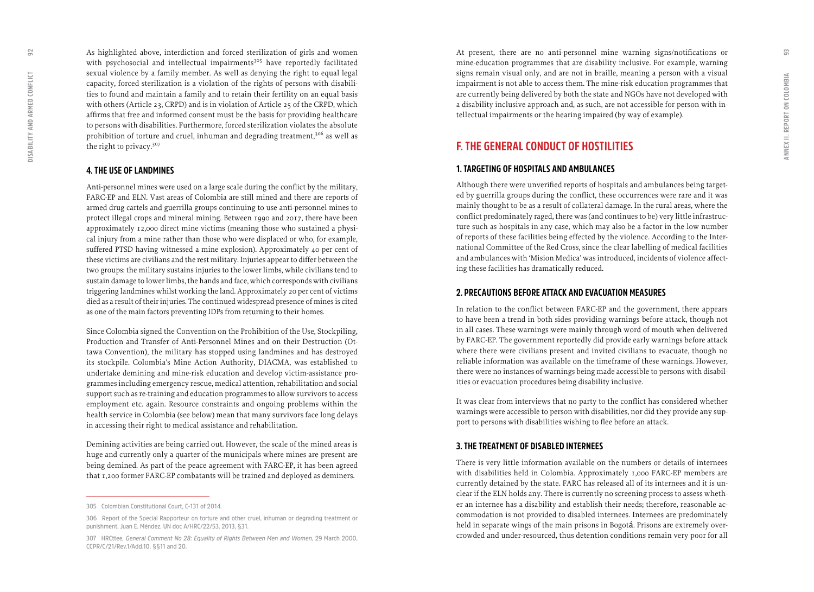As highlighted above, interdiction and forced sterilization of girls and women with psychosocial and intellectual impairments<sup>305</sup> have reportedly facilitated sexual violence by a family member. As well as denying the right to equal legal capacity, forced sterilization is a violation of the rights of persons with disabili ties to found and maintain a family and to retain their fertility on an equal basis with others (Article 23, CRPD) and is in violation of Article 25 of the CRPD, which affirms that free and informed consent must be the basis for providing healthcare to persons with disabilities. Furthermore, forced sterilization violates the absolute prohibition of torture and cruel, inhuman and degrading treatment,<sup>306</sup> as well as the right to privacy.<sup>307</sup>

#### **4. THE USE OF LANDMINES**

Anti-personnel mines were used on a large scale during the conflict by the military, FARC-EP and ELN. Vast areas of Colombia are still mined and there are reports of armed drug cartels and guerrilla groups continuing to use anti-personnel mines to protect illegal crops and mineral mining. Between 1990 and 2017, there have been approximately 12,000 direct mine victims (meaning those who sustained a physi cal injury from a mine rather than those who were displaced or who, for example, suffered PTSD having witnessed a mine explosion). Approximately 40 per cent of these victims are civilians and the rest military. Injuries appear to differ between the two groups: the military sustains injuries to the lower limbs, while civilians tend to sustain damage to lower limbs, the hands and face, which corresponds with civilians triggering landmines whilst working the land. Approximately 20 per cent of victims died as a result of their injuries. The continued widespread presence of mines is cited as one of the main factors preventing IDPs from returning to their homes.

Since Colombia signed the Convention on the Prohibition of the Use, Stockpiling, Production and Transfer of Anti-Personnel Mines and on their Destruction (Ot tawa Convention), the military has stopped using landmines and has destroyed its stockpile. Colombia's Mine Action Authority, DIACMA, was established to undertake demining and mine-risk education and develop victim-assistance pro grammes including emergency rescue, medical attention, rehabilitation and social support such as re-training and education programmes to allow survivors to access employment etc. again. Resource constraints and ongoing problems within the health service in Colombia (see below) mean that many survivors face long delays in accessing their right to medical assistance and rehabilitation.

Demining activities are being carried out. However, the scale of the mined areas is huge and currently only a quarter of the municipals where mines are present are being demined. As part of the peace agreement with FARC-EP, it has been agreed that 1,200 former FARC-EP combatants will be trained and deployed as deminers.

At present, there are no anti-personnel mine warning signs/notifications or mine-education programmes that are disability inclusive. For example, warning signs remain visual only, and are not in braille, meaning a person with a visual impairment is not able to access them. The mine-risk education programmes that are currently being delivered by both the state and NGOs have not developed with a disability inclusive approach and, as such, are not accessible for person with in tellectual impairments or the hearing impaired (by way of example).

### **F. THE GENERAL CONDUCT OF HOSTILITIES**

#### **1. TARGETING OF HOSPITALS AND AMBULANCES**

Although there were unverified reports of hospitals and ambulances being target ed by guerrilla groups during the conflict, these occurrences were rare and it was mainly thought to be as a result of collateral damage. In the rural areas, where the conflict predominately raged, there was (and continues to be) very little infrastruc ture such as hospitals in any case, which may also be a factor in the low number of reports of these facilities being effected by the violence. According to the Inter national Committee of the Red Cross, since the clear labelling of medical facilities and ambulances with 'Mision Medica' was introduced, incidents of violence affect ing these facilities has dramatically reduced.

#### **2. PRECAUTIONS BEFORE ATTACK AND EVACUATION MEASURES**

In relation to the conflict between FARC-EP and the government, there appears to have been a trend in both sides providing warnings before attack, though not in all cases. These warnings were mainly through word of mouth when delivered by FARC-EP. The government reportedly did provide early warnings before attack where there were civilians present and invited civilians to evacuate, though no reliable information was available on the timeframe of these warnings. However, there were no instances of warnings being made accessible to persons with disabil ities or evacuation procedures being disability inclusive.

It was clear from interviews that no party to the conflict has considered whether warnings were accessible to person with disabilities, nor did they provide any sup port to persons with disabilities wishing to flee before an attack.

#### **3. THE TREATMENT OF DISABLED INTERNEES**

There is very little information available on the numbers or details of internees with disabilities held in Colombia. Approximately 1,000 FARC-EP members are currently detained by the state. FARC has released all of its internees and it is un clear if the ELN holds any. There is currently no screening process to assess wheth er an internee has a disability and establish their needs; therefore, reasonable ac commodation is not provided to disabled internees. Internees are predominately held in separate wings of the main prisons in Bogot á. Prisons are extremely over crowded and under-resourced, thus detention conditions remain very poor for all

**<sup>305</sup> Colombian Constitutional Court, C-131 of 2014.** 

**<sup>306</sup> Report of the Special Rapporteur on torture and other cruel, inhuman or degrading treatment or punishment, Juan E. Méndez, UN doc A/HRC/22/53, 2013, §31.**

**<sup>307</sup> HRCttee***, General Comment No 28: Equality of Rights Between Men and Women***, 29 March 2000, CCPR/C/21/Rev.1/Add.10, §§11 and 20.**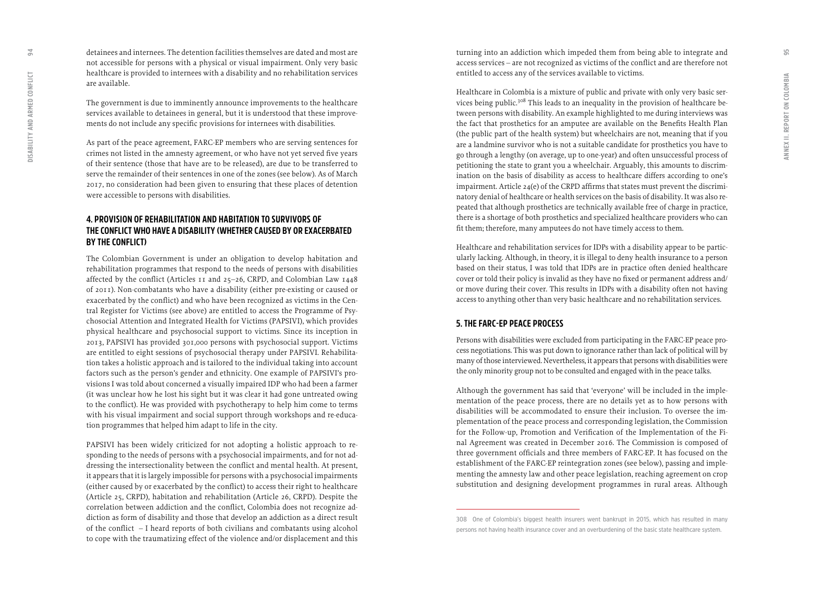detainees and internees. The detention facilities themselves are dated and most are not accessible for persons with a physical or visual impairment. Only very basic healthcare is provided to internees with a disability and no rehabilitation services are available.

The government is due to imminently announce improvements to the healthcare services available to detainees in general, but it is understood that these improve ments do not include any specific provisions for internees with disabilities.

As part of the peace agreement, FARC-EP members who are serving sentences for crimes not listed in the amnesty agreement, or who have not yet served five years of their sentence (those that have are to be released), are due to be transferred to serve the remainder of their sentences in one of the zones (see below). As of March 2017, no consideration had been given to ensuring that these places of detention were accessible to persons with disabilities.

#### **4. PROVISION OF REHABILITATION AND HABITATION TO SURVIVORS OF THE CONFLICT WHO HAVE A DISABILITY (WHETHER CAUSED BY OR EXACERBATED BY THE CONFLICT)**

The Colombian Government is under an obligation to develop habitation and rehabilitation programmes that respond to the needs of persons with disabilities affected by the conflict (Articles 11 and 25–26, CRPD, and Colombian Law 1448 of 2011). Non-combatants who have a disability (either pre-existing or caused or exacerbated by the conflict) and who have been recognized as victims in the Cen tral Register for Victims (see above) are entitled to access the Programme of Psy chosocial Attention and Integrated Health for Victims (PAPSIVI), which provides physical healthcare and psychosocial support to victims. Since its inception in 2013, PAPSIVI has provided 301,000 persons with psychosocial support. Victims are entitled to eight sessions of psychosocial therapy under PAPSIVI. Rehabilita tion takes a holistic approach and is tailored to the individual taking into account factors such as the person's gender and ethnicity. One example of PAPSIVI's pro visions I was told about concerned a visually impaired IDP who had been a farmer (it was unclear how he lost his sight but it was clear it had gone untreated owing to the conflict). He was provided with psychotherapy to help him come to terms with his visual impairment and social support through workshops and re-educa tion programmes that helped him adapt to life in the city.

PAPSIVI has been widely criticized for not adopting a holistic approach to re sponding to the needs of persons with a psychosocial impairments, and for not ad dressing the intersectionality between the conflict and mental health. At present, it appears that it is largely impossible for persons with a psychosocial impairments (either caused by or exacerbated by the conflict) to access their right to healthcare (Article 25, CRPD), habitation and rehabilitation (Article 26, CRPD). Despite the correlation between addiction and the conflict, Colombia does not recognize ad diction as form of disability and those that develop an addiction as a direct result of the conflict – I heard reports of both civilians and combatants using alcohol to cope with the traumatizing effect of the violence and/or displacement and this turning into an addiction which impeded them from being able to integrate and access services – are not recognized as victims of the conflict and are therefore not entitled to access any of the services available to victims.

Healthcare in Colombia is a mixture of public and private with only very basic ser vices being public.<sup>308</sup> This leads to an inequality in the provision of healthcare between persons with disability. An example highlighted to me during interviews was the fact that prosthetics for an amputee are available on the Benefits Health Plan (the public part of the health system) but wheelchairs are not, meaning that if you are a landmine survivor who is not a suitable candidate for prosthetics you have to go through a lengthy (on average, up to one-year) and often unsuccessful process of petitioning the state to grant you a wheelchair. Arguably, this amounts to discrim ination on the basis of disability as access to healthcare differs according to one's impairment. Article 24(e) of the CRPD affirms that states must prevent the discrimi natory denial of healthcare or health services on the basis of disability. It was also re peated that although prosthetics are technically available free of charge in practice, there is a shortage of both prosthetics and specialized healthcare providers who can fit them; therefore, many amputees do not have timely access to them.

Healthcare and rehabilitation services for IDPs with a disability appear to be partic ularly lacking. Although, in theory, it is illegal to deny health insurance to a person based on their status, I was told that IDPs are in practice often denied healthcare cover or told their policy is invalid as they have no fixed or permanent address and/ or move during their cover. This results in IDPs with a disability often not having access to anything other than very basic healthcare and no rehabilitation services.

#### **5. THE FARC-EP PEACE PROCESS**

Persons with disabilities were excluded from participating in the FARC-EP peace pro cess negotiations. This was put down to ignorance rather than lack of political will by many of those interviewed. Nevertheless, it appears that persons with disabilities were the only minority group not to be consulted and engaged with in the peace talks.

Although the government has said that 'everyone' will be included in the imple mentation of the peace process, there are no details yet as to how persons with disabilities will be accommodated to ensure their inclusion. To oversee the im plementation of the peace process and corresponding legislation, the Commission for the Follow-up, Promotion and Verification of the Implementation of the Fi nal Agreement was created in December 2016. The Commission is composed of three government officials and three members of FARC-EP. It has focused on the establishment of the FARC-EP reintegration zones (see below), passing and imple menting the amnesty law and other peace legislation, reaching agreement on crop substitution and designing development programmes in rural areas. Although

**<sup>308</sup> One of Colombia's biggest health insurers went bankrupt in 2015, which has resulted in many persons not having health insurance cover and an overburdening of the basic state healthcare system.**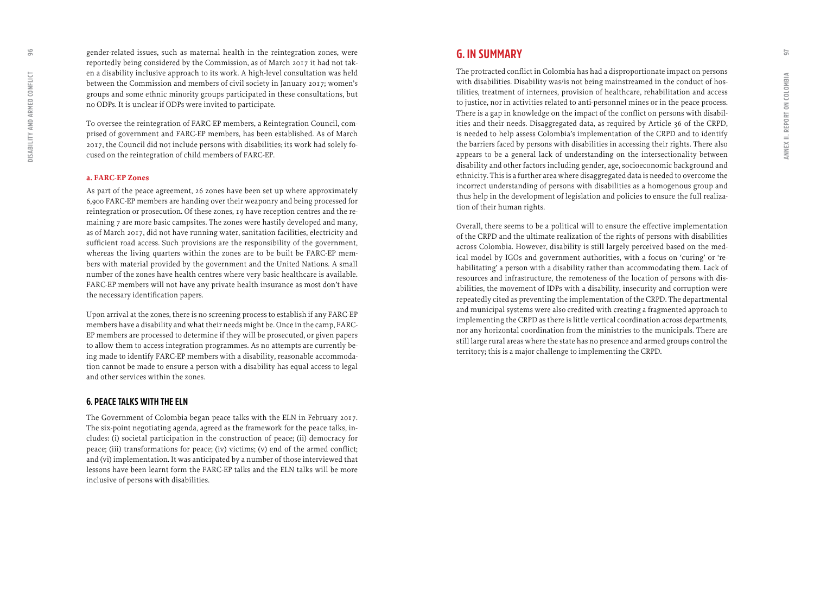gender-related issues, such as maternal health in the reintegration zones, were reportedly being considered by the Commission, as of March 2017 it had not tak en a disability inclusive approach to its work. A high-level consultation was held between the Commission and members of civil society in January 2017; women's groups and some ethnic minority groups participated in these consultations, but no ODPs. It is unclear if ODPs were invited to participate.

To oversee the reintegration of FARC-EP members, a Reintegration Council, com prised of government and FARC-EP members, has been established. As of March 2017, the Council did not include persons with disabilities; its work had solely fo cused on the reintegration of child members of FARC-EP.

#### **a. FARC-EP Zones**

As part of the peace agreement, 26 zones have been set up where approximately 6,900 FARC-EP members are handing over their weaponry and being processed for reintegration or prosecution. Of these zones, 19 have reception centres and the re maining 7 are more basic campsites. The zones were hastily developed and many, as of March 2017, did not have running water, sanitation facilities, electricity and sufficient road access. Such provisions are the responsibility of the government, whereas the living quarters within the zones are to be built be FARC-EP mem bers with material provided by the government and the United Nations. A small number of the zones have health centres where very basic healthcare is available. FARC-EP members will not have any private health insurance as most don't have the necessary identification papers.

Upon arrival at the zones, there is no screening process to establish if any FARC-EP members have a disability and what their needs might be. Once in the camp, FARC-EP members are processed to determine if they will be prosecuted, or given papers to allow them to access integration programmes. As no attempts are currently be ing made to identify FARC-EP members with a disability, reasonable accommoda tion cannot be made to ensure a person with a disability has equal access to legal and other services within the zones.

#### **6. PEACE TALKS WITH THE ELN**

The Government of Colombia began peace talks with the ELN in February 2017. The six-point negotiating agenda, agreed as the framework for the peace talks, in cludes: (i) societal participation in the construction of peace; (ii) democracy for peace; (iii) transformations for peace; (iv) victims; (v) end of the armed conflict; and (vi) implementation. It was anticipated by a number of those interviewed that lessons have been learnt form the FARC-EP talks and the ELN talks will be more inclusive of persons with disabilities.

The protracted conflict in Colombia has had a disproportionate impact on persons with disabilities. Disability was/is not being mainstreamed in the conduct of hos tilities, treatment of internees, provision of healthcare, rehabilitation and access to justice, nor in activities related to anti-personnel mines or in the peace process. There is a gap in knowledge on the impact of the conflict on persons with disabil ities and their needs. Disaggregated data, as required by Article 36 of the CRPD, is needed to help assess Colombia's implementation of the CRPD and to identify the barriers faced by persons with disabilities in accessing their rights. There also appears to be a general lack of understanding on the intersectionality between disability and other factors including gender, age, socioeconomic background and ethnicity. This is a further area where disaggregated data is needed to overcome the incorrect understanding of persons with disabilities as a homogenous group and thus help in the development of legislation and policies to ensure the full realiza tion of their human rights.

Overall, there seems to be a political will to ensure the effective implementation of the CRPD and the ultimate realization of the rights of persons with disabilities across Colombia. However, disability is still largely perceived based on the med ical model by IGOs and government authorities, with a focus on 'curing' or 're habilitating' a person with a disability rather than accommodating them. Lack of resources and infrastructure, the remoteness of the location of persons with dis abilities, the movement of IDPs with a disability, insecurity and corruption were repeatedly cited as preventing the implementation of the CRPD. The departmental and municipal systems were also credited with creating a fragmented approach to implementing the CRPD as there is little vertical coordination across departments, nor any horizontal coordination from the ministries to the municipals. There are still large rural areas where the state has no presence and armed groups control the territory; this is a major challenge to implementing the CRPD.